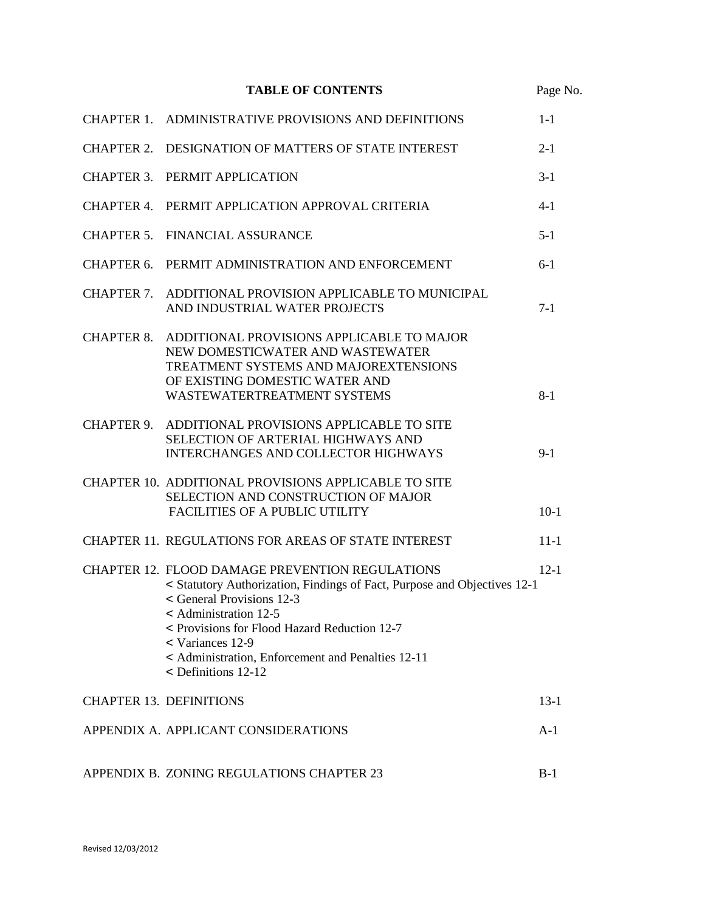# **TABLE OF CONTENTS** Page No.

|                   | CHAPTER 1. ADMINISTRATIVE PROVISIONS AND DEFINITIONS                                                                                                                                                                                                                                                                                                  | $1 - 1$  |
|-------------------|-------------------------------------------------------------------------------------------------------------------------------------------------------------------------------------------------------------------------------------------------------------------------------------------------------------------------------------------------------|----------|
|                   | CHAPTER 2. DESIGNATION OF MATTERS OF STATE INTEREST                                                                                                                                                                                                                                                                                                   | $2 - 1$  |
|                   | CHAPTER 3. PERMIT APPLICATION                                                                                                                                                                                                                                                                                                                         | $3-1$    |
|                   | CHAPTER 4. PERMIT APPLICATION APPROVAL CRITERIA                                                                                                                                                                                                                                                                                                       | $4-1$    |
|                   | <b>CHAPTER 5. FINANCIAL ASSURANCE</b>                                                                                                                                                                                                                                                                                                                 | $5 - 1$  |
| CHAPTER 6.        | PERMIT ADMINISTRATION AND ENFORCEMENT                                                                                                                                                                                                                                                                                                                 | $6-1$    |
|                   | CHAPTER 7. ADDITIONAL PROVISION APPLICABLE TO MUNICIPAL<br>AND INDUSTRIAL WATER PROJECTS                                                                                                                                                                                                                                                              | $7-1$    |
| <b>CHAPTER 8.</b> | ADDITIONAL PROVISIONS APPLICABLE TO MAJOR<br>NEW DOMESTICWATER AND WASTEWATER<br>TREATMENT SYSTEMS AND MAJOREXTENSIONS<br>OF EXISTING DOMESTIC WATER AND<br>WASTEWATERTREATMENT SYSTEMS                                                                                                                                                               | $8 - 1$  |
| <b>CHAPTER 9.</b> | ADDITIONAL PROVISIONS APPLICABLE TO SITE<br>SELECTION OF ARTERIAL HIGHWAYS AND<br><b>INTERCHANGES AND COLLECTOR HIGHWAYS</b>                                                                                                                                                                                                                          | $9-1$    |
|                   | CHAPTER 10. ADDITIONAL PROVISIONS APPLICABLE TO SITE<br>SELECTION AND CONSTRUCTION OF MAJOR<br><b>FACILITIES OF A PUBLIC UTILITY</b>                                                                                                                                                                                                                  | $10-1$   |
|                   | CHAPTER 11. REGULATIONS FOR AREAS OF STATE INTEREST                                                                                                                                                                                                                                                                                                   | $11 - 1$ |
|                   | <b>CHAPTER 12. FLOOD DAMAGE PREVENTION REGULATIONS</b><br>< Statutory Authorization, Findings of Fact, Purpose and Objectives 12-1<br>< General Provisions 12-3<br>$\le$ Administration 12-5<br>< Provisions for Flood Hazard Reduction 12-7<br>$\le$ Variances 12-9<br>< Administration, Enforcement and Penalties 12-11<br>$\leq$ Definitions 12-12 | $12 - 1$ |
|                   | <b>CHAPTER 13. DEFINITIONS</b>                                                                                                                                                                                                                                                                                                                        | $13-1$   |
|                   | APPENDIX A. APPLICANT CONSIDERATIONS                                                                                                                                                                                                                                                                                                                  | $A-1$    |
|                   | APPENDIX B. ZONING REGULATIONS CHAPTER 23                                                                                                                                                                                                                                                                                                             | $B-1$    |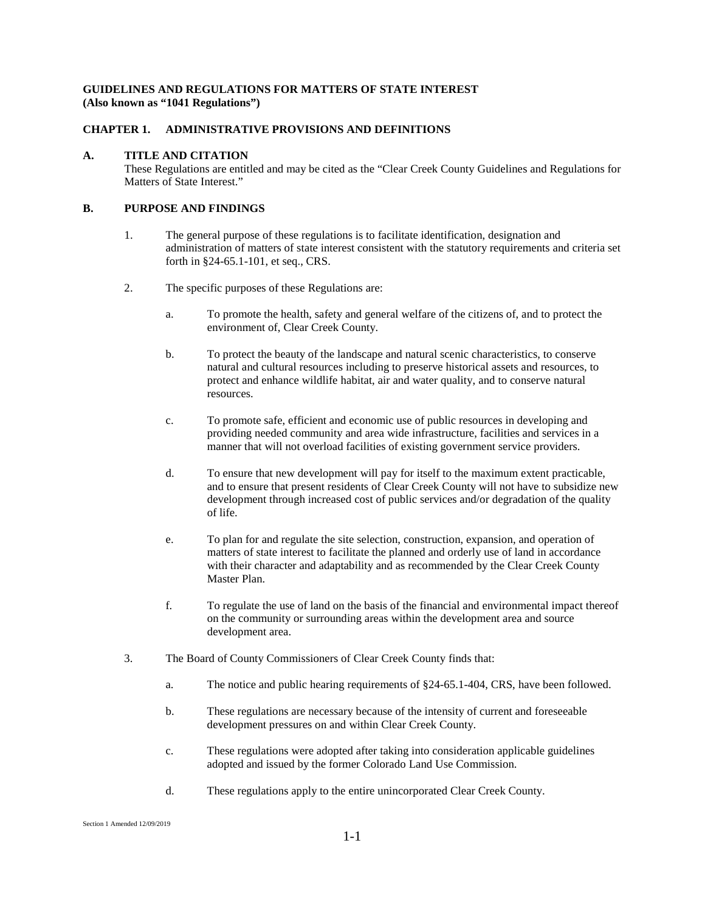# **GUIDELINES AND REGULATIONS FOR MATTERS OF STATE INTEREST (Also known as "1041 Regulations")**

# **CHAPTER 1. ADMINISTRATIVE PROVISIONS AND DEFINITIONS**

### **A. TITLE AND CITATION**

These Regulations are entitled and may be cited as the "Clear Creek County Guidelines and Regulations for Matters of State Interest."

# **B. PURPOSE AND FINDINGS**

- 1. The general purpose of these regulations is to facilitate identification, designation and administration of matters of state interest consistent with the statutory requirements and criteria set forth in §24-65.1-101, et seq., CRS.
- 2. The specific purposes of these Regulations are:
	- a. To promote the health, safety and general welfare of the citizens of, and to protect the environment of, Clear Creek County.
	- b. To protect the beauty of the landscape and natural scenic characteristics, to conserve natural and cultural resources including to preserve historical assets and resources, to protect and enhance wildlife habitat, air and water quality, and to conserve natural resources.
	- c. To promote safe, efficient and economic use of public resources in developing and providing needed community and area wide infrastructure, facilities and services in a manner that will not overload facilities of existing government service providers.
	- d. To ensure that new development will pay for itself to the maximum extent practicable, and to ensure that present residents of Clear Creek County will not have to subsidize new development through increased cost of public services and/or degradation of the quality of life.
	- e. To plan for and regulate the site selection, construction, expansion, and operation of matters of state interest to facilitate the planned and orderly use of land in accordance with their character and adaptability and as recommended by the Clear Creek County Master Plan.
	- f. To regulate the use of land on the basis of the financial and environmental impact thereof on the community or surrounding areas within the development area and source development area.
- 3. The Board of County Commissioners of Clear Creek County finds that:
	- a. The notice and public hearing requirements of §24-65.1-404, CRS, have been followed.
	- b. These regulations are necessary because of the intensity of current and foreseeable development pressures on and within Clear Creek County.
	- c. These regulations were adopted after taking into consideration applicable guidelines adopted and issued by the former Colorado Land Use Commission.
	- d. These regulations apply to the entire unincorporated Clear Creek County.

Section 1 Amended 12/09/2019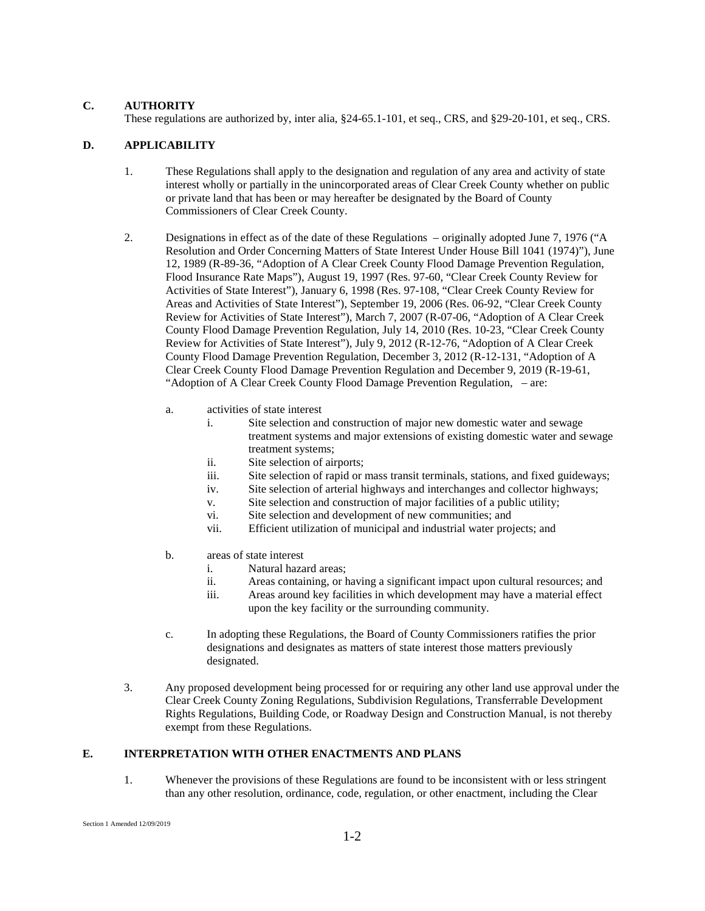### **C. AUTHORITY**

These regulations are authorized by, inter alia, §24-65.1-101, et seq., CRS, and §29-20-101, et seq., CRS.

# **D. APPLICABILITY**

- 1. These Regulations shall apply to the designation and regulation of any area and activity of state interest wholly or partially in the unincorporated areas of Clear Creek County whether on public or private land that has been or may hereafter be designated by the Board of County Commissioners of Clear Creek County.
- 2. Designations in effect as of the date of these Regulations originally adopted June 7, 1976 ("A Resolution and Order Concerning Matters of State Interest Under House Bill 1041 (1974)"), June 12, 1989 (R-89-36, "Adoption of A Clear Creek County Flood Damage Prevention Regulation, Flood Insurance Rate Maps"), August 19, 1997 (Res. 97-60, "Clear Creek County Review for Activities of State Interest"), January 6, 1998 (Res. 97-108, "Clear Creek County Review for Areas and Activities of State Interest"), September 19, 2006 (Res. 06-92, "Clear Creek County Review for Activities of State Interest"), March 7, 2007 (R-07-06, "Adoption of A Clear Creek County Flood Damage Prevention Regulation, July 14, 2010 (Res. 10-23, "Clear Creek County Review for Activities of State Interest"), July 9, 2012 (R-12-76, "Adoption of A Clear Creek County Flood Damage Prevention Regulation, December 3, 2012 (R-12-131, "Adoption of A Clear Creek County Flood Damage Prevention Regulation and December 9, 2019 (R-19-61, "Adoption of A Clear Creek County Flood Damage Prevention Regulation, – are:
	- a. activities of state interest
		- i. Site selection and construction of major new domestic water and sewage treatment systems and major extensions of existing domestic water and sewage treatment systems;
		- ii. Site selection of airports;
		- iii. Site selection of rapid or mass transit terminals, stations, and fixed guideways;
		- iv. Site selection of arterial highways and interchanges and collector highways;
		- v. Site selection and construction of major facilities of a public utility;
		- vi. Site selection and development of new communities; and
		- vii. Efficient utilization of municipal and industrial water projects; and
	- b. areas of state interest
		- i. Natural hazard areas;
		- ii. Areas containing, or having a significant impact upon cultural resources; and
		- iii. Areas around key facilities in which development may have a material effect upon the key facility or the surrounding community.
	- c. In adopting these Regulations, the Board of County Commissioners ratifies the prior designations and designates as matters of state interest those matters previously designated.
- 3. Any proposed development being processed for or requiring any other land use approval under the Clear Creek County Zoning Regulations, Subdivision Regulations, Transferrable Development Rights Regulations, Building Code, or Roadway Design and Construction Manual, is not thereby exempt from these Regulations.

# **E. INTERPRETATION WITH OTHER ENACTMENTS AND PLANS**

1. Whenever the provisions of these Regulations are found to be inconsistent with or less stringent than any other resolution, ordinance, code, regulation, or other enactment, including the Clear

Section 1 Amended 12/09/2019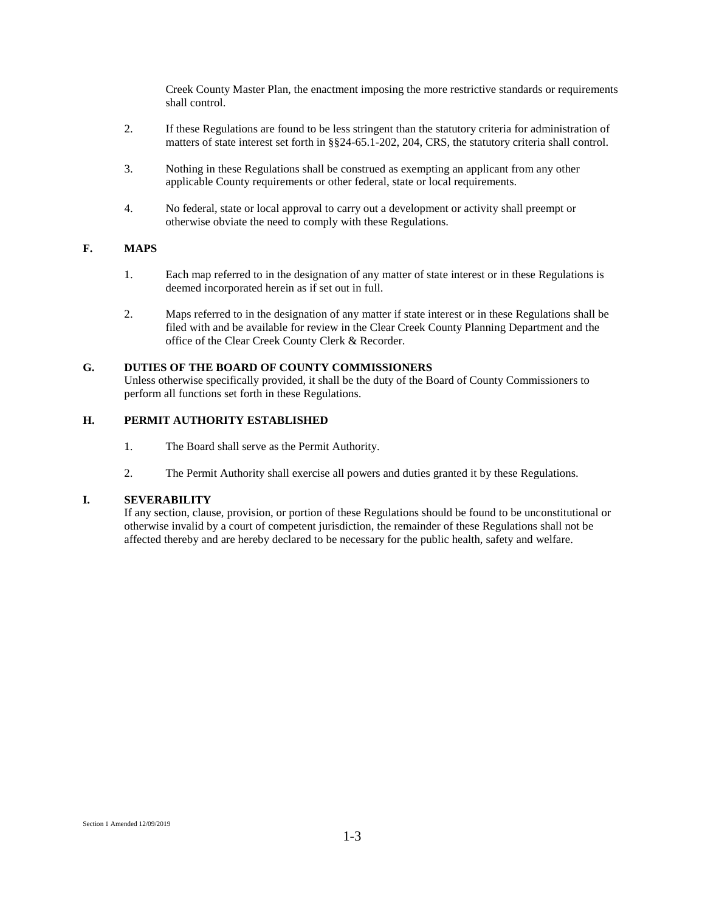Creek County Master Plan, the enactment imposing the more restrictive standards or requirements shall control.

- 2. If these Regulations are found to be less stringent than the statutory criteria for administration of matters of state interest set forth in §§24-65.1-202, 204, CRS, the statutory criteria shall control.
- 3. Nothing in these Regulations shall be construed as exempting an applicant from any other applicable County requirements or other federal, state or local requirements.
- 4. No federal, state or local approval to carry out a development or activity shall preempt or otherwise obviate the need to comply with these Regulations.

# **F. MAPS**

- 1. Each map referred to in the designation of any matter of state interest or in these Regulations is deemed incorporated herein as if set out in full.
- 2. Maps referred to in the designation of any matter if state interest or in these Regulations shall be filed with and be available for review in the Clear Creek County Planning Department and the office of the Clear Creek County Clerk & Recorder.

#### **G. DUTIES OF THE BOARD OF COUNTY COMMISSIONERS**

Unless otherwise specifically provided, it shall be the duty of the Board of County Commissioners to perform all functions set forth in these Regulations.

# **H. PERMIT AUTHORITY ESTABLISHED**

- 1. The Board shall serve as the Permit Authority.
- 2. The Permit Authority shall exercise all powers and duties granted it by these Regulations.

# **I. SEVERABILITY**

If any section, clause, provision, or portion of these Regulations should be found to be unconstitutional or otherwise invalid by a court of competent jurisdiction, the remainder of these Regulations shall not be affected thereby and are hereby declared to be necessary for the public health, safety and welfare.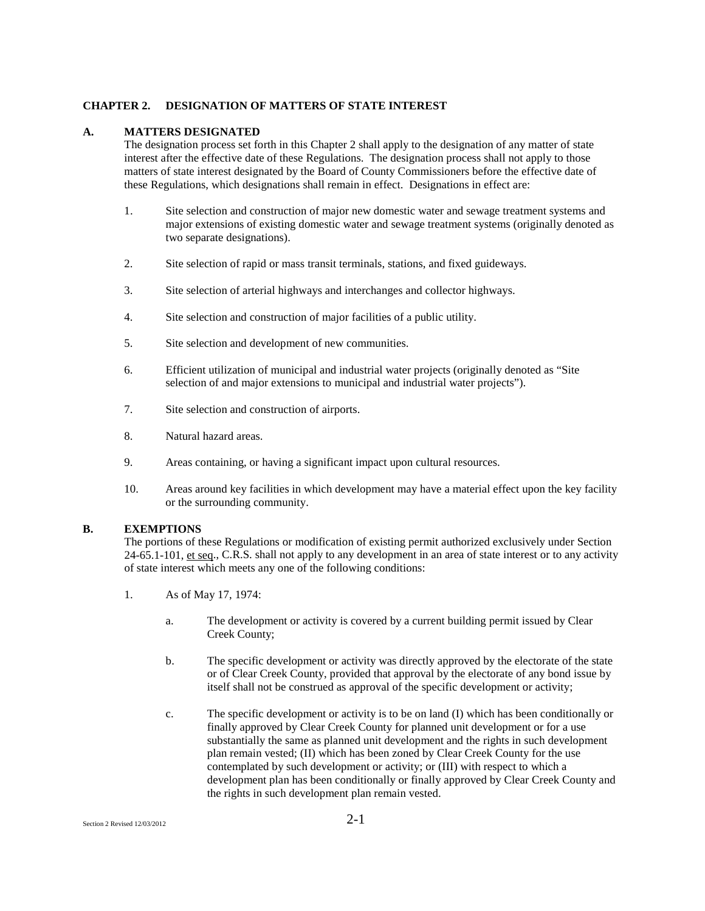#### **CHAPTER 2. DESIGNATION OF MATTERS OF STATE INTEREST**

#### **A. MATTERS DESIGNATED**

The designation process set forth in this Chapter 2 shall apply to the designation of any matter of state interest after the effective date of these Regulations. The designation process shall not apply to those matters of state interest designated by the Board of County Commissioners before the effective date of these Regulations, which designations shall remain in effect. Designations in effect are:

- 1. Site selection and construction of major new domestic water and sewage treatment systems and major extensions of existing domestic water and sewage treatment systems (originally denoted as two separate designations).
- 2. Site selection of rapid or mass transit terminals, stations, and fixed guideways.
- 3. Site selection of arterial highways and interchanges and collector highways.
- 4. Site selection and construction of major facilities of a public utility.
- 5. Site selection and development of new communities.
- 6. Efficient utilization of municipal and industrial water projects (originally denoted as "Site selection of and major extensions to municipal and industrial water projects").
- 7. Site selection and construction of airports.
- 8. Natural hazard areas.
- 9. Areas containing, or having a significant impact upon cultural resources.
- 10. Areas around key facilities in which development may have a material effect upon the key facility or the surrounding community.

#### **B. EXEMPTIONS**

The portions of these Regulations or modification of existing permit authorized exclusively under Section 24-65.1-101, et seq., C.R.S. shall not apply to any development in an area of state interest or to any activity of state interest which meets any one of the following conditions:

- 1. As of May 17, 1974:
	- a. The development or activity is covered by a current building permit issued by Clear Creek County;
	- b. The specific development or activity was directly approved by the electorate of the state or of Clear Creek County, provided that approval by the electorate of any bond issue by itself shall not be construed as approval of the specific development or activity;
	- c. The specific development or activity is to be on land (I) which has been conditionally or finally approved by Clear Creek County for planned unit development or for a use substantially the same as planned unit development and the rights in such development plan remain vested; (II) which has been zoned by Clear Creek County for the use contemplated by such development or activity; or (III) with respect to which a development plan has been conditionally or finally approved by Clear Creek County and the rights in such development plan remain vested.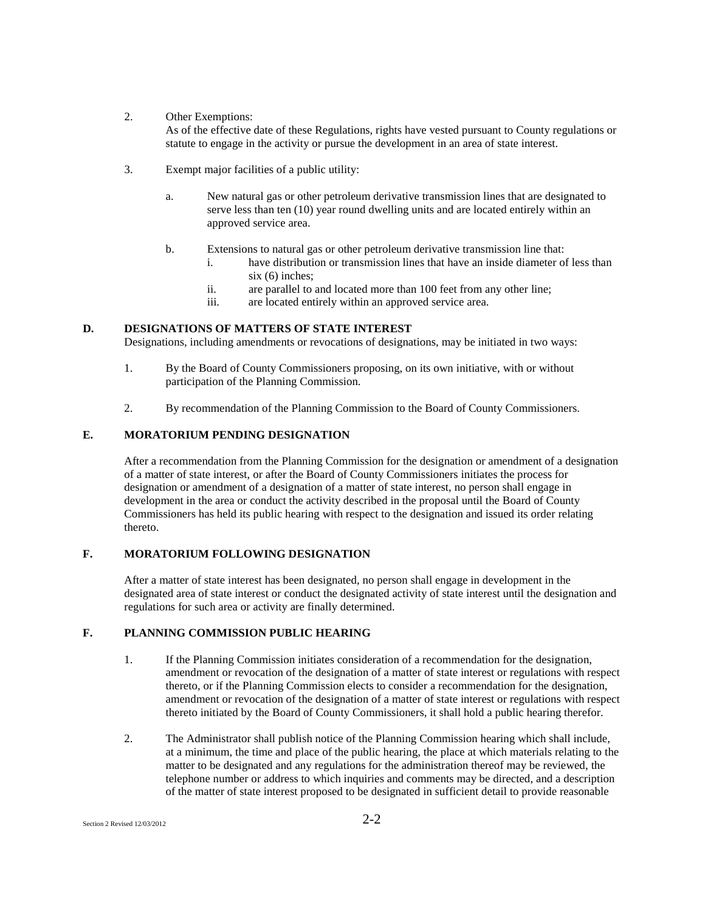2. Other Exemptions:

As of the effective date of these Regulations, rights have vested pursuant to County regulations or statute to engage in the activity or pursue the development in an area of state interest.

- 3. Exempt major facilities of a public utility:
	- a. New natural gas or other petroleum derivative transmission lines that are designated to serve less than ten (10) year round dwelling units and are located entirely within an approved service area.
	- b. Extensions to natural gas or other petroleum derivative transmission line that:
		- i. have distribution or transmission lines that have an inside diameter of less than six (6) inches:
		- ii. are parallel to and located more than 100 feet from any other line;
		- iii. are located entirely within an approved service area.

# **D. DESIGNATIONS OF MATTERS OF STATE INTEREST**

Designations, including amendments or revocations of designations, may be initiated in two ways:

- 1. By the Board of County Commissioners proposing, on its own initiative, with or without participation of the Planning Commission.
- 2. By recommendation of the Planning Commission to the Board of County Commissioners.

#### **E. MORATORIUM PENDING DESIGNATION**

After a recommendation from the Planning Commission for the designation or amendment of a designation of a matter of state interest, or after the Board of County Commissioners initiates the process for designation or amendment of a designation of a matter of state interest, no person shall engage in development in the area or conduct the activity described in the proposal until the Board of County Commissioners has held its public hearing with respect to the designation and issued its order relating thereto.

# **F. MORATORIUM FOLLOWING DESIGNATION**

After a matter of state interest has been designated, no person shall engage in development in the designated area of state interest or conduct the designated activity of state interest until the designation and regulations for such area or activity are finally determined.

# **F. PLANNING COMMISSION PUBLIC HEARING**

- 1. If the Planning Commission initiates consideration of a recommendation for the designation, amendment or revocation of the designation of a matter of state interest or regulations with respect thereto, or if the Planning Commission elects to consider a recommendation for the designation, amendment or revocation of the designation of a matter of state interest or regulations with respect thereto initiated by the Board of County Commissioners, it shall hold a public hearing therefor.
- 2. The Administrator shall publish notice of the Planning Commission hearing which shall include, at a minimum, the time and place of the public hearing, the place at which materials relating to the matter to be designated and any regulations for the administration thereof may be reviewed, the telephone number or address to which inquiries and comments may be directed, and a description of the matter of state interest proposed to be designated in sufficient detail to provide reasonable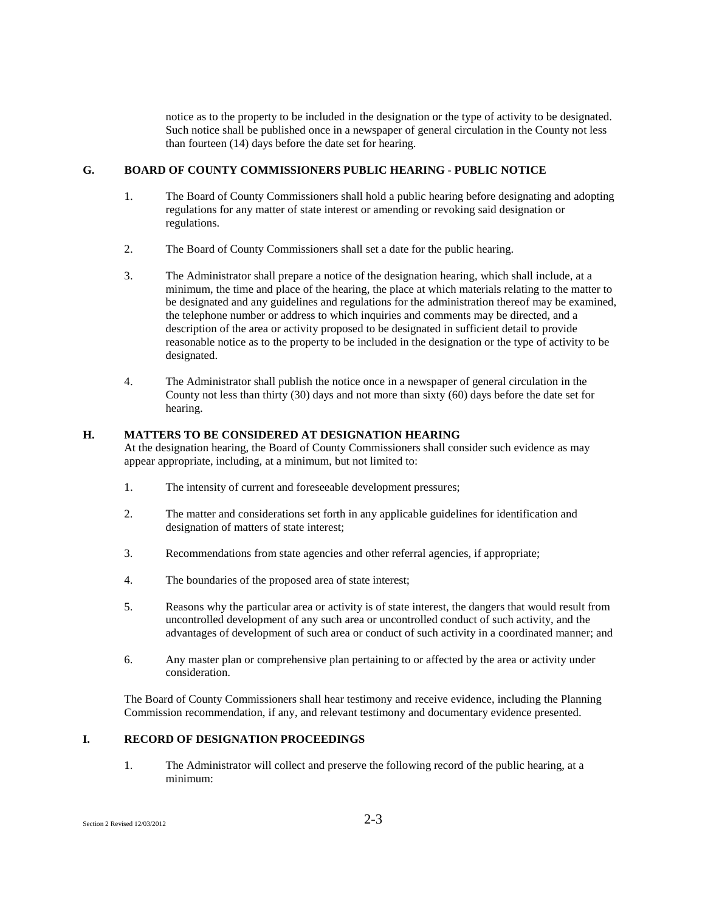notice as to the property to be included in the designation or the type of activity to be designated. Such notice shall be published once in a newspaper of general circulation in the County not less than fourteen (14) days before the date set for hearing.

# **G. BOARD OF COUNTY COMMISSIONERS PUBLIC HEARING - PUBLIC NOTICE**

- 1. The Board of County Commissioners shall hold a public hearing before designating and adopting regulations for any matter of state interest or amending or revoking said designation or regulations.
- 2. The Board of County Commissioners shall set a date for the public hearing.
- 3. The Administrator shall prepare a notice of the designation hearing, which shall include, at a minimum, the time and place of the hearing, the place at which materials relating to the matter to be designated and any guidelines and regulations for the administration thereof may be examined, the telephone number or address to which inquiries and comments may be directed, and a description of the area or activity proposed to be designated in sufficient detail to provide reasonable notice as to the property to be included in the designation or the type of activity to be designated.
- 4. The Administrator shall publish the notice once in a newspaper of general circulation in the County not less than thirty (30) days and not more than sixty (60) days before the date set for hearing.

# **H. MATTERS TO BE CONSIDERED AT DESIGNATION HEARING**

At the designation hearing, the Board of County Commissioners shall consider such evidence as may appear appropriate, including, at a minimum, but not limited to:

- 1. The intensity of current and foreseeable development pressures;
- 2. The matter and considerations set forth in any applicable guidelines for identification and designation of matters of state interest;
- 3. Recommendations from state agencies and other referral agencies, if appropriate;
- 4. The boundaries of the proposed area of state interest;
- 5. Reasons why the particular area or activity is of state interest, the dangers that would result from uncontrolled development of any such area or uncontrolled conduct of such activity, and the advantages of development of such area or conduct of such activity in a coordinated manner; and
- 6. Any master plan or comprehensive plan pertaining to or affected by the area or activity under consideration.

The Board of County Commissioners shall hear testimony and receive evidence, including the Planning Commission recommendation, if any, and relevant testimony and documentary evidence presented.

# **I. RECORD OF DESIGNATION PROCEEDINGS**

1. The Administrator will collect and preserve the following record of the public hearing, at a minimum: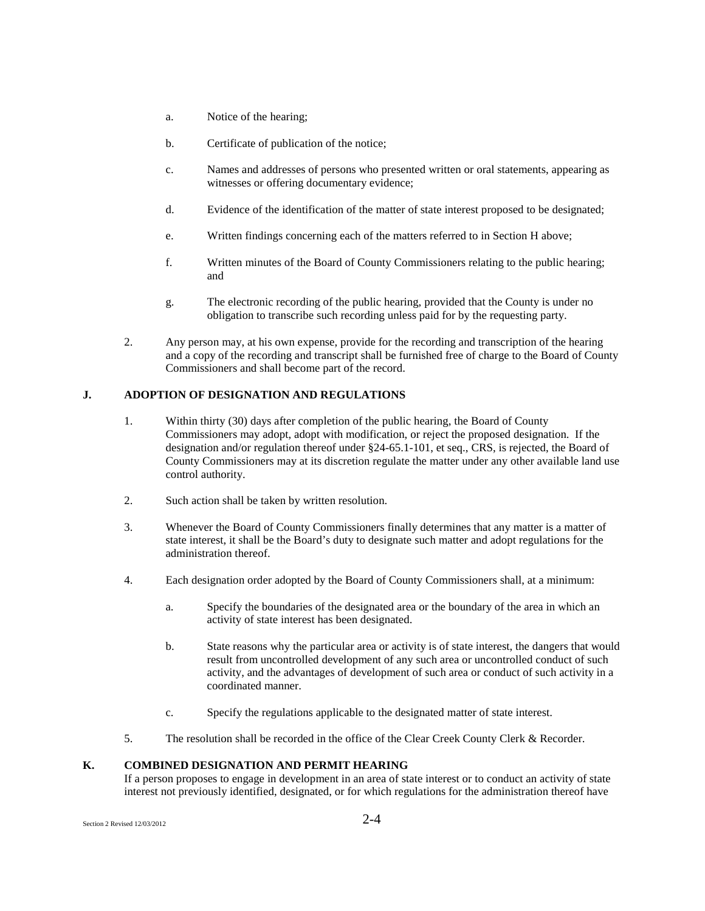- a. Notice of the hearing;
- b. Certificate of publication of the notice;
- c. Names and addresses of persons who presented written or oral statements, appearing as witnesses or offering documentary evidence;
- d. Evidence of the identification of the matter of state interest proposed to be designated;
- e. Written findings concerning each of the matters referred to in Section H above;
- f. Written minutes of the Board of County Commissioners relating to the public hearing; and
- g. The electronic recording of the public hearing, provided that the County is under no obligation to transcribe such recording unless paid for by the requesting party.
- 2. Any person may, at his own expense, provide for the recording and transcription of the hearing and a copy of the recording and transcript shall be furnished free of charge to the Board of County Commissioners and shall become part of the record.

# **J. ADOPTION OF DESIGNATION AND REGULATIONS**

- 1. Within thirty (30) days after completion of the public hearing, the Board of County Commissioners may adopt, adopt with modification, or reject the proposed designation. If the designation and/or regulation thereof under §24-65.1-101, et seq., CRS, is rejected, the Board of County Commissioners may at its discretion regulate the matter under any other available land use control authority.
- 2. Such action shall be taken by written resolution.
- 3. Whenever the Board of County Commissioners finally determines that any matter is a matter of state interest, it shall be the Board's duty to designate such matter and adopt regulations for the administration thereof.
- 4. Each designation order adopted by the Board of County Commissioners shall, at a minimum:
	- a. Specify the boundaries of the designated area or the boundary of the area in which an activity of state interest has been designated.
	- b. State reasons why the particular area or activity is of state interest, the dangers that would result from uncontrolled development of any such area or uncontrolled conduct of such activity, and the advantages of development of such area or conduct of such activity in a coordinated manner.
	- c. Specify the regulations applicable to the designated matter of state interest.
- 5. The resolution shall be recorded in the office of the Clear Creek County Clerk & Recorder.

# **K. COMBINED DESIGNATION AND PERMIT HEARING**

If a person proposes to engage in development in an area of state interest or to conduct an activity of state interest not previously identified, designated, or for which regulations for the administration thereof have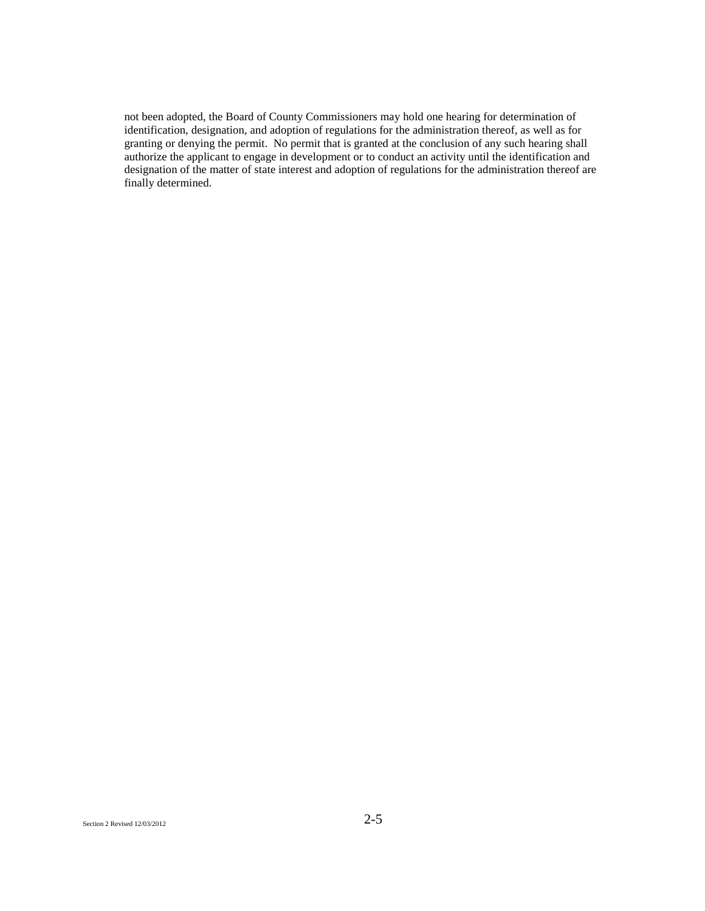not been adopted, the Board of County Commissioners may hold one hearing for determination of identification, designation, and adoption of regulations for the administration thereof, as well as for granting or denying the permit. No permit that is granted at the conclusion of any such hearing shall authorize the applicant to engage in development or to conduct an activity until the identification and designation of the matter of state interest and adoption of regulations for the administration thereof are finally determined.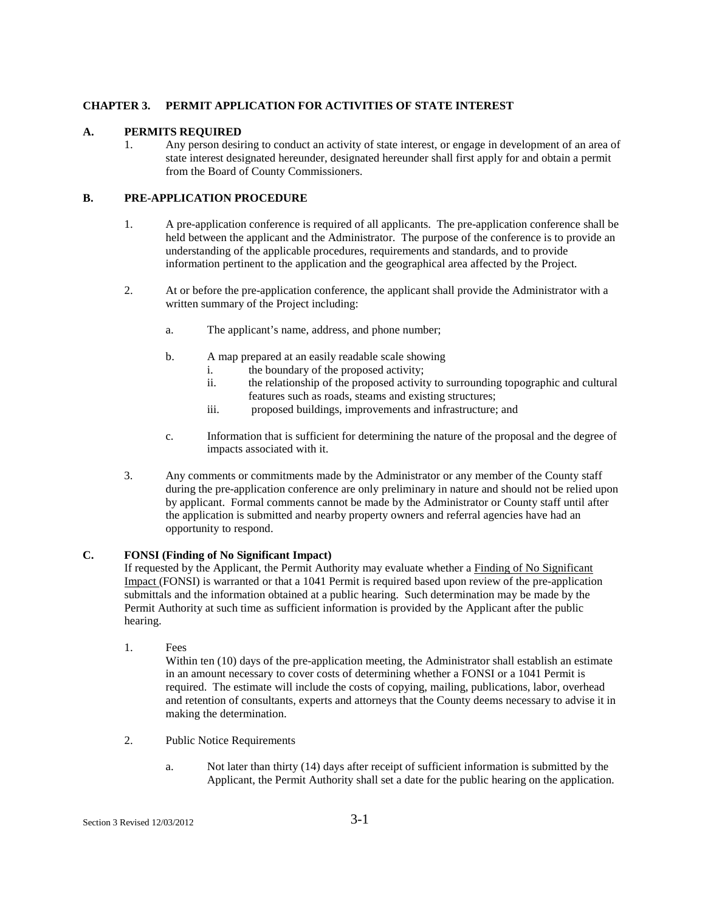# **CHAPTER 3. PERMIT APPLICATION FOR ACTIVITIES OF STATE INTEREST**

# **A. PERMITS REQUIRED**

1. Any person desiring to conduct an activity of state interest, or engage in development of an area of state interest designated hereunder, designated hereunder shall first apply for and obtain a permit from the Board of County Commissioners.

# **B. PRE-APPLICATION PROCEDURE**

- 1. A pre-application conference is required of all applicants. The pre-application conference shall be held between the applicant and the Administrator. The purpose of the conference is to provide an understanding of the applicable procedures, requirements and standards, and to provide information pertinent to the application and the geographical area affected by the Project.
- 2. At or before the pre-application conference, the applicant shall provide the Administrator with a written summary of the Project including:
	- a. The applicant's name, address, and phone number;
	- b. A map prepared at an easily readable scale showing
		- i. the boundary of the proposed activity;
		- ii. the relationship of the proposed activity to surrounding topographic and cultural features such as roads, steams and existing structures;
		- iii. proposed buildings, improvements and infrastructure; and
	- c. Information that is sufficient for determining the nature of the proposal and the degree of impacts associated with it.
- 3. Any comments or commitments made by the Administrator or any member of the County staff during the pre-application conference are only preliminary in nature and should not be relied upon by applicant. Formal comments cannot be made by the Administrator or County staff until after the application is submitted and nearby property owners and referral agencies have had an opportunity to respond.

# **C. FONSI (Finding of No Significant Impact)**

If requested by the Applicant, the Permit Authority may evaluate whether a Finding of No Significant Impact (FONSI) is warranted or that a 1041 Permit is required based upon review of the pre-application submittals and the information obtained at a public hearing. Such determination may be made by the Permit Authority at such time as sufficient information is provided by the Applicant after the public hearing.

1. Fees

Within ten (10) days of the pre-application meeting, the Administrator shall establish an estimate in an amount necessary to cover costs of determining whether a FONSI or a 1041 Permit is required. The estimate will include the costs of copying, mailing, publications, labor, overhead and retention of consultants, experts and attorneys that the County deems necessary to advise it in making the determination.

- 2. Public Notice Requirements
	- a. Not later than thirty (14) days after receipt of sufficient information is submitted by the Applicant, the Permit Authority shall set a date for the public hearing on the application.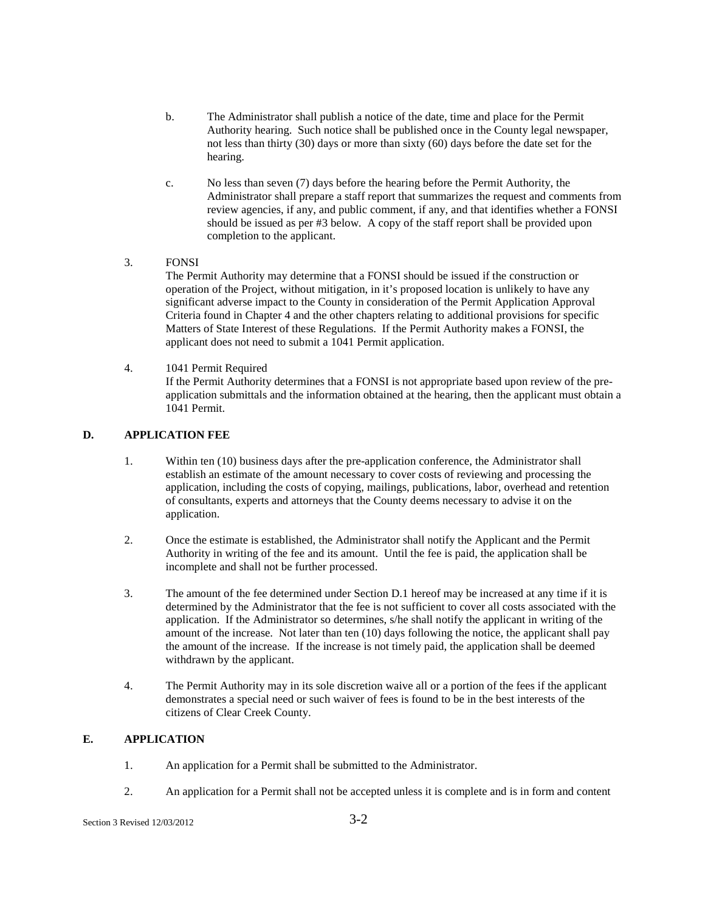- b. The Administrator shall publish a notice of the date, time and place for the Permit Authority hearing. Such notice shall be published once in the County legal newspaper, not less than thirty (30) days or more than sixty (60) days before the date set for the hearing.
- c. No less than seven (7) days before the hearing before the Permit Authority, the Administrator shall prepare a staff report that summarizes the request and comments from review agencies, if any, and public comment, if any, and that identifies whether a FONSI should be issued as per #3 below. A copy of the staff report shall be provided upon completion to the applicant.
- 3. FONSI

The Permit Authority may determine that a FONSI should be issued if the construction or operation of the Project, without mitigation, in it's proposed location is unlikely to have any significant adverse impact to the County in consideration of the Permit Application Approval Criteria found in Chapter 4 and the other chapters relating to additional provisions for specific Matters of State Interest of these Regulations. If the Permit Authority makes a FONSI, the applicant does not need to submit a 1041 Permit application.

4. 1041 Permit Required If the Permit Authority determines that a FONSI is not appropriate based upon review of the preapplication submittals and the information obtained at the hearing, then the applicant must obtain a 1041 Permit.

# **D. APPLICATION FEE**

- 1. Within ten (10) business days after the pre-application conference, the Administrator shall establish an estimate of the amount necessary to cover costs of reviewing and processing the application, including the costs of copying, mailings, publications, labor, overhead and retention of consultants, experts and attorneys that the County deems necessary to advise it on the application.
- 2. Once the estimate is established, the Administrator shall notify the Applicant and the Permit Authority in writing of the fee and its amount. Until the fee is paid, the application shall be incomplete and shall not be further processed.
- 3. The amount of the fee determined under Section D.1 hereof may be increased at any time if it is determined by the Administrator that the fee is not sufficient to cover all costs associated with the application. If the Administrator so determines, s/he shall notify the applicant in writing of the amount of the increase. Not later than ten (10) days following the notice, the applicant shall pay the amount of the increase. If the increase is not timely paid, the application shall be deemed withdrawn by the applicant.
- 4. The Permit Authority may in its sole discretion waive all or a portion of the fees if the applicant demonstrates a special need or such waiver of fees is found to be in the best interests of the citizens of Clear Creek County.

# **E. APPLICATION**

- 1. An application for a Permit shall be submitted to the Administrator.
- 2. An application for a Permit shall not be accepted unless it is complete and is in form and content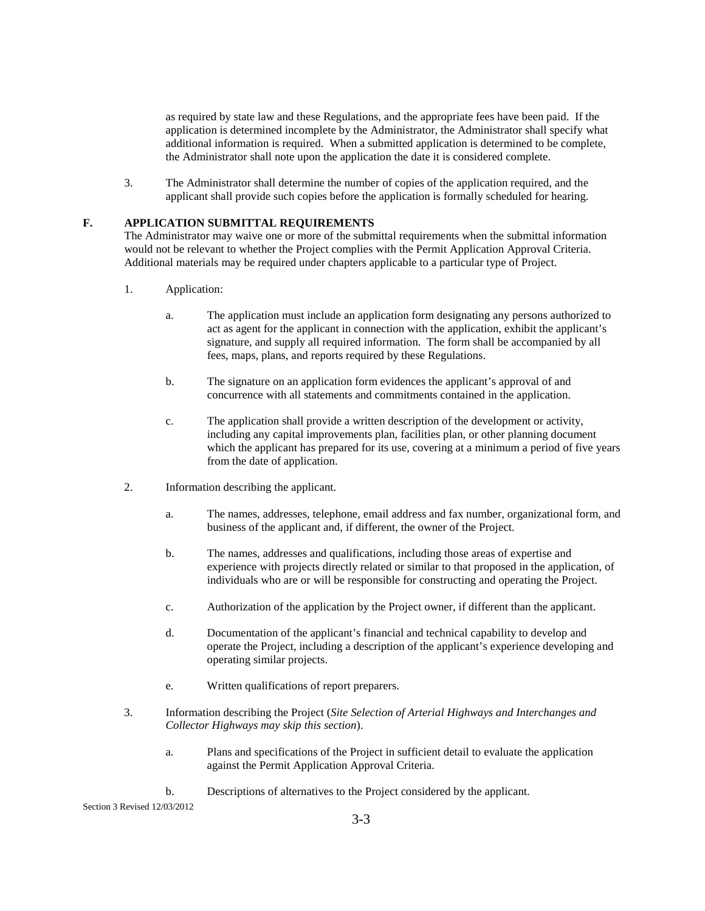as required by state law and these Regulations, and the appropriate fees have been paid. If the application is determined incomplete by the Administrator, the Administrator shall specify what additional information is required. When a submitted application is determined to be complete, the Administrator shall note upon the application the date it is considered complete.

3. The Administrator shall determine the number of copies of the application required, and the applicant shall provide such copies before the application is formally scheduled for hearing.

# **F. APPLICATION SUBMITTAL REQUIREMENTS**

The Administrator may waive one or more of the submittal requirements when the submittal information would not be relevant to whether the Project complies with the Permit Application Approval Criteria. Additional materials may be required under chapters applicable to a particular type of Project.

- 1. Application:
	- a. The application must include an application form designating any persons authorized to act as agent for the applicant in connection with the application, exhibit the applicant's signature, and supply all required information. The form shall be accompanied by all fees, maps, plans, and reports required by these Regulations.
	- b. The signature on an application form evidences the applicant's approval of and concurrence with all statements and commitments contained in the application.
	- c. The application shall provide a written description of the development or activity, including any capital improvements plan, facilities plan, or other planning document which the applicant has prepared for its use, covering at a minimum a period of five years from the date of application.
- 2. Information describing the applicant.
	- a. The names, addresses, telephone, email address and fax number, organizational form, and business of the applicant and, if different, the owner of the Project.
	- b. The names, addresses and qualifications, including those areas of expertise and experience with projects directly related or similar to that proposed in the application, of individuals who are or will be responsible for constructing and operating the Project.
	- c. Authorization of the application by the Project owner, if different than the applicant.
	- d. Documentation of the applicant's financial and technical capability to develop and operate the Project, including a description of the applicant's experience developing and operating similar projects.
	- e. Written qualifications of report preparers.
- 3. Information describing the Project (*Site Selection of Arterial Highways and Interchanges and Collector Highways may skip this section*).
	- a. Plans and specifications of the Project in sufficient detail to evaluate the application against the Permit Application Approval Criteria.
	- b. Descriptions of alternatives to the Project considered by the applicant.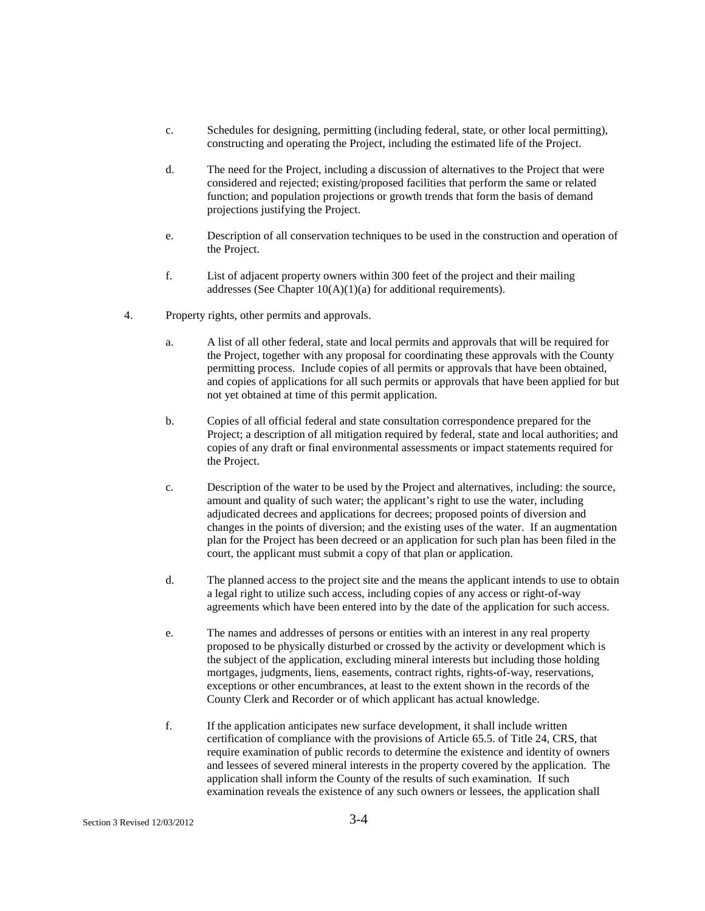- c. Schedules for designing, permitting (including federal, state, or other local permitting), constructing and operating the Project, including the estimated life of the Project.
- d. The need for the Project, including a discussion of alternatives to the Project that were considered and rejected; existing/proposed facilities that perform the same or related function; and population projections or growth trends that form the basis of demand projections justifying the Project.
- e. Description of all conservation techniques to be used in the construction and operation of the Project.
- f. List of adjacent property owners within 300 feet of the project and their mailing addresses (See Chapter  $10(A)(1)(a)$  for additional requirements).
- 4. Property rights, other permits and approvals.
	- a. A list of all other federal, state and local permits and approvals that will be required for the Project, together with any proposal for coordinating these approvals with the County permitting process. Include copies of all permits or approvals that have been obtained, and copies of applications for all such permits or approvals that have been applied for but not yet obtained at time of this permit application.
	- b. Copies of all official federal and state consultation correspondence prepared for the Project; a description of all mitigation required by federal, state and local authorities; and copies of any draft or final environmental assessments or impact statements required for the Project.
	- c. Description of the water to be used by the Project and alternatives, including: the source, amount and quality of such water; the applicant's right to use the water, including adjudicated decrees and applications for decrees; proposed points of diversion and changes in the points of diversion; and the existing uses of the water. If an augmentation plan for the Project has been decreed or an application for such plan has been filed in the court, the applicant must submit a copy of that plan or application.
	- d. The planned access to the project site and the means the applicant intends to use to obtain a legal right to utilize such access, including copies of any access or right-of-way agreements which have been entered into by the date of the application for such access.
	- e. The names and addresses of persons or entities with an interest in any real property proposed to be physically disturbed or crossed by the activity or development which is the subject of the application, excluding mineral interests but including those holding mortgages, judgments, liens, easements, contract rights, rights-of-way, reservations, exceptions or other encumbrances, at least to the extent shown in the records of the County Clerk and Recorder or of which applicant has actual knowledge.
	- f. If the application anticipates new surface development, it shall include written certification of compliance with the provisions of Article 65.5. of Title 24, CRS, that require examination of public records to determine the existence and identity of owners and lessees of severed mineral interests in the property covered by the application. The application shall inform the County of the results of such examination. If such examination reveals the existence of any such owners or lessees, the application shall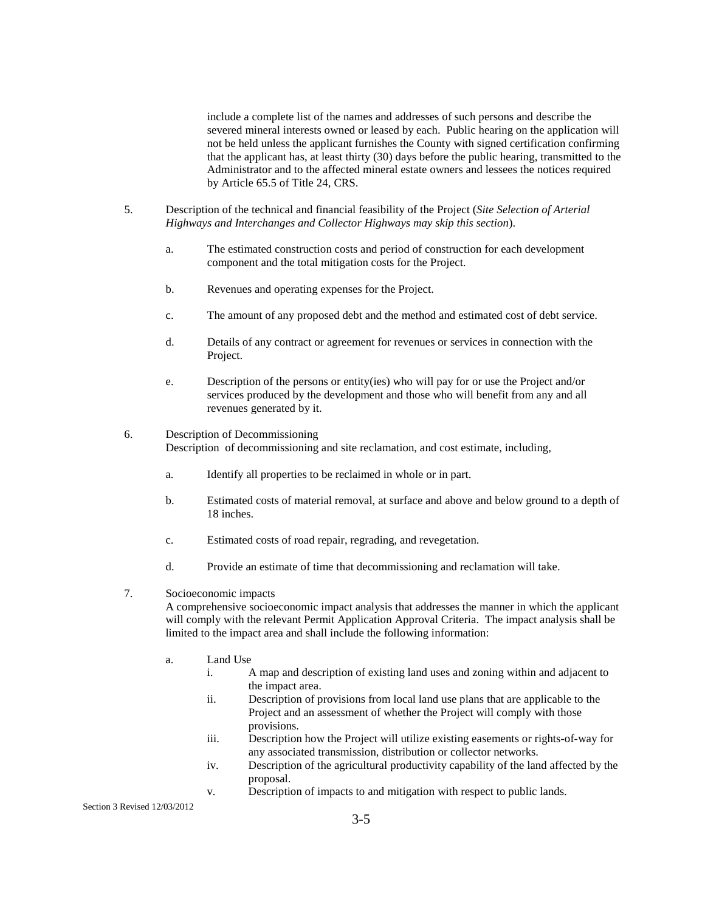include a complete list of the names and addresses of such persons and describe the severed mineral interests owned or leased by each. Public hearing on the application will not be held unless the applicant furnishes the County with signed certification confirming that the applicant has, at least thirty (30) days before the public hearing, transmitted to the Administrator and to the affected mineral estate owners and lessees the notices required by Article 65.5 of Title 24, CRS.

- 5. Description of the technical and financial feasibility of the Project (*Site Selection of Arterial Highways and Interchanges and Collector Highways may skip this section*).
	- a. The estimated construction costs and period of construction for each development component and the total mitigation costs for the Project.
	- b. Revenues and operating expenses for the Project.
	- c. The amount of any proposed debt and the method and estimated cost of debt service.
	- d. Details of any contract or agreement for revenues or services in connection with the Project.
	- e. Description of the persons or entity(ies) who will pay for or use the Project and/or services produced by the development and those who will benefit from any and all revenues generated by it.
- 6. Description of Decommissioning Description of decommissioning and site reclamation, and cost estimate, including,
	- a. Identify all properties to be reclaimed in whole or in part.
	- b. Estimated costs of material removal, at surface and above and below ground to a depth of 18 inches.
	- c. Estimated costs of road repair, regrading, and revegetation.
	- d. Provide an estimate of time that decommissioning and reclamation will take.
- 7. Socioeconomic impacts

A comprehensive socioeconomic impact analysis that addresses the manner in which the applicant will comply with the relevant Permit Application Approval Criteria. The impact analysis shall be limited to the impact area and shall include the following information:

- a. Land Use
	- i. A map and description of existing land uses and zoning within and adjacent to the impact area.
	- ii. Description of provisions from local land use plans that are applicable to the Project and an assessment of whether the Project will comply with those provisions.
	- iii. Description how the Project will utilize existing easements or rights-of-way for any associated transmission, distribution or collector networks.
	- iv. Description of the agricultural productivity capability of the land affected by the proposal.
	- v. Description of impacts to and mitigation with respect to public lands.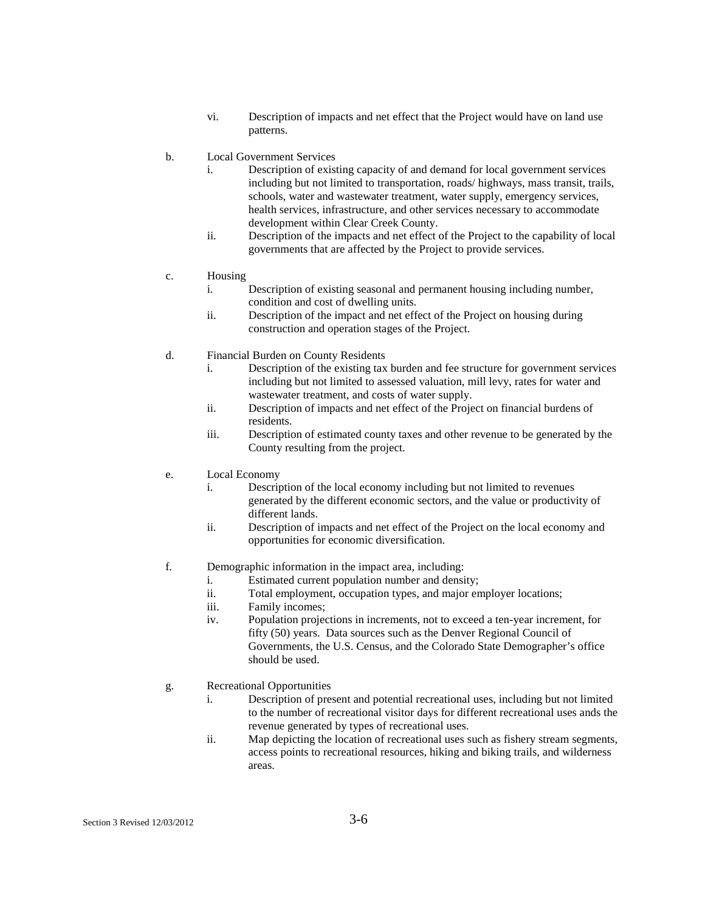- vi. Description of impacts and net effect that the Project would have on land use patterns.
- b. Local Government Services
	- i. Description of existing capacity of and demand for local government services including but not limited to transportation, roads/ highways, mass transit, trails, schools, water and wastewater treatment, water supply, emergency services, health services, infrastructure, and other services necessary to accommodate development within Clear Creek County.
	- ii. Description of the impacts and net effect of the Project to the capability of local governments that are affected by the Project to provide services.
- c. Housing
	- i. Description of existing seasonal and permanent housing including number, condition and cost of dwelling units.
	- ii. Description of the impact and net effect of the Project on housing during construction and operation stages of the Project.
- d. Financial Burden on County Residents
	- i. Description of the existing tax burden and fee structure for government services including but not limited to assessed valuation, mill levy, rates for water and wastewater treatment, and costs of water supply.
	- ii. Description of impacts and net effect of the Project on financial burdens of residents.
	- iii. Description of estimated county taxes and other revenue to be generated by the County resulting from the project.
- e. Local Economy
	- i. Description of the local economy including but not limited to revenues generated by the different economic sectors, and the value or productivity of different lands.
	- ii. Description of impacts and net effect of the Project on the local economy and opportunities for economic diversification.
- f. Demographic information in the impact area, including:
	- i. Estimated current population number and density;
	- ii. Total employment, occupation types, and major employer locations;
	- iii. Family incomes;
	- iv. Population projections in increments, not to exceed a ten-year increment, for fifty (50) years. Data sources such as the Denver Regional Council of Governments, the U.S. Census, and the Colorado State Demographer's office should be used.
- g. Recreational Opportunities
	- i. Description of present and potential recreational uses, including but not limited to the number of recreational visitor days for different recreational uses ands the revenue generated by types of recreational uses.
	- ii. Map depicting the location of recreational uses such as fishery stream segments, access points to recreational resources, hiking and biking trails, and wilderness areas.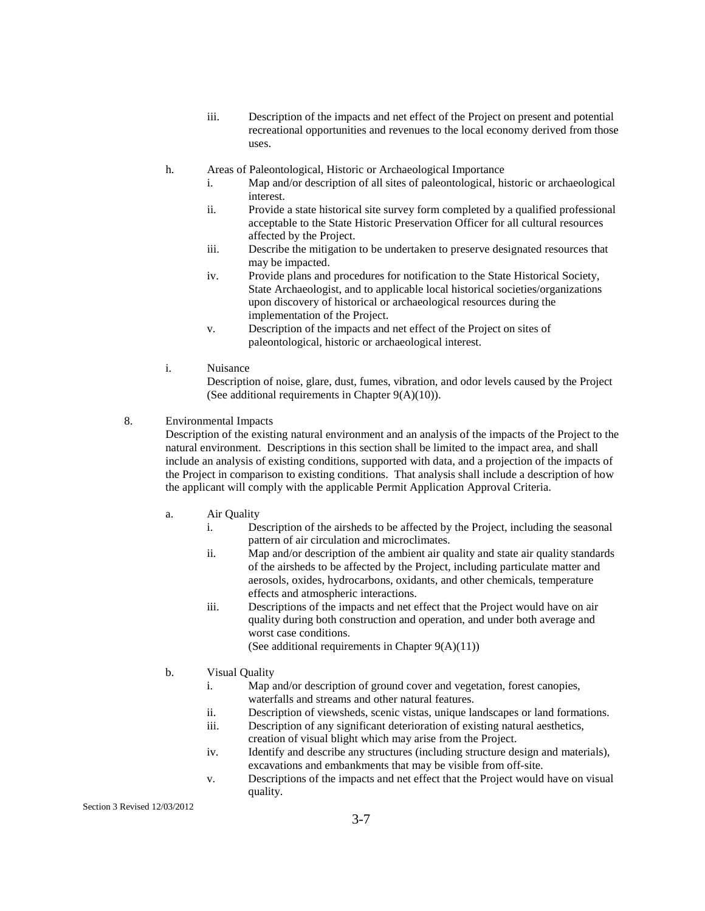- iii. Description of the impacts and net effect of the Project on present and potential recreational opportunities and revenues to the local economy derived from those uses.
- h. Areas of Paleontological, Historic or Archaeological Importance
	- i. Map and/or description of all sites of paleontological, historic or archaeological interest.
	- ii. Provide a state historical site survey form completed by a qualified professional acceptable to the State Historic Preservation Officer for all cultural resources affected by the Project.
	- iii. Describe the mitigation to be undertaken to preserve designated resources that may be impacted.
	- iv. Provide plans and procedures for notification to the State Historical Society, State Archaeologist, and to applicable local historical societies/organizations upon discovery of historical or archaeological resources during the implementation of the Project.
	- v. Description of the impacts and net effect of the Project on sites of paleontological, historic or archaeological interest.
- i. Nuisance

 Description of noise, glare, dust, fumes, vibration, and odor levels caused by the Project (See additional requirements in Chapter 9(A)(10)).

8. Environmental Impacts

Description of the existing natural environment and an analysis of the impacts of the Project to the natural environment. Descriptions in this section shall be limited to the impact area, and shall include an analysis of existing conditions, supported with data, and a projection of the impacts of the Project in comparison to existing conditions. That analysis shall include a description of how the applicant will comply with the applicable Permit Application Approval Criteria.

- a. Air Quality
	- i. Description of the airsheds to be affected by the Project, including the seasonal pattern of air circulation and microclimates.
	- ii. Map and/or description of the ambient air quality and state air quality standards of the airsheds to be affected by the Project, including particulate matter and aerosols, oxides, hydrocarbons, oxidants, and other chemicals, temperature effects and atmospheric interactions.
	- iii. Descriptions of the impacts and net effect that the Project would have on air quality during both construction and operation, and under both average and worst case conditions. (See additional requirements in Chapter  $9(A)(11)$ )
- b. Visual Quality
	- i. Map and/or description of ground cover and vegetation, forest canopies, waterfalls and streams and other natural features.
	- ii. Description of viewsheds, scenic vistas, unique landscapes or land formations.
	- iii. Description of any significant deterioration of existing natural aesthetics,
	- creation of visual blight which may arise from the Project.
	- iv. Identify and describe any structures (including structure design and materials), excavations and embankments that may be visible from off-site.
	- v. Descriptions of the impacts and net effect that the Project would have on visual quality.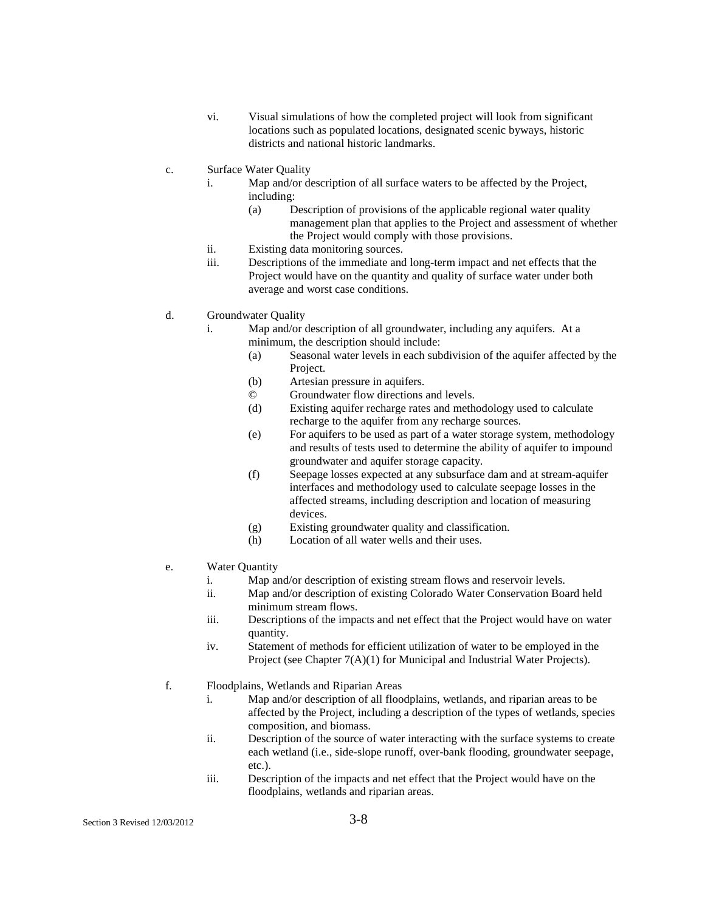- vi. Visual simulations of how the completed project will look from significant locations such as populated locations, designated scenic byways, historic districts and national historic landmarks.
- c. Surface Water Quality
	- i. Map and/or description of all surface waters to be affected by the Project, including:
		- (a) Description of provisions of the applicable regional water quality management plan that applies to the Project and assessment of whether the Project would comply with those provisions.
	- ii. Existing data monitoring sources.
	- iii. Descriptions of the immediate and long-term impact and net effects that the Project would have on the quantity and quality of surface water under both average and worst case conditions.
- d. Groundwater Quality
	- i. Map and/or description of all groundwater, including any aquifers. At a minimum, the description should include:
		- (a) Seasonal water levels in each subdivision of the aquifer affected by the Project.
		- (b) Artesian pressure in aquifers.
		- © Groundwater flow directions and levels.
		- (d) Existing aquifer recharge rates and methodology used to calculate recharge to the aquifer from any recharge sources.
		- (e) For aquifers to be used as part of a water storage system, methodology and results of tests used to determine the ability of aquifer to impound groundwater and aquifer storage capacity.
		- (f) Seepage losses expected at any subsurface dam and at stream-aquifer interfaces and methodology used to calculate seepage losses in the affected streams, including description and location of measuring devices.
		- (g) Existing groundwater quality and classification.
		- (h) Location of all water wells and their uses.
- e. Water Quantity
	- i. Map and/or description of existing stream flows and reservoir levels.
	- ii. Map and/or description of existing Colorado Water Conservation Board held minimum stream flows.
	- iii. Descriptions of the impacts and net effect that the Project would have on water quantity.
	- iv. Statement of methods for efficient utilization of water to be employed in the Project (see Chapter 7(A)(1) for Municipal and Industrial Water Projects).
- f. Floodplains, Wetlands and Riparian Areas
	- i. Map and/or description of all floodplains, wetlands, and riparian areas to be affected by the Project, including a description of the types of wetlands, species composition, and biomass.
	- ii. Description of the source of water interacting with the surface systems to create each wetland (i.e., side-slope runoff, over-bank flooding, groundwater seepage, etc.).
	- iii. Description of the impacts and net effect that the Project would have on the floodplains, wetlands and riparian areas.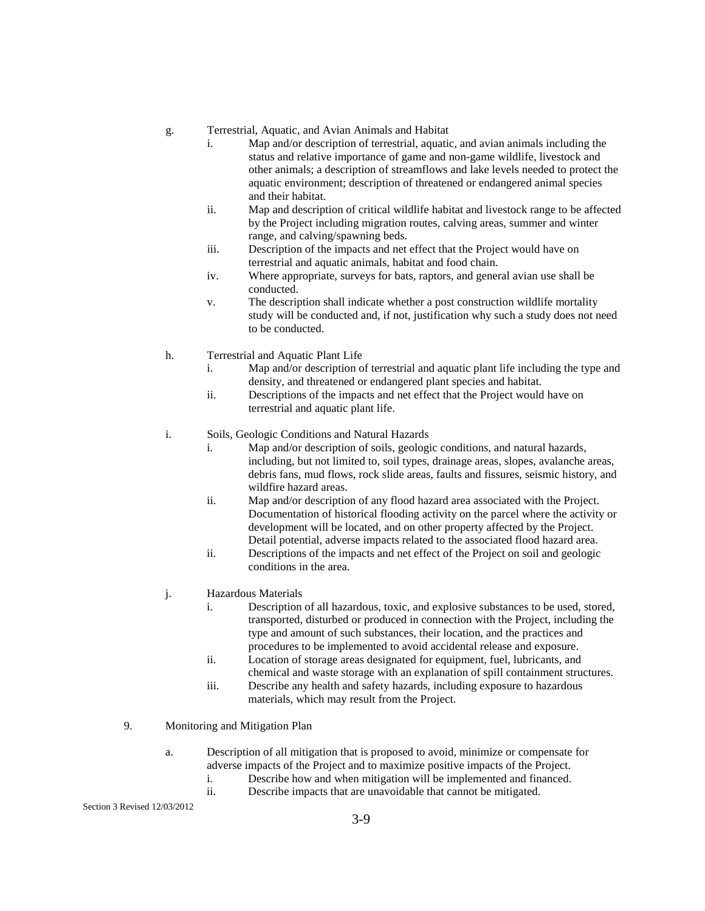- g. Terrestrial, Aquatic, and Avian Animals and Habitat
	- i. Map and/or description of terrestrial, aquatic, and avian animals including the status and relative importance of game and non-game wildlife, livestock and other animals; a description of streamflows and lake levels needed to protect the aquatic environment; description of threatened or endangered animal species and their habitat.
	- ii. Map and description of critical wildlife habitat and livestock range to be affected by the Project including migration routes, calving areas, summer and winter range, and calving/spawning beds.
	- iii. Description of the impacts and net effect that the Project would have on terrestrial and aquatic animals, habitat and food chain.
	- iv. Where appropriate, surveys for bats, raptors, and general avian use shall be conducted.
	- v. The description shall indicate whether a post construction wildlife mortality study will be conducted and, if not, justification why such a study does not need to be conducted.
- h. Terrestrial and Aquatic Plant Life
	- i. Map and/or description of terrestrial and aquatic plant life including the type and density, and threatened or endangered plant species and habitat.
	- ii. Descriptions of the impacts and net effect that the Project would have on terrestrial and aquatic plant life.
- i. Soils, Geologic Conditions and Natural Hazards
	- i. Map and/or description of soils, geologic conditions, and natural hazards, including, but not limited to, soil types, drainage areas, slopes, avalanche areas, debris fans, mud flows, rock slide areas, faults and fissures, seismic history, and wildfire hazard areas.
	- ii. Map and/or description of any flood hazard area associated with the Project. Documentation of historical flooding activity on the parcel where the activity or development will be located, and on other property affected by the Project. Detail potential, adverse impacts related to the associated flood hazard area.
	- ii. Descriptions of the impacts and net effect of the Project on soil and geologic conditions in the area.
- j. Hazardous Materials
	- i. Description of all hazardous, toxic, and explosive substances to be used, stored, transported, disturbed or produced in connection with the Project, including the type and amount of such substances, their location, and the practices and procedures to be implemented to avoid accidental release and exposure.
	- ii. Location of storage areas designated for equipment, fuel, lubricants, and chemical and waste storage with an explanation of spill containment structures.
	- iii. Describe any health and safety hazards, including exposure to hazardous materials, which may result from the Project.
- 9. Monitoring and Mitigation Plan
	- a. Description of all mitigation that is proposed to avoid, minimize or compensate for adverse impacts of the Project and to maximize positive impacts of the Project.
		- i. Describe how and when mitigation will be implemented and financed.
		- ii. Describe impacts that are unavoidable that cannot be mitigated.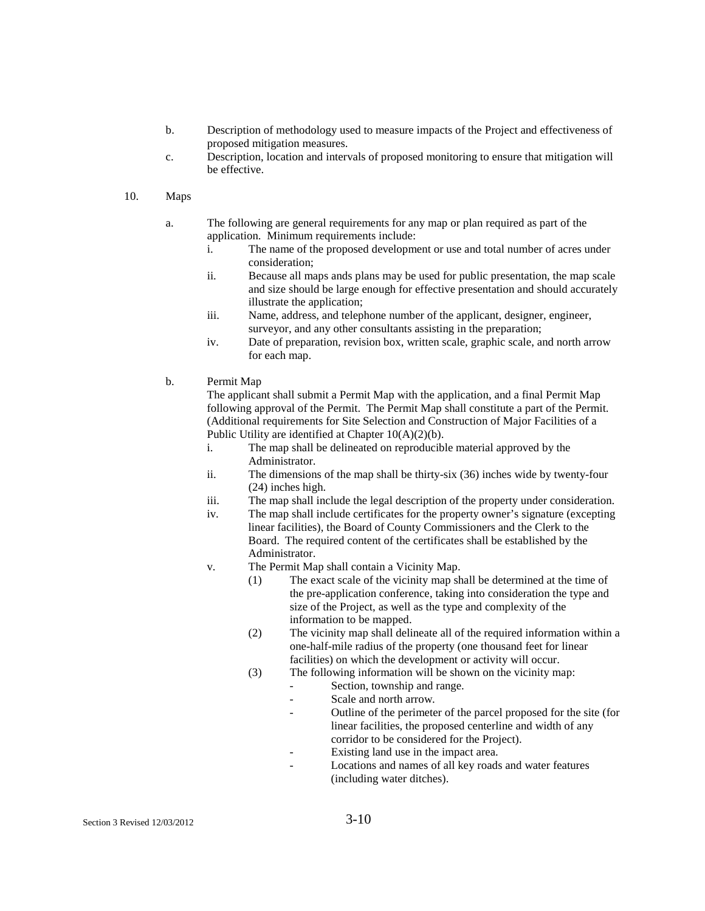- b. Description of methodology used to measure impacts of the Project and effectiveness of proposed mitigation measures.
- c. Description, location and intervals of proposed monitoring to ensure that mitigation will be effective.
- 10. Maps
	- a. The following are general requirements for any map or plan required as part of the application. Minimum requirements include:
		- i. The name of the proposed development or use and total number of acres under consideration;
		- ii. Because all maps ands plans may be used for public presentation, the map scale and size should be large enough for effective presentation and should accurately illustrate the application;
		- iii. Name, address, and telephone number of the applicant, designer, engineer, surveyor, and any other consultants assisting in the preparation;
		- iv. Date of preparation, revision box, written scale, graphic scale, and north arrow for each map.
	- b. Permit Map

 The applicant shall submit a Permit Map with the application, and a final Permit Map following approval of the Permit. The Permit Map shall constitute a part of the Permit. (Additional requirements for Site Selection and Construction of Major Facilities of a Public Utility are identified at Chapter  $10(A)(2)(b)$ .

- i. The map shall be delineated on reproducible material approved by the Administrator.
- ii. The dimensions of the map shall be thirty-six (36) inches wide by twenty-four (24) inches high.
- iii. The map shall include the legal description of the property under consideration.
- iv. The map shall include certificates for the property owner's signature (excepting linear facilities), the Board of County Commissioners and the Clerk to the Board. The required content of the certificates shall be established by the Administrator.
- v. The Permit Map shall contain a Vicinity Map.
	- (1) The exact scale of the vicinity map shall be determined at the time of the pre-application conference, taking into consideration the type and size of the Project, as well as the type and complexity of the information to be mapped.
	- (2) The vicinity map shall delineate all of the required information within a one-half-mile radius of the property (one thousand feet for linear facilities) on which the development or activity will occur.
	- (3) The following information will be shown on the vicinity map:
		- Section, township and range.
		- Scale and north arrow.
		- Outline of the perimeter of the parcel proposed for the site (for linear facilities, the proposed centerline and width of any corridor to be considered for the Project).
		- Existing land use in the impact area.
		- Locations and names of all key roads and water features (including water ditches).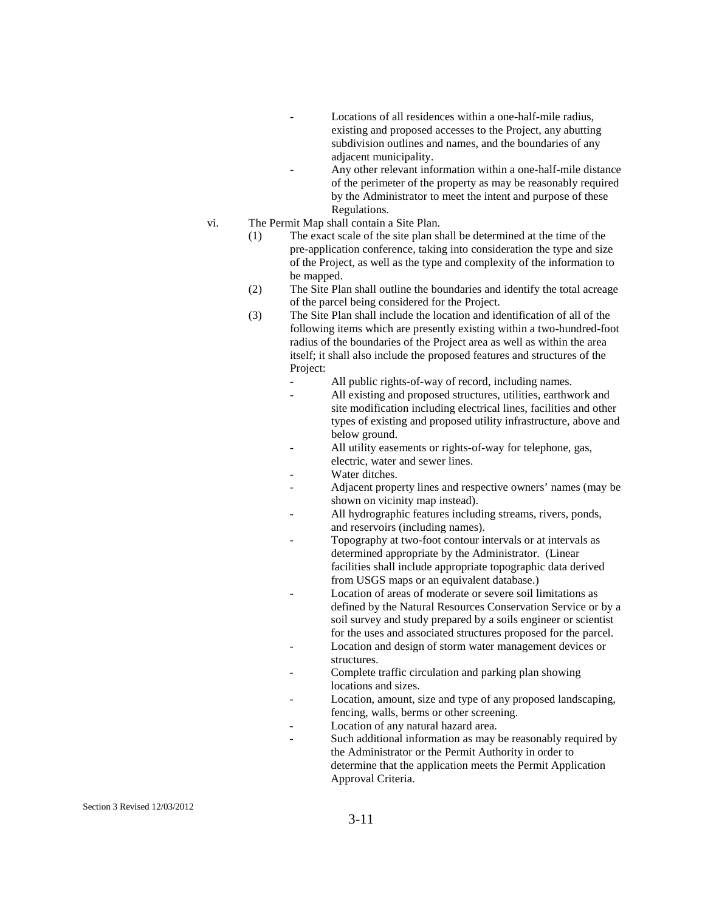- Locations of all residences within a one-half-mile radius, existing and proposed accesses to the Project, any abutting subdivision outlines and names, and the boundaries of any adjacent municipality.
- Any other relevant information within a one-half-mile distance of the perimeter of the property as may be reasonably required by the Administrator to meet the intent and purpose of these Regulations.
- vi. The Permit Map shall contain a Site Plan.
	- (1) The exact scale of the site plan shall be determined at the time of the pre-application conference, taking into consideration the type and size of the Project, as well as the type and complexity of the information to be mapped.
	- (2) The Site Plan shall outline the boundaries and identify the total acreage of the parcel being considered for the Project.
	- (3) The Site Plan shall include the location and identification of all of the following items which are presently existing within a two-hundred-foot radius of the boundaries of the Project area as well as within the area itself; it shall also include the proposed features and structures of the Project:
		- All public rights-of-way of record, including names.
		- All existing and proposed structures, utilities, earthwork and site modification including electrical lines, facilities and other types of existing and proposed utility infrastructure, above and below ground.
		- All utility easements or rights-of-way for telephone, gas, electric, water and sewer lines.
		- Water ditches.
		- Adjacent property lines and respective owners' names (may be shown on vicinity map instead).
		- All hydrographic features including streams, rivers, ponds, and reservoirs (including names).
		- Topography at two-foot contour intervals or at intervals as determined appropriate by the Administrator. (Linear facilities shall include appropriate topographic data derived from USGS maps or an equivalent database.)
		- Location of areas of moderate or severe soil limitations as defined by the Natural Resources Conservation Service or by a soil survey and study prepared by a soils engineer or scientist for the uses and associated structures proposed for the parcel.
		- Location and design of storm water management devices or structures.
		- Complete traffic circulation and parking plan showing locations and sizes.
		- Location, amount, size and type of any proposed landscaping, fencing, walls, berms or other screening.
		- Location of any natural hazard area.
		- Such additional information as may be reasonably required by the Administrator or the Permit Authority in order to determine that the application meets the Permit Application Approval Criteria.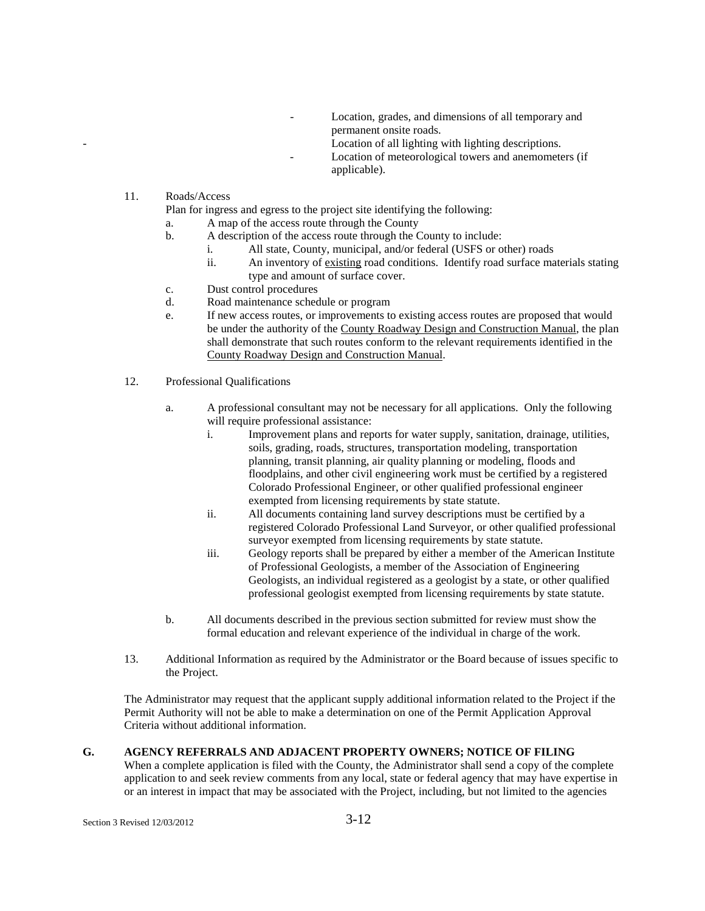- Location, grades, and dimensions of all temporary and permanent onsite roads.
	- Location of all lighting with lighting descriptions.
- Location of meteorological towers and anemometers (if applicable).
- 11. Roads/Access

Plan for ingress and egress to the project site identifying the following:

- a. A map of the access route through the County
- b. A description of the access route through the County to include:
	- i. All state, County, municipal, and/or federal (USFS or other) roads
	- ii. An inventory of existing road conditions. Identify road surface materials stating type and amount of surface cover.
- c. Dust control procedures
- d. Road maintenance schedule or program
- e. If new access routes, or improvements to existing access routes are proposed that would be under the authority of the County Roadway Design and Construction Manual, the plan shall demonstrate that such routes conform to the relevant requirements identified in the County Roadway Design and Construction Manual.
- 12. Professional Qualifications
	- a. A professional consultant may not be necessary for all applications. Only the following will require professional assistance:
		- i. Improvement plans and reports for water supply, sanitation, drainage, utilities, soils, grading, roads, structures, transportation modeling, transportation planning, transit planning, air quality planning or modeling, floods and floodplains, and other civil engineering work must be certified by a registered Colorado Professional Engineer, or other qualified professional engineer exempted from licensing requirements by state statute.
		- ii. All documents containing land survey descriptions must be certified by a registered Colorado Professional Land Surveyor, or other qualified professional surveyor exempted from licensing requirements by state statute.
		- iii. Geology reports shall be prepared by either a member of the American Institute of Professional Geologists, a member of the Association of Engineering Geologists, an individual registered as a geologist by a state, or other qualified professional geologist exempted from licensing requirements by state statute.
	- b. All documents described in the previous section submitted for review must show the formal education and relevant experience of the individual in charge of the work.
- 13. Additional Information as required by the Administrator or the Board because of issues specific to the Project.

The Administrator may request that the applicant supply additional information related to the Project if the Permit Authority will not be able to make a determination on one of the Permit Application Approval Criteria without additional information.

#### **G. AGENCY REFERRALS AND ADJACENT PROPERTY OWNERS; NOTICE OF FILING**

When a complete application is filed with the County, the Administrator shall send a copy of the complete application to and seek review comments from any local, state or federal agency that may have expertise in or an interest in impact that may be associated with the Project, including, but not limited to the agencies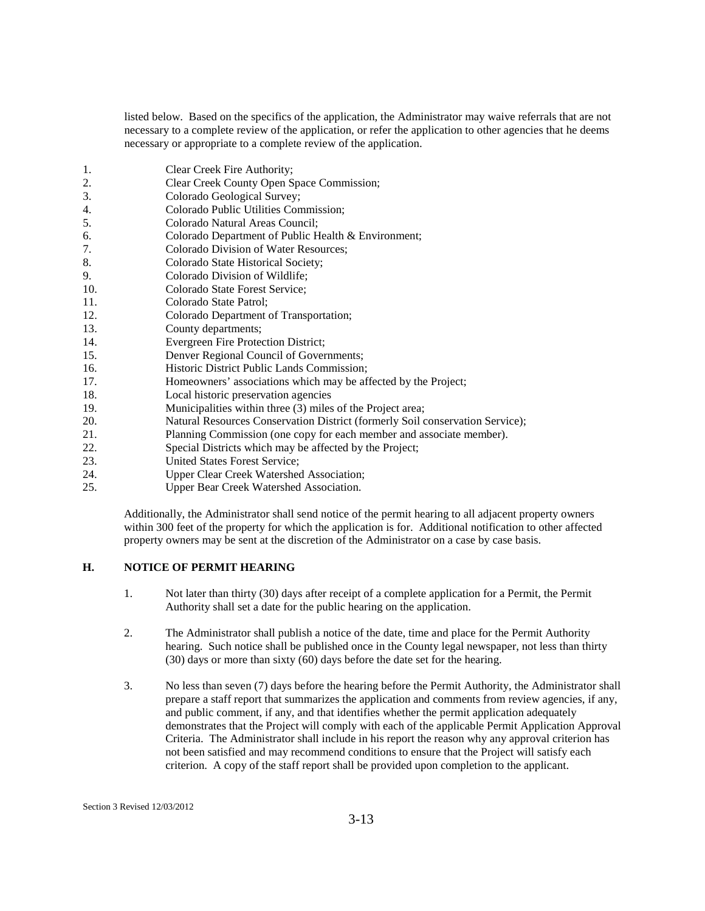listed below. Based on the specifics of the application, the Administrator may waive referrals that are not necessary to a complete review of the application, or refer the application to other agencies that he deems necessary or appropriate to a complete review of the application.

- 1. Clear Creek Fire Authority;
- 2. Clear Creek County Open Space Commission;
- 3. Colorado Geological Survey;
- 4. Colorado Public Utilities Commission;
- 5. Colorado Natural Areas Council;
- 6. Colorado Department of Public Health & Environment;
- 7. Colorado Division of Water Resources;
- 8. Colorado State Historical Society;
- 9. Colorado Division of Wildlife;
- 10. Colorado State Forest Service;
- 11. Colorado State Patrol;
- 12. Colorado Department of Transportation;<br>13. County departments:
- County departments;
- 14. Evergreen Fire Protection District;
- 15. Denver Regional Council of Governments;
- 16. Historic District Public Lands Commission;
- 17. Homeowners' associations which may be affected by the Project;
- 18. Local historic preservation agencies
- 19. Municipalities within three (3) miles of the Project area;
- 20. Natural Resources Conservation District (formerly Soil conservation Service);
- 21. Planning Commission (one copy for each member and associate member).
- 22. Special Districts which may be affected by the Project;
- 23. United States Forest Service;
- 24. Upper Clear Creek Watershed Association;<br>25. Upper Bear Creek Watershed Association.
- Upper Bear Creek Watershed Association.

Additionally, the Administrator shall send notice of the permit hearing to all adjacent property owners within 300 feet of the property for which the application is for. Additional notification to other affected property owners may be sent at the discretion of the Administrator on a case by case basis.

#### **H. NOTICE OF PERMIT HEARING**

- 1. Not later than thirty (30) days after receipt of a complete application for a Permit, the Permit Authority shall set a date for the public hearing on the application.
- 2. The Administrator shall publish a notice of the date, time and place for the Permit Authority hearing. Such notice shall be published once in the County legal newspaper, not less than thirty (30) days or more than sixty (60) days before the date set for the hearing.
- 3. No less than seven (7) days before the hearing before the Permit Authority, the Administrator shall prepare a staff report that summarizes the application and comments from review agencies, if any, and public comment, if any, and that identifies whether the permit application adequately demonstrates that the Project will comply with each of the applicable Permit Application Approval Criteria. The Administrator shall include in his report the reason why any approval criterion has not been satisfied and may recommend conditions to ensure that the Project will satisfy each criterion. A copy of the staff report shall be provided upon completion to the applicant.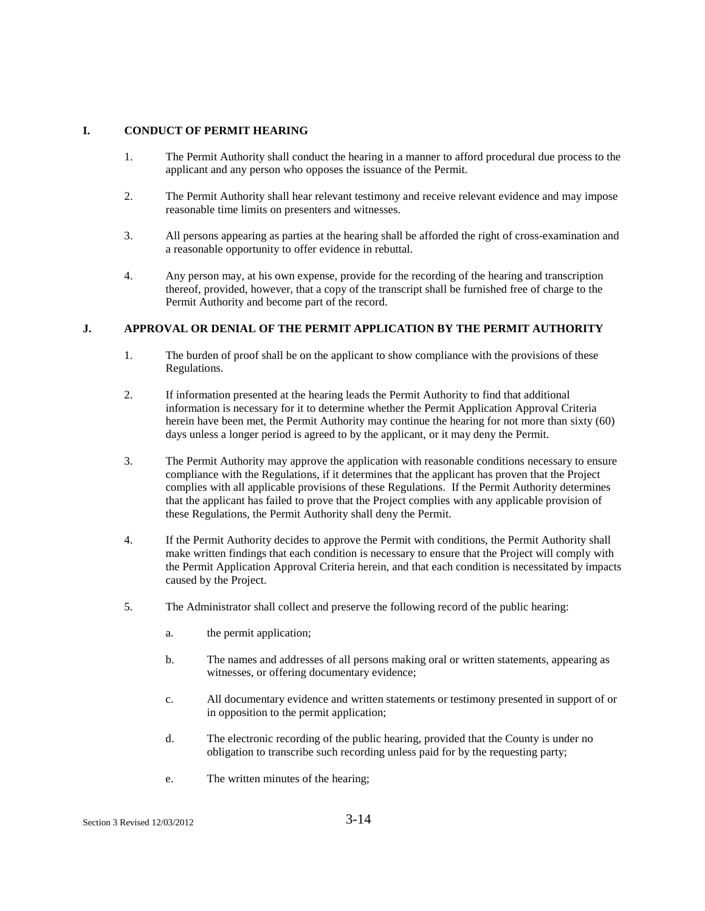# **I. CONDUCT OF PERMIT HEARING**

- 1. The Permit Authority shall conduct the hearing in a manner to afford procedural due process to the applicant and any person who opposes the issuance of the Permit.
- 2. The Permit Authority shall hear relevant testimony and receive relevant evidence and may impose reasonable time limits on presenters and witnesses.
- 3. All persons appearing as parties at the hearing shall be afforded the right of cross-examination and a reasonable opportunity to offer evidence in rebuttal.
- 4. Any person may, at his own expense, provide for the recording of the hearing and transcription thereof, provided, however, that a copy of the transcript shall be furnished free of charge to the Permit Authority and become part of the record.

# **J. APPROVAL OR DENIAL OF THE PERMIT APPLICATION BY THE PERMIT AUTHORITY**

- 1. The burden of proof shall be on the applicant to show compliance with the provisions of these Regulations.
- 2. If information presented at the hearing leads the Permit Authority to find that additional information is necessary for it to determine whether the Permit Application Approval Criteria herein have been met, the Permit Authority may continue the hearing for not more than sixty (60) days unless a longer period is agreed to by the applicant, or it may deny the Permit.
- 3. The Permit Authority may approve the application with reasonable conditions necessary to ensure compliance with the Regulations, if it determines that the applicant has proven that the Project complies with all applicable provisions of these Regulations. If the Permit Authority determines that the applicant has failed to prove that the Project complies with any applicable provision of these Regulations, the Permit Authority shall deny the Permit.
- 4. If the Permit Authority decides to approve the Permit with conditions, the Permit Authority shall make written findings that each condition is necessary to ensure that the Project will comply with the Permit Application Approval Criteria herein, and that each condition is necessitated by impacts caused by the Project.
- 5. The Administrator shall collect and preserve the following record of the public hearing:
	- a. the permit application;
	- b. The names and addresses of all persons making oral or written statements, appearing as witnesses, or offering documentary evidence;
	- c. All documentary evidence and written statements or testimony presented in support of or in opposition to the permit application;
	- d. The electronic recording of the public hearing, provided that the County is under no obligation to transcribe such recording unless paid for by the requesting party;
	- e. The written minutes of the hearing;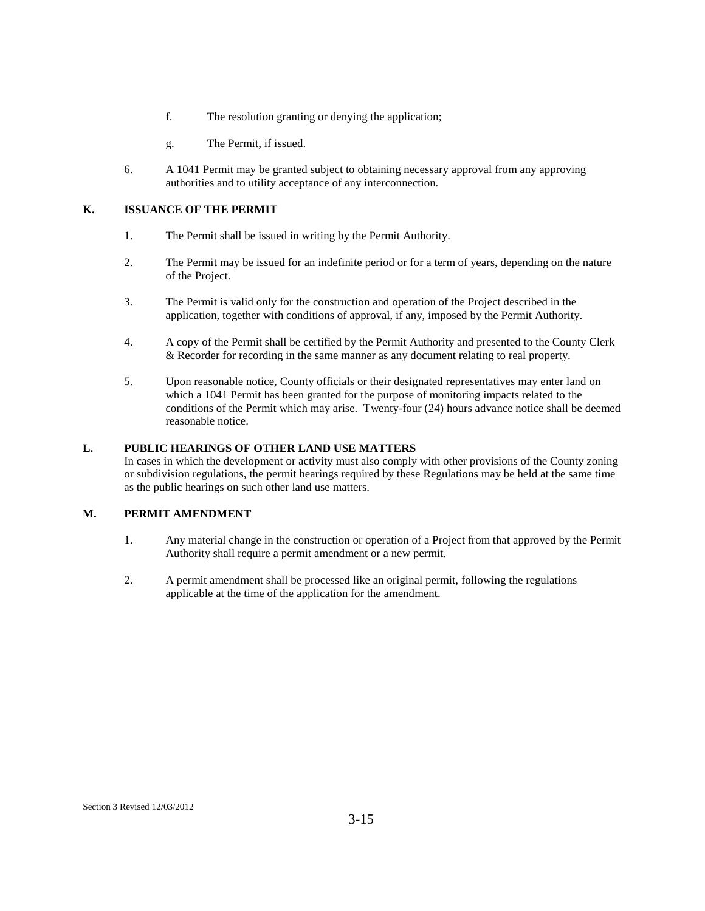- f. The resolution granting or denying the application;
- g. The Permit, if issued.
- 6. A 1041 Permit may be granted subject to obtaining necessary approval from any approving authorities and to utility acceptance of any interconnection.

# **K. ISSUANCE OF THE PERMIT**

- 1. The Permit shall be issued in writing by the Permit Authority.
- 2. The Permit may be issued for an indefinite period or for a term of years, depending on the nature of the Project.
- 3. The Permit is valid only for the construction and operation of the Project described in the application, together with conditions of approval, if any, imposed by the Permit Authority.
- 4. A copy of the Permit shall be certified by the Permit Authority and presented to the County Clerk & Recorder for recording in the same manner as any document relating to real property.
- 5. Upon reasonable notice, County officials or their designated representatives may enter land on which a 1041 Permit has been granted for the purpose of monitoring impacts related to the conditions of the Permit which may arise. Twenty-four (24) hours advance notice shall be deemed reasonable notice.

# **L. PUBLIC HEARINGS OF OTHER LAND USE MATTERS**

In cases in which the development or activity must also comply with other provisions of the County zoning or subdivision regulations, the permit hearings required by these Regulations may be held at the same time as the public hearings on such other land use matters.

# **M. PERMIT AMENDMENT**

- 1. Any material change in the construction or operation of a Project from that approved by the Permit Authority shall require a permit amendment or a new permit.
- 2. A permit amendment shall be processed like an original permit, following the regulations applicable at the time of the application for the amendment.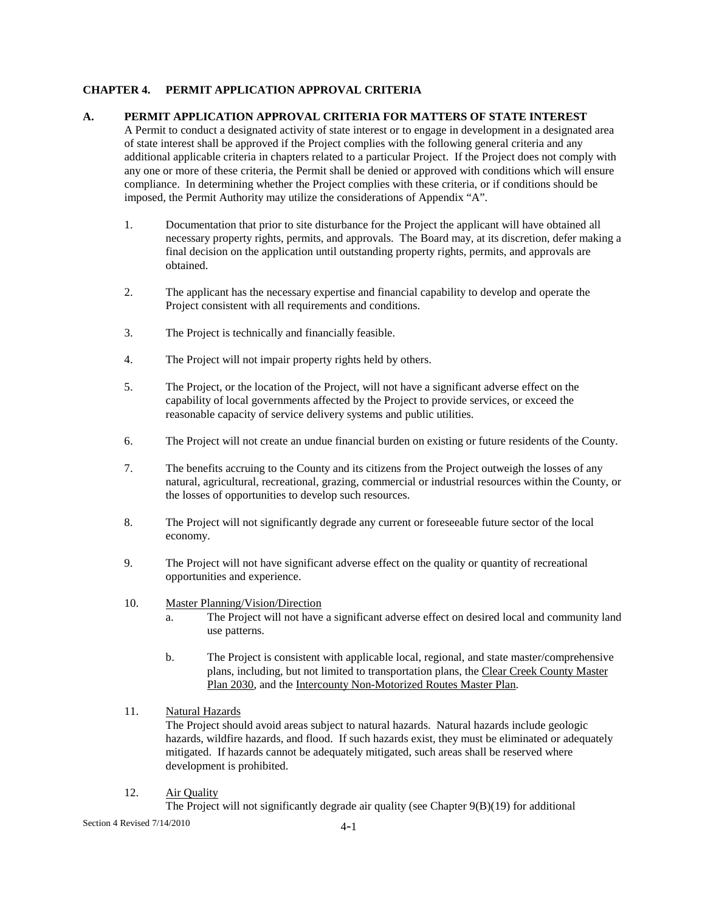# **CHAPTER 4. PERMIT APPLICATION APPROVAL CRITERIA**

# **A. PERMIT APPLICATION APPROVAL CRITERIA FOR MATTERS OF STATE INTEREST**

A Permit to conduct a designated activity of state interest or to engage in development in a designated area of state interest shall be approved if the Project complies with the following general criteria and any additional applicable criteria in chapters related to a particular Project. If the Project does not comply with any one or more of these criteria, the Permit shall be denied or approved with conditions which will ensure compliance. In determining whether the Project complies with these criteria, or if conditions should be imposed, the Permit Authority may utilize the considerations of Appendix "A".

- 1. Documentation that prior to site disturbance for the Project the applicant will have obtained all necessary property rights, permits, and approvals. The Board may, at its discretion, defer making a final decision on the application until outstanding property rights, permits, and approvals are obtained.
- 2. The applicant has the necessary expertise and financial capability to develop and operate the Project consistent with all requirements and conditions.
- 3. The Project is technically and financially feasible.
- 4. The Project will not impair property rights held by others.
- 5. The Project, or the location of the Project, will not have a significant adverse effect on the capability of local governments affected by the Project to provide services, or exceed the reasonable capacity of service delivery systems and public utilities.
- 6. The Project will not create an undue financial burden on existing or future residents of the County.
- 7. The benefits accruing to the County and its citizens from the Project outweigh the losses of any natural, agricultural, recreational, grazing, commercial or industrial resources within the County, or the losses of opportunities to develop such resources.
- 8. The Project will not significantly degrade any current or foreseeable future sector of the local economy.
- 9. The Project will not have significant adverse effect on the quality or quantity of recreational opportunities and experience.
- 10. Master Planning/Vision/Direction
	- a. The Project will not have a significant adverse effect on desired local and community land use patterns.
	- b. The Project is consistent with applicable local, regional, and state master/comprehensive plans, including, but not limited to transportation plans, the Clear Creek County Master Plan 2030, and the Intercounty Non-Motorized Routes Master Plan.

#### 11. Natural Hazards

The Project should avoid areas subject to natural hazards. Natural hazards include geologic hazards, wildfire hazards, and flood. If such hazards exist, they must be eliminated or adequately mitigated. If hazards cannot be adequately mitigated, such areas shall be reserved where development is prohibited.

12. Air Quality

The Project will not significantly degrade air quality (see Chapter  $9(B)(19)$ ) for additional

Section 4 Revised 7/14/2010 4-1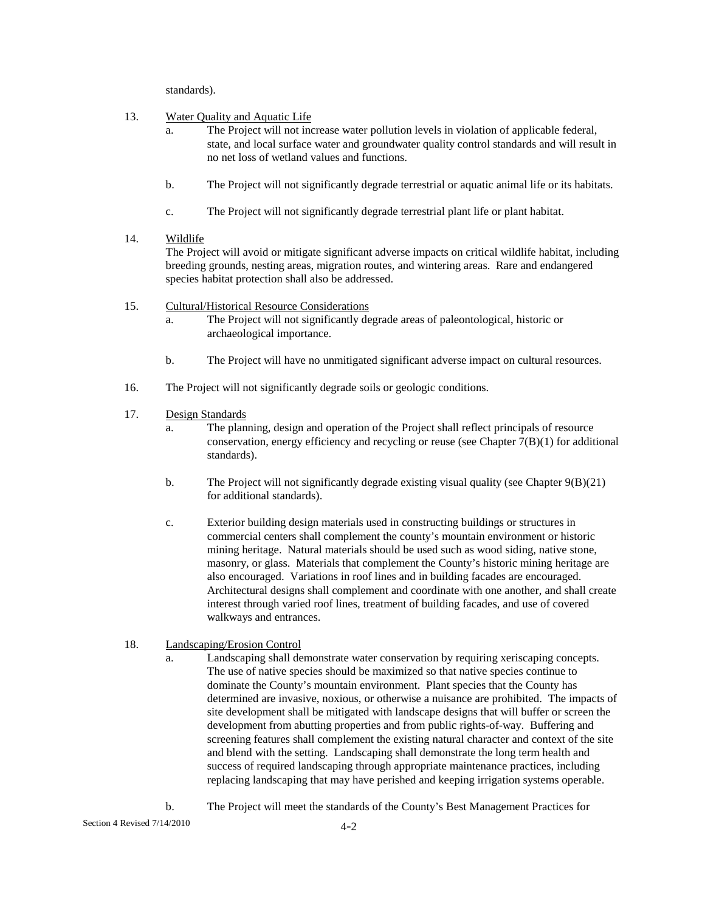standards).

- 13. Water Quality and Aquatic Life
	- a. The Project will not increase water pollution levels in violation of applicable federal, state, and local surface water and groundwater quality control standards and will result in no net loss of wetland values and functions.
	- b. The Project will not significantly degrade terrestrial or aquatic animal life or its habitats.
	- c. The Project will not significantly degrade terrestrial plant life or plant habitat.

# 14. Wildlife

The Project will avoid or mitigate significant adverse impacts on critical wildlife habitat, including breeding grounds, nesting areas, migration routes, and wintering areas. Rare and endangered species habitat protection shall also be addressed.

- 15. Cultural/Historical Resource Considerations
	- a. The Project will not significantly degrade areas of paleontological, historic or archaeological importance.
	- b. The Project will have no unmitigated significant adverse impact on cultural resources.
- 16. The Project will not significantly degrade soils or geologic conditions.
- 17. Design Standards
	- a. The planning, design and operation of the Project shall reflect principals of resource conservation, energy efficiency and recycling or reuse (see Chapter 7(B)(1) for additional standards).
	- b. The Project will not significantly degrade existing visual quality (see Chapter  $9(B)(21)$ ) for additional standards).
	- c. Exterior building design materials used in constructing buildings or structures in commercial centers shall complement the county's mountain environment or historic mining heritage. Natural materials should be used such as wood siding, native stone, masonry, or glass. Materials that complement the County's historic mining heritage are also encouraged. Variations in roof lines and in building facades are encouraged. Architectural designs shall complement and coordinate with one another, and shall create interest through varied roof lines, treatment of building facades, and use of covered walkways and entrances.

# 18. Landscaping/Erosion Control

- a. Landscaping shall demonstrate water conservation by requiring xeriscaping concepts. The use of native species should be maximized so that native species continue to dominate the County's mountain environment. Plant species that the County has determined are invasive, noxious, or otherwise a nuisance are prohibited. The impacts of site development shall be mitigated with landscape designs that will buffer or screen the development from abutting properties and from public rights-of-way. Buffering and screening features shall complement the existing natural character and context of the site and blend with the setting. Landscaping shall demonstrate the long term health and success of required landscaping through appropriate maintenance practices, including replacing landscaping that may have perished and keeping irrigation systems operable.
- b. The Project will meet the standards of the County's Best Management Practices for

Section 4 Revised 7/14/2010 4-2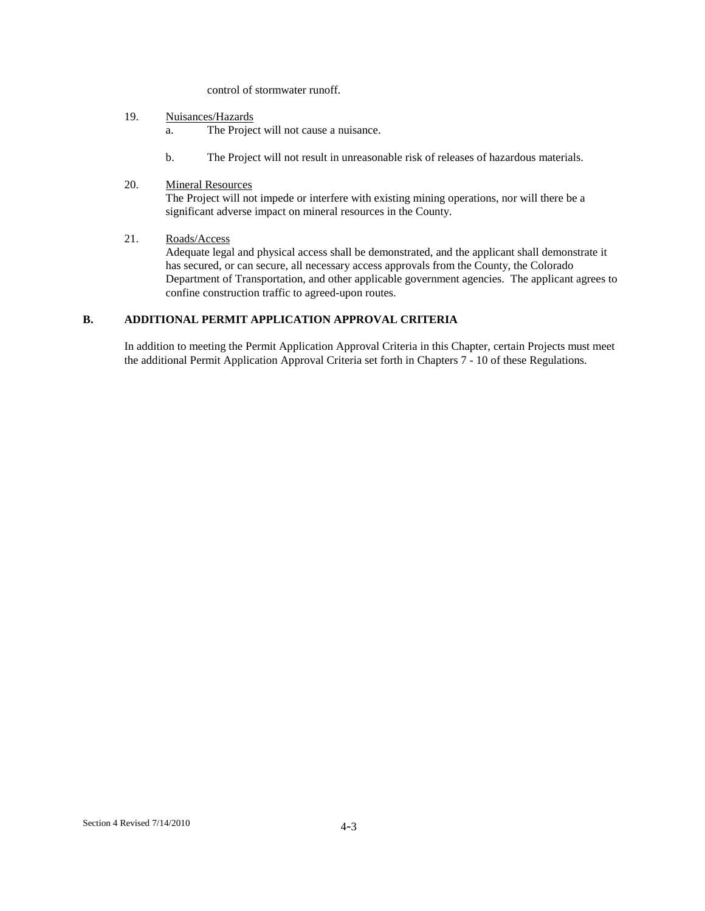control of stormwater runoff.

- 19. Nuisances/Hazards
	- a. The Project will not cause a nuisance.
	- b. The Project will not result in unreasonable risk of releases of hazardous materials.
- 20. Mineral Resources

The Project will not impede or interfere with existing mining operations, nor will there be a significant adverse impact on mineral resources in the County.

21. Roads/Access

 Adequate legal and physical access shall be demonstrated, and the applicant shall demonstrate it has secured, or can secure, all necessary access approvals from the County, the Colorado Department of Transportation, and other applicable government agencies. The applicant agrees to confine construction traffic to agreed-upon routes.

# **B. ADDITIONAL PERMIT APPLICATION APPROVAL CRITERIA**

In addition to meeting the Permit Application Approval Criteria in this Chapter, certain Projects must meet the additional Permit Application Approval Criteria set forth in Chapters 7 - 10 of these Regulations.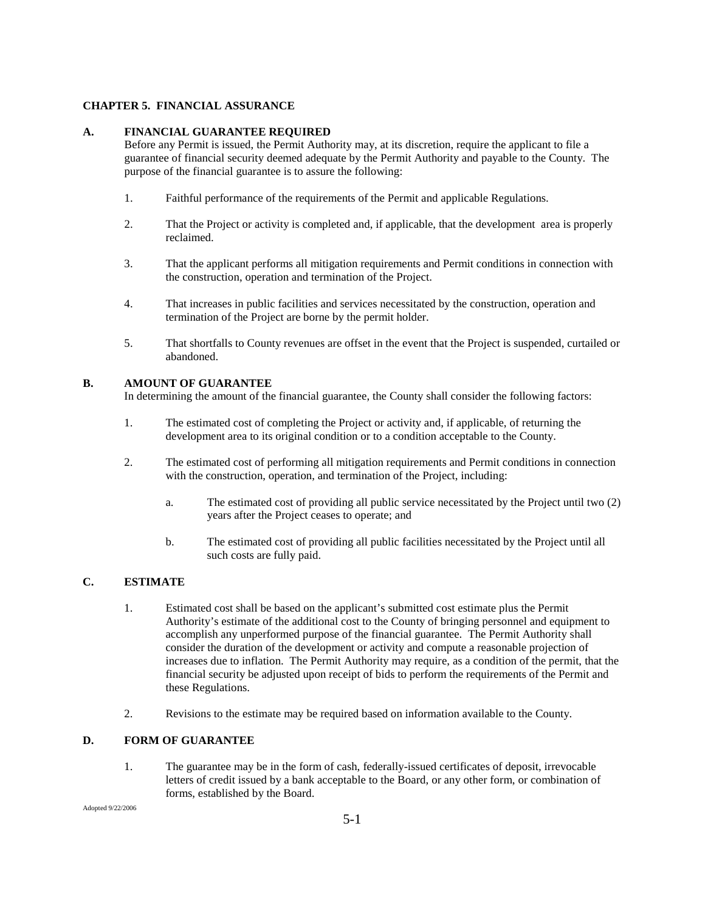### **CHAPTER 5. FINANCIAL ASSURANCE**

# **A. FINANCIAL GUARANTEE REQUIRED**

Before any Permit is issued, the Permit Authority may, at its discretion, require the applicant to file a guarantee of financial security deemed adequate by the Permit Authority and payable to the County. The purpose of the financial guarantee is to assure the following:

- 1. Faithful performance of the requirements of the Permit and applicable Regulations.
- 2. That the Project or activity is completed and, if applicable, that the development area is properly reclaimed.
- 3. That the applicant performs all mitigation requirements and Permit conditions in connection with the construction, operation and termination of the Project.
- 4. That increases in public facilities and services necessitated by the construction, operation and termination of the Project are borne by the permit holder.
- 5. That shortfalls to County revenues are offset in the event that the Project is suspended, curtailed or abandoned.

# **B. AMOUNT OF GUARANTEE**

In determining the amount of the financial guarantee, the County shall consider the following factors:

- 1. The estimated cost of completing the Project or activity and, if applicable, of returning the development area to its original condition or to a condition acceptable to the County.
- 2. The estimated cost of performing all mitigation requirements and Permit conditions in connection with the construction, operation, and termination of the Project, including:
	- a. The estimated cost of providing all public service necessitated by the Project until two (2) years after the Project ceases to operate; and
	- b. The estimated cost of providing all public facilities necessitated by the Project until all such costs are fully paid.

# **C. ESTIMATE**

- 1. Estimated cost shall be based on the applicant's submitted cost estimate plus the Permit Authority's estimate of the additional cost to the County of bringing personnel and equipment to accomplish any unperformed purpose of the financial guarantee. The Permit Authority shall consider the duration of the development or activity and compute a reasonable projection of increases due to inflation. The Permit Authority may require, as a condition of the permit, that the financial security be adjusted upon receipt of bids to perform the requirements of the Permit and these Regulations.
- 2. Revisions to the estimate may be required based on information available to the County.

# **D. FORM OF GUARANTEE**

1. The guarantee may be in the form of cash, federally-issued certificates of deposit, irrevocable letters of credit issued by a bank acceptable to the Board, or any other form, or combination of forms, established by the Board.

Adopted 9/22/2006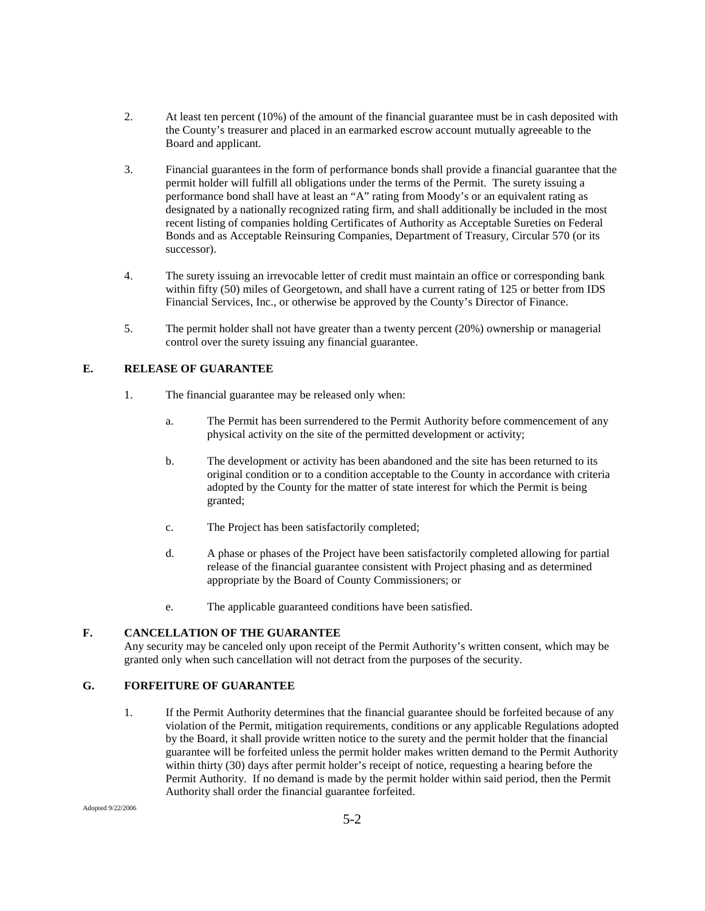- 2. At least ten percent (10%) of the amount of the financial guarantee must be in cash deposited with the County's treasurer and placed in an earmarked escrow account mutually agreeable to the Board and applicant.
- 3. Financial guarantees in the form of performance bonds shall provide a financial guarantee that the permit holder will fulfill all obligations under the terms of the Permit. The surety issuing a performance bond shall have at least an "A" rating from Moody's or an equivalent rating as designated by a nationally recognized rating firm, and shall additionally be included in the most recent listing of companies holding Certificates of Authority as Acceptable Sureties on Federal Bonds and as Acceptable Reinsuring Companies, Department of Treasury, Circular 570 (or its successor).
- 4. The surety issuing an irrevocable letter of credit must maintain an office or corresponding bank within fifty (50) miles of Georgetown, and shall have a current rating of 125 or better from IDS Financial Services, Inc., or otherwise be approved by the County's Director of Finance.
- 5. The permit holder shall not have greater than a twenty percent (20%) ownership or managerial control over the surety issuing any financial guarantee.

# **E. RELEASE OF GUARANTEE**

- 1. The financial guarantee may be released only when:
	- a. The Permit has been surrendered to the Permit Authority before commencement of any physical activity on the site of the permitted development or activity;
	- b. The development or activity has been abandoned and the site has been returned to its original condition or to a condition acceptable to the County in accordance with criteria adopted by the County for the matter of state interest for which the Permit is being granted;
	- c. The Project has been satisfactorily completed;
	- d. A phase or phases of the Project have been satisfactorily completed allowing for partial release of the financial guarantee consistent with Project phasing and as determined appropriate by the Board of County Commissioners; or
	- e. The applicable guaranteed conditions have been satisfied.

# **F. CANCELLATION OF THE GUARANTEE**

Any security may be canceled only upon receipt of the Permit Authority's written consent, which may be granted only when such cancellation will not detract from the purposes of the security.

# **G. FORFEITURE OF GUARANTEE**

1. If the Permit Authority determines that the financial guarantee should be forfeited because of any violation of the Permit, mitigation requirements, conditions or any applicable Regulations adopted by the Board, it shall provide written notice to the surety and the permit holder that the financial guarantee will be forfeited unless the permit holder makes written demand to the Permit Authority within thirty (30) days after permit holder's receipt of notice, requesting a hearing before the Permit Authority. If no demand is made by the permit holder within said period, then the Permit Authority shall order the financial guarantee forfeited.

Adopted 9/22/2006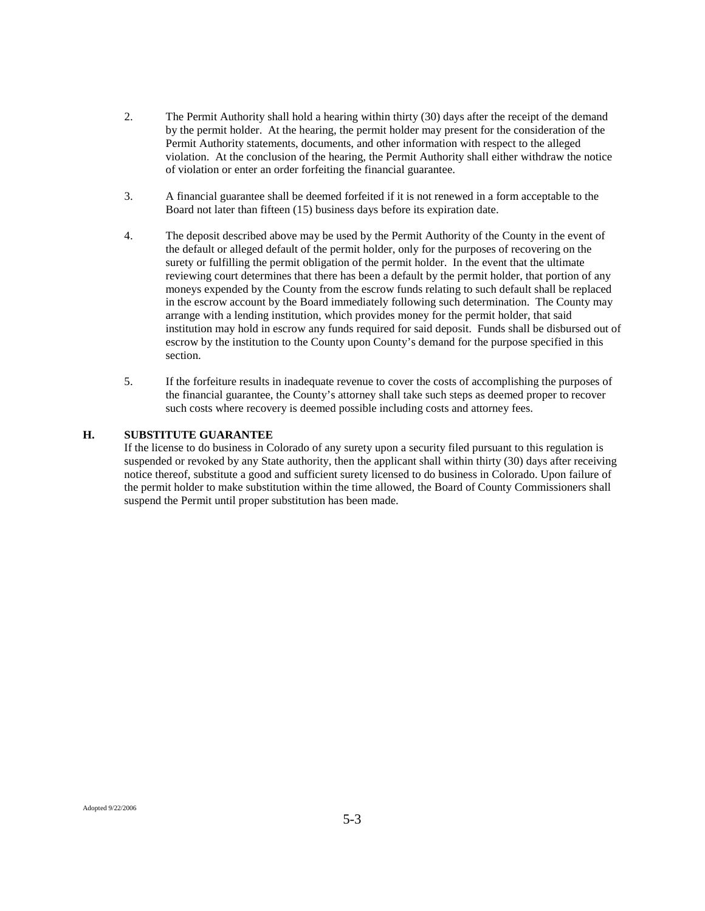- 2. The Permit Authority shall hold a hearing within thirty (30) days after the receipt of the demand by the permit holder. At the hearing, the permit holder may present for the consideration of the Permit Authority statements, documents, and other information with respect to the alleged violation. At the conclusion of the hearing, the Permit Authority shall either withdraw the notice of violation or enter an order forfeiting the financial guarantee.
- 3. A financial guarantee shall be deemed forfeited if it is not renewed in a form acceptable to the Board not later than fifteen (15) business days before its expiration date.
- 4. The deposit described above may be used by the Permit Authority of the County in the event of the default or alleged default of the permit holder, only for the purposes of recovering on the surety or fulfilling the permit obligation of the permit holder. In the event that the ultimate reviewing court determines that there has been a default by the permit holder, that portion of any moneys expended by the County from the escrow funds relating to such default shall be replaced in the escrow account by the Board immediately following such determination. The County may arrange with a lending institution, which provides money for the permit holder, that said institution may hold in escrow any funds required for said deposit. Funds shall be disbursed out of escrow by the institution to the County upon County's demand for the purpose specified in this section.
- 5. If the forfeiture results in inadequate revenue to cover the costs of accomplishing the purposes of the financial guarantee, the County's attorney shall take such steps as deemed proper to recover such costs where recovery is deemed possible including costs and attorney fees.

#### **H. SUBSTITUTE GUARANTEE**

If the license to do business in Colorado of any surety upon a security filed pursuant to this regulation is suspended or revoked by any State authority, then the applicant shall within thirty (30) days after receiving notice thereof, substitute a good and sufficient surety licensed to do business in Colorado. Upon failure of the permit holder to make substitution within the time allowed, the Board of County Commissioners shall suspend the Permit until proper substitution has been made.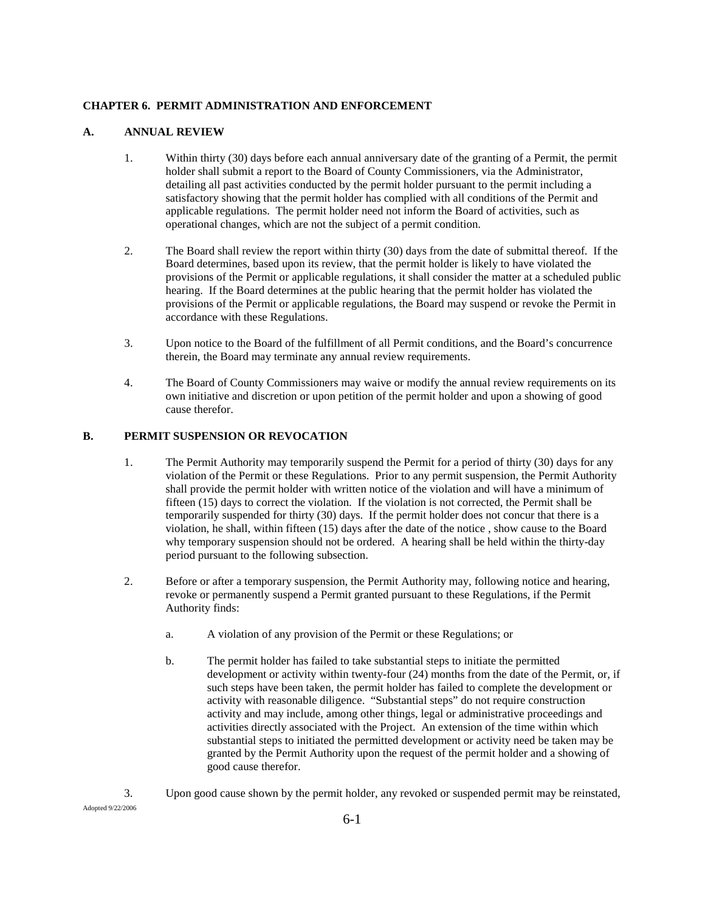#### **CHAPTER 6. PERMIT ADMINISTRATION AND ENFORCEMENT**

# **A. ANNUAL REVIEW**

- 1. Within thirty (30) days before each annual anniversary date of the granting of a Permit, the permit holder shall submit a report to the Board of County Commissioners, via the Administrator, detailing all past activities conducted by the permit holder pursuant to the permit including a satisfactory showing that the permit holder has complied with all conditions of the Permit and applicable regulations. The permit holder need not inform the Board of activities, such as operational changes, which are not the subject of a permit condition.
- 2. The Board shall review the report within thirty (30) days from the date of submittal thereof. If the Board determines, based upon its review, that the permit holder is likely to have violated the provisions of the Permit or applicable regulations, it shall consider the matter at a scheduled public hearing. If the Board determines at the public hearing that the permit holder has violated the provisions of the Permit or applicable regulations, the Board may suspend or revoke the Permit in accordance with these Regulations.
- 3. Upon notice to the Board of the fulfillment of all Permit conditions, and the Board's concurrence therein, the Board may terminate any annual review requirements.
- 4. The Board of County Commissioners may waive or modify the annual review requirements on its own initiative and discretion or upon petition of the permit holder and upon a showing of good cause therefor.

# **B. PERMIT SUSPENSION OR REVOCATION**

- 1. The Permit Authority may temporarily suspend the Permit for a period of thirty (30) days for any violation of the Permit or these Regulations. Prior to any permit suspension, the Permit Authority shall provide the permit holder with written notice of the violation and will have a minimum of fifteen (15) days to correct the violation. If the violation is not corrected, the Permit shall be temporarily suspended for thirty (30) days. If the permit holder does not concur that there is a violation, he shall, within fifteen (15) days after the date of the notice , show cause to the Board why temporary suspension should not be ordered. A hearing shall be held within the thirty-day period pursuant to the following subsection.
- 2. Before or after a temporary suspension, the Permit Authority may, following notice and hearing, revoke or permanently suspend a Permit granted pursuant to these Regulations, if the Permit Authority finds:
	- a. A violation of any provision of the Permit or these Regulations; or
	- b. The permit holder has failed to take substantial steps to initiate the permitted development or activity within twenty-four (24) months from the date of the Permit, or, if such steps have been taken, the permit holder has failed to complete the development or activity with reasonable diligence. "Substantial steps" do not require construction activity and may include, among other things, legal or administrative proceedings and activities directly associated with the Project. An extension of the time within which substantial steps to initiated the permitted development or activity need be taken may be granted by the Permit Authority upon the request of the permit holder and a showing of good cause therefor.
- 3. Upon good cause shown by the permit holder, any revoked or suspended permit may be reinstated,

Adopted 9/22/2006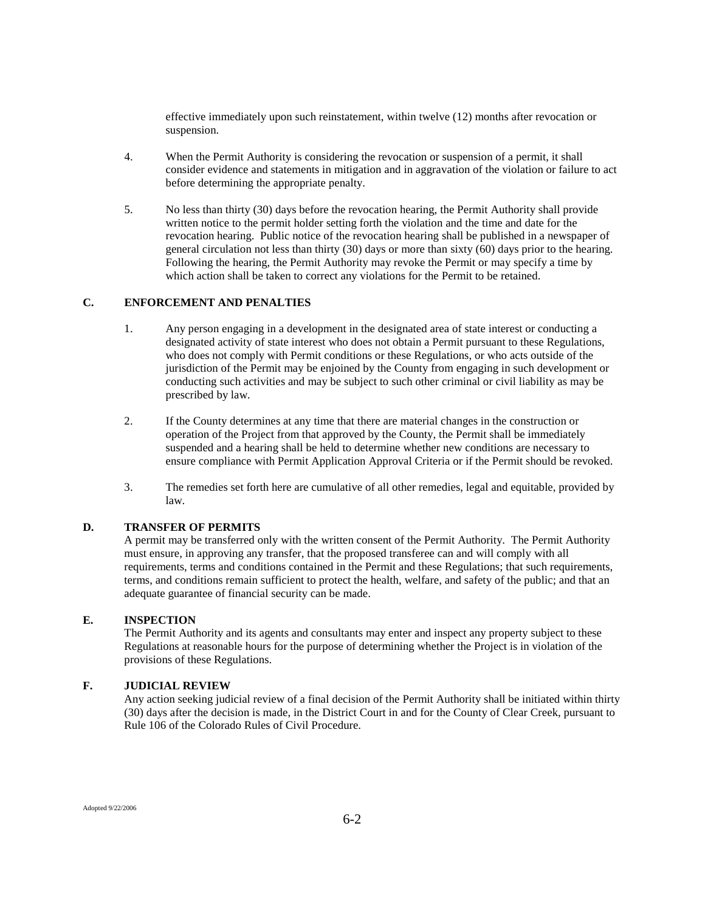effective immediately upon such reinstatement, within twelve (12) months after revocation or suspension.

- 4. When the Permit Authority is considering the revocation or suspension of a permit, it shall consider evidence and statements in mitigation and in aggravation of the violation or failure to act before determining the appropriate penalty.
- 5. No less than thirty (30) days before the revocation hearing, the Permit Authority shall provide written notice to the permit holder setting forth the violation and the time and date for the revocation hearing. Public notice of the revocation hearing shall be published in a newspaper of general circulation not less than thirty (30) days or more than sixty (60) days prior to the hearing. Following the hearing, the Permit Authority may revoke the Permit or may specify a time by which action shall be taken to correct any violations for the Permit to be retained.

### **C. ENFORCEMENT AND PENALTIES**

- 1. Any person engaging in a development in the designated area of state interest or conducting a designated activity of state interest who does not obtain a Permit pursuant to these Regulations, who does not comply with Permit conditions or these Regulations, or who acts outside of the jurisdiction of the Permit may be enjoined by the County from engaging in such development or conducting such activities and may be subject to such other criminal or civil liability as may be prescribed by law.
- 2. If the County determines at any time that there are material changes in the construction or operation of the Project from that approved by the County, the Permit shall be immediately suspended and a hearing shall be held to determine whether new conditions are necessary to ensure compliance with Permit Application Approval Criteria or if the Permit should be revoked.
- 3. The remedies set forth here are cumulative of all other remedies, legal and equitable, provided by law.

#### **D. TRANSFER OF PERMITS**

A permit may be transferred only with the written consent of the Permit Authority. The Permit Authority must ensure, in approving any transfer, that the proposed transferee can and will comply with all requirements, terms and conditions contained in the Permit and these Regulations; that such requirements, terms, and conditions remain sufficient to protect the health, welfare, and safety of the public; and that an adequate guarantee of financial security can be made.

# **E. INSPECTION**

The Permit Authority and its agents and consultants may enter and inspect any property subject to these Regulations at reasonable hours for the purpose of determining whether the Project is in violation of the provisions of these Regulations.

### **F. JUDICIAL REVIEW**

Any action seeking judicial review of a final decision of the Permit Authority shall be initiated within thirty (30) days after the decision is made, in the District Court in and for the County of Clear Creek, pursuant to Rule 106 of the Colorado Rules of Civil Procedure.

Adopted 9/22/2006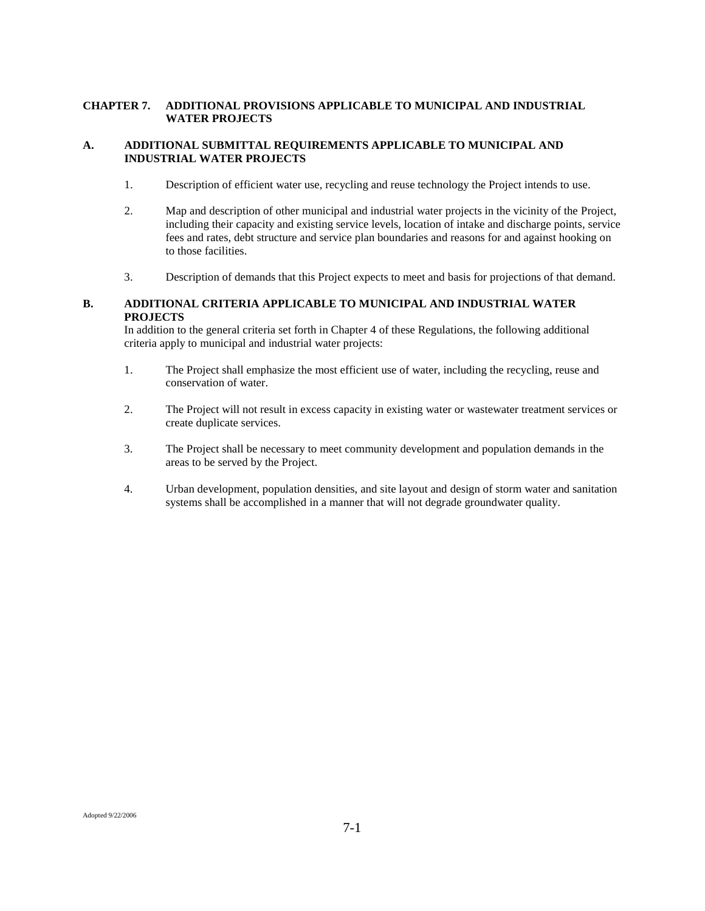# **CHAPTER 7. ADDITIONAL PROVISIONS APPLICABLE TO MUNICIPAL AND INDUSTRIAL WATER PROJECTS**

# **A. ADDITIONAL SUBMITTAL REQUIREMENTS APPLICABLE TO MUNICIPAL AND INDUSTRIAL WATER PROJECTS**

- 1. Description of efficient water use, recycling and reuse technology the Project intends to use.
- 2. Map and description of other municipal and industrial water projects in the vicinity of the Project, including their capacity and existing service levels, location of intake and discharge points, service fees and rates, debt structure and service plan boundaries and reasons for and against hooking on to those facilities.
- 3. Description of demands that this Project expects to meet and basis for projections of that demand.

# **B. ADDITIONAL CRITERIA APPLICABLE TO MUNICIPAL AND INDUSTRIAL WATER PROJECTS**

In addition to the general criteria set forth in Chapter 4 of these Regulations, the following additional criteria apply to municipal and industrial water projects:

- 1. The Project shall emphasize the most efficient use of water, including the recycling, reuse and conservation of water.
- 2. The Project will not result in excess capacity in existing water or wastewater treatment services or create duplicate services.
- 3. The Project shall be necessary to meet community development and population demands in the areas to be served by the Project.
- 4. Urban development, population densities, and site layout and design of storm water and sanitation systems shall be accomplished in a manner that will not degrade groundwater quality.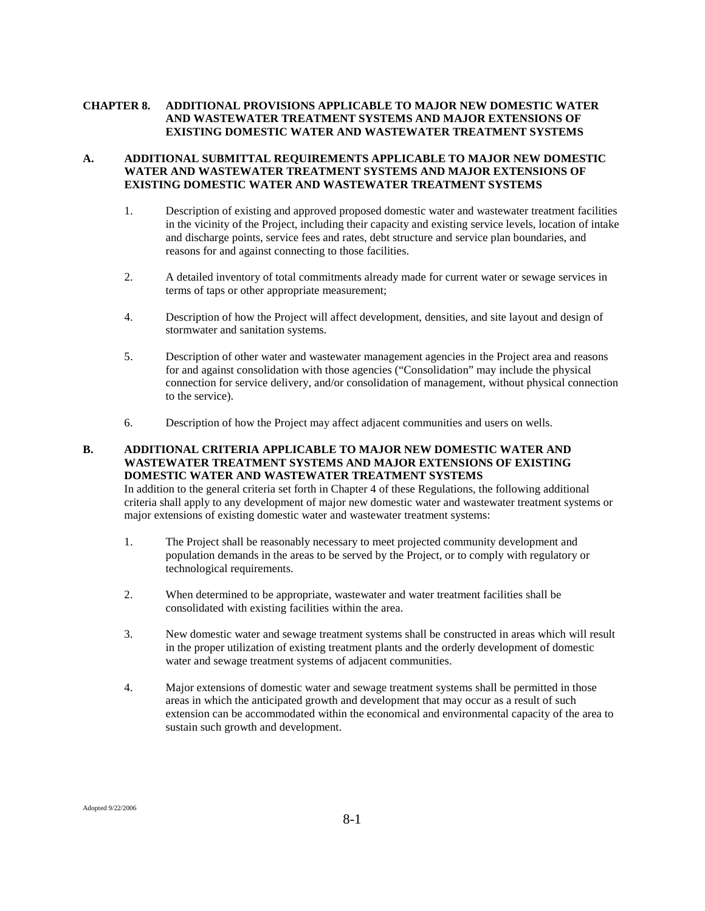# **CHAPTER 8. ADDITIONAL PROVISIONS APPLICABLE TO MAJOR NEW DOMESTIC WATER AND WASTEWATER TREATMENT SYSTEMS AND MAJOR EXTENSIONS OF EXISTING DOMESTIC WATER AND WASTEWATER TREATMENT SYSTEMS**

# **A. ADDITIONAL SUBMITTAL REQUIREMENTS APPLICABLE TO MAJOR NEW DOMESTIC WATER AND WASTEWATER TREATMENT SYSTEMS AND MAJOR EXTENSIONS OF EXISTING DOMESTIC WATER AND WASTEWATER TREATMENT SYSTEMS**

- 1. Description of existing and approved proposed domestic water and wastewater treatment facilities in the vicinity of the Project, including their capacity and existing service levels, location of intake and discharge points, service fees and rates, debt structure and service plan boundaries, and reasons for and against connecting to those facilities.
- 2. A detailed inventory of total commitments already made for current water or sewage services in terms of taps or other appropriate measurement;
- 4. Description of how the Project will affect development, densities, and site layout and design of stormwater and sanitation systems.
- 5. Description of other water and wastewater management agencies in the Project area and reasons for and against consolidation with those agencies ("Consolidation" may include the physical connection for service delivery, and/or consolidation of management, without physical connection to the service).
- 6. Description of how the Project may affect adjacent communities and users on wells.

# **B. ADDITIONAL CRITERIA APPLICABLE TO MAJOR NEW DOMESTIC WATER AND WASTEWATER TREATMENT SYSTEMS AND MAJOR EXTENSIONS OF EXISTING DOMESTIC WATER AND WASTEWATER TREATMENT SYSTEMS**

In addition to the general criteria set forth in Chapter 4 of these Regulations, the following additional criteria shall apply to any development of major new domestic water and wastewater treatment systems or major extensions of existing domestic water and wastewater treatment systems:

- 1. The Project shall be reasonably necessary to meet projected community development and population demands in the areas to be served by the Project, or to comply with regulatory or technological requirements.
- 2. When determined to be appropriate, wastewater and water treatment facilities shall be consolidated with existing facilities within the area.
- 3. New domestic water and sewage treatment systems shall be constructed in areas which will result in the proper utilization of existing treatment plants and the orderly development of domestic water and sewage treatment systems of adjacent communities.
- 4. Major extensions of domestic water and sewage treatment systems shall be permitted in those areas in which the anticipated growth and development that may occur as a result of such extension can be accommodated within the economical and environmental capacity of the area to sustain such growth and development.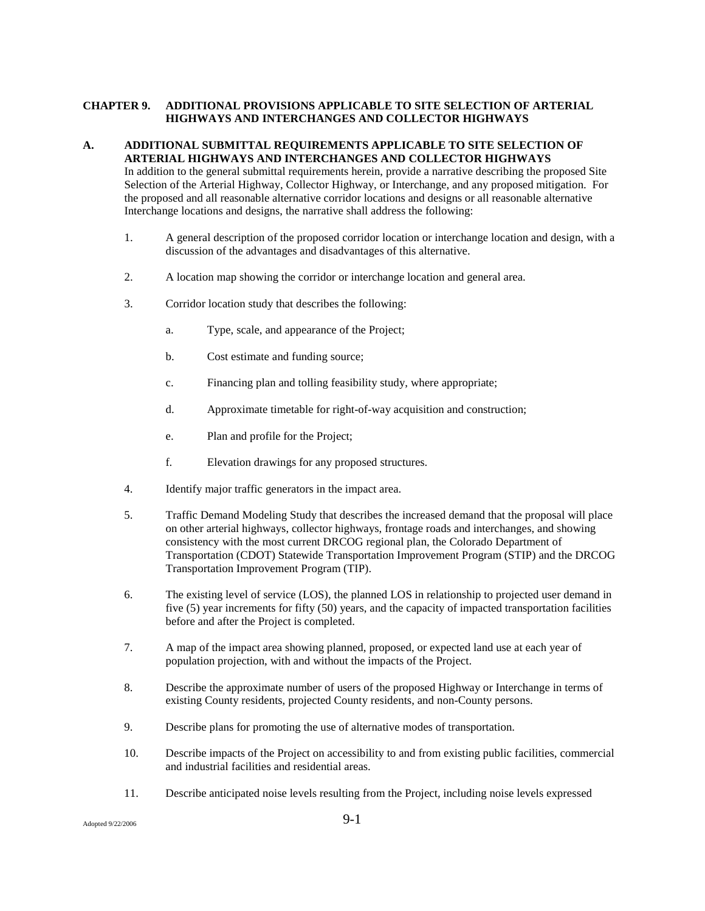# **CHAPTER 9. ADDITIONAL PROVISIONS APPLICABLE TO SITE SELECTION OF ARTERIAL HIGHWAYS AND INTERCHANGES AND COLLECTOR HIGHWAYS**

# **A. ADDITIONAL SUBMITTAL REQUIREMENTS APPLICABLE TO SITE SELECTION OF ARTERIAL HIGHWAYS AND INTERCHANGES AND COLLECTOR HIGHWAYS**

In addition to the general submittal requirements herein, provide a narrative describing the proposed Site Selection of the Arterial Highway, Collector Highway, or Interchange, and any proposed mitigation. For the proposed and all reasonable alternative corridor locations and designs or all reasonable alternative Interchange locations and designs, the narrative shall address the following:

- 1. A general description of the proposed corridor location or interchange location and design, with a discussion of the advantages and disadvantages of this alternative.
- 2. A location map showing the corridor or interchange location and general area.
- 3. Corridor location study that describes the following:
	- a. Type, scale, and appearance of the Project;
	- b. Cost estimate and funding source;
	- c. Financing plan and tolling feasibility study, where appropriate;
	- d. Approximate timetable for right-of-way acquisition and construction;
	- e. Plan and profile for the Project;
	- f. Elevation drawings for any proposed structures.
- 4. Identify major traffic generators in the impact area.
- 5. Traffic Demand Modeling Study that describes the increased demand that the proposal will place on other arterial highways, collector highways, frontage roads and interchanges, and showing consistency with the most current DRCOG regional plan, the Colorado Department of Transportation (CDOT) Statewide Transportation Improvement Program (STIP) and the DRCOG Transportation Improvement Program (TIP).
- 6. The existing level of service (LOS), the planned LOS in relationship to projected user demand in five (5) year increments for fifty (50) years, and the capacity of impacted transportation facilities before and after the Project is completed.
- 7. A map of the impact area showing planned, proposed, or expected land use at each year of population projection, with and without the impacts of the Project.
- 8. Describe the approximate number of users of the proposed Highway or Interchange in terms of existing County residents, projected County residents, and non-County persons.
- 9. Describe plans for promoting the use of alternative modes of transportation.
- 10. Describe impacts of the Project on accessibility to and from existing public facilities, commercial and industrial facilities and residential areas.
- 11. Describe anticipated noise levels resulting from the Project, including noise levels expressed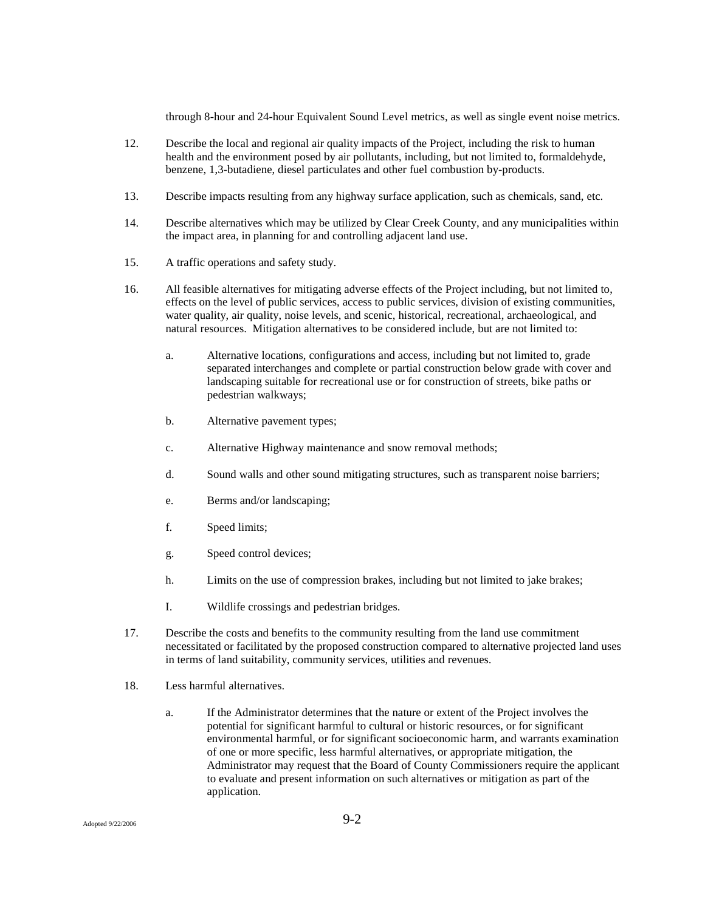through 8-hour and 24-hour Equivalent Sound Level metrics, as well as single event noise metrics.

- 12. Describe the local and regional air quality impacts of the Project, including the risk to human health and the environment posed by air pollutants, including, but not limited to, formaldehyde, benzene, 1,3-butadiene, diesel particulates and other fuel combustion by-products.
- 13. Describe impacts resulting from any highway surface application, such as chemicals, sand, etc.
- 14. Describe alternatives which may be utilized by Clear Creek County, and any municipalities within the impact area, in planning for and controlling adjacent land use.
- 15. A traffic operations and safety study.
- 16. All feasible alternatives for mitigating adverse effects of the Project including, but not limited to, effects on the level of public services, access to public services, division of existing communities, water quality, air quality, noise levels, and scenic, historical, recreational, archaeological, and natural resources. Mitigation alternatives to be considered include, but are not limited to:
	- a. Alternative locations, configurations and access, including but not limited to, grade separated interchanges and complete or partial construction below grade with cover and landscaping suitable for recreational use or for construction of streets, bike paths or pedestrian walkways;
	- b. Alternative pavement types;
	- c. Alternative Highway maintenance and snow removal methods;
	- d. Sound walls and other sound mitigating structures, such as transparent noise barriers;
	- e. Berms and/or landscaping;
	- f. Speed limits;
	- g. Speed control devices;
	- h. Limits on the use of compression brakes, including but not limited to jake brakes;
	- I. Wildlife crossings and pedestrian bridges.
- 17. Describe the costs and benefits to the community resulting from the land use commitment necessitated or facilitated by the proposed construction compared to alternative projected land uses in terms of land suitability, community services, utilities and revenues.
- 18. Less harmful alternatives.
	- a. If the Administrator determines that the nature or extent of the Project involves the potential for significant harmful to cultural or historic resources, or for significant environmental harmful, or for significant socioeconomic harm, and warrants examination of one or more specific, less harmful alternatives, or appropriate mitigation, the Administrator may request that the Board of County Commissioners require the applicant to evaluate and present information on such alternatives or mitigation as part of the application.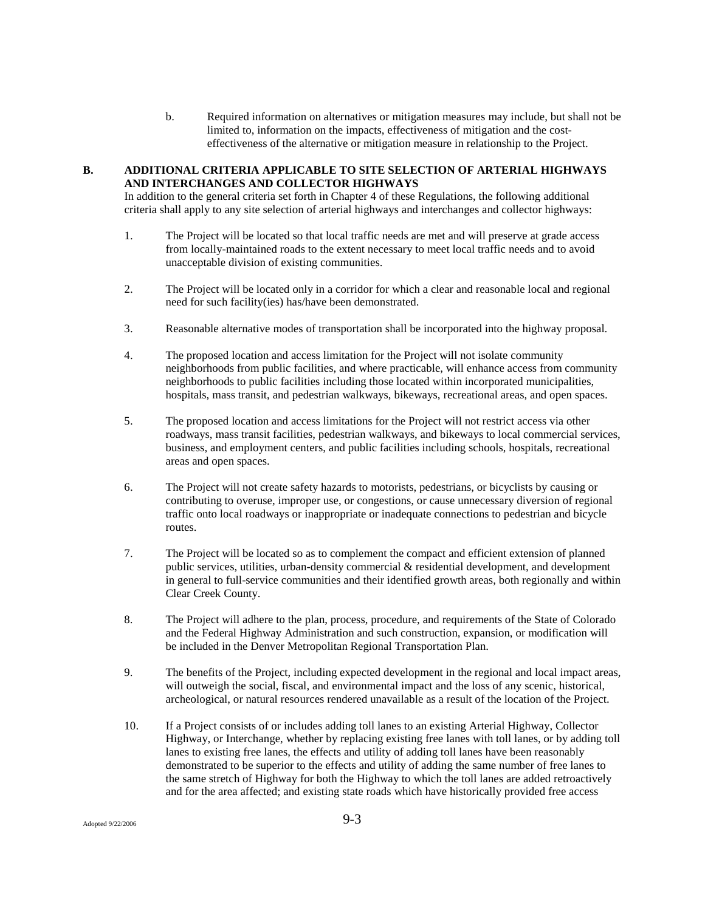b. Required information on alternatives or mitigation measures may include, but shall not be limited to, information on the impacts, effectiveness of mitigation and the costeffectiveness of the alternative or mitigation measure in relationship to the Project.

#### **B. ADDITIONAL CRITERIA APPLICABLE TO SITE SELECTION OF ARTERIAL HIGHWAYS AND INTERCHANGES AND COLLECTOR HIGHWAYS**

In addition to the general criteria set forth in Chapter 4 of these Regulations, the following additional criteria shall apply to any site selection of arterial highways and interchanges and collector highways:

- 1. The Project will be located so that local traffic needs are met and will preserve at grade access from locally-maintained roads to the extent necessary to meet local traffic needs and to avoid unacceptable division of existing communities.
- 2. The Project will be located only in a corridor for which a clear and reasonable local and regional need for such facility(ies) has/have been demonstrated.
- 3. Reasonable alternative modes of transportation shall be incorporated into the highway proposal.
- 4. The proposed location and access limitation for the Project will not isolate community neighborhoods from public facilities, and where practicable, will enhance access from community neighborhoods to public facilities including those located within incorporated municipalities, hospitals, mass transit, and pedestrian walkways, bikeways, recreational areas, and open spaces.
- 5. The proposed location and access limitations for the Project will not restrict access via other roadways, mass transit facilities, pedestrian walkways, and bikeways to local commercial services, business, and employment centers, and public facilities including schools, hospitals, recreational areas and open spaces.
- 6. The Project will not create safety hazards to motorists, pedestrians, or bicyclists by causing or contributing to overuse, improper use, or congestions, or cause unnecessary diversion of regional traffic onto local roadways or inappropriate or inadequate connections to pedestrian and bicycle routes.
- 7. The Project will be located so as to complement the compact and efficient extension of planned public services, utilities, urban-density commercial & residential development, and development in general to full-service communities and their identified growth areas, both regionally and within Clear Creek County.
- 8. The Project will adhere to the plan, process, procedure, and requirements of the State of Colorado and the Federal Highway Administration and such construction, expansion, or modification will be included in the Denver Metropolitan Regional Transportation Plan.
- 9. The benefits of the Project, including expected development in the regional and local impact areas, will outweigh the social, fiscal, and environmental impact and the loss of any scenic, historical, archeological, or natural resources rendered unavailable as a result of the location of the Project.
- 10. If a Project consists of or includes adding toll lanes to an existing Arterial Highway, Collector Highway, or Interchange, whether by replacing existing free lanes with toll lanes, or by adding toll lanes to existing free lanes, the effects and utility of adding toll lanes have been reasonably demonstrated to be superior to the effects and utility of adding the same number of free lanes to the same stretch of Highway for both the Highway to which the toll lanes are added retroactively and for the area affected; and existing state roads which have historically provided free access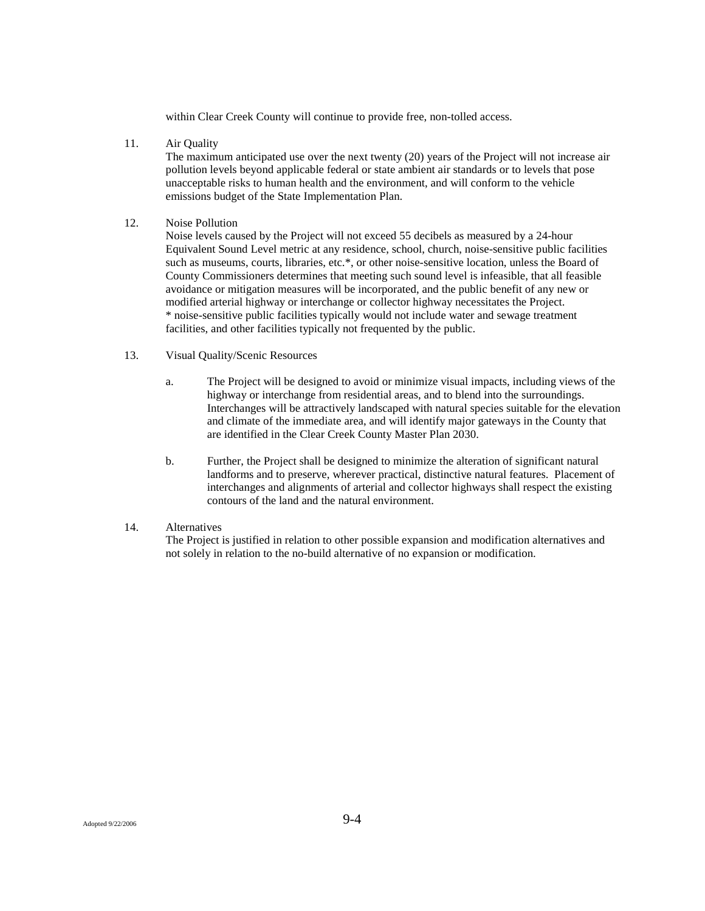within Clear Creek County will continue to provide free, non-tolled access.

11. Air Quality

The maximum anticipated use over the next twenty (20) years of the Project will not increase air pollution levels beyond applicable federal or state ambient air standards or to levels that pose unacceptable risks to human health and the environment, and will conform to the vehicle emissions budget of the State Implementation Plan.

#### 12. Noise Pollution

Noise levels caused by the Project will not exceed 55 decibels as measured by a 24-hour Equivalent Sound Level metric at any residence, school, church, noise-sensitive public facilities such as museums, courts, libraries, etc.\*, or other noise-sensitive location, unless the Board of County Commissioners determines that meeting such sound level is infeasible, that all feasible avoidance or mitigation measures will be incorporated, and the public benefit of any new or modified arterial highway or interchange or collector highway necessitates the Project. \* noise-sensitive public facilities typically would not include water and sewage treatment facilities, and other facilities typically not frequented by the public.

#### 13. Visual Quality/Scenic Resources

- a. The Project will be designed to avoid or minimize visual impacts, including views of the highway or interchange from residential areas, and to blend into the surroundings. Interchanges will be attractively landscaped with natural species suitable for the elevation and climate of the immediate area, and will identify major gateways in the County that are identified in the Clear Creek County Master Plan 2030.
- b. Further, the Project shall be designed to minimize the alteration of significant natural landforms and to preserve, wherever practical, distinctive natural features. Placement of interchanges and alignments of arterial and collector highways shall respect the existing contours of the land and the natural environment.

#### 14. Alternatives

The Project is justified in relation to other possible expansion and modification alternatives and not solely in relation to the no-build alternative of no expansion or modification.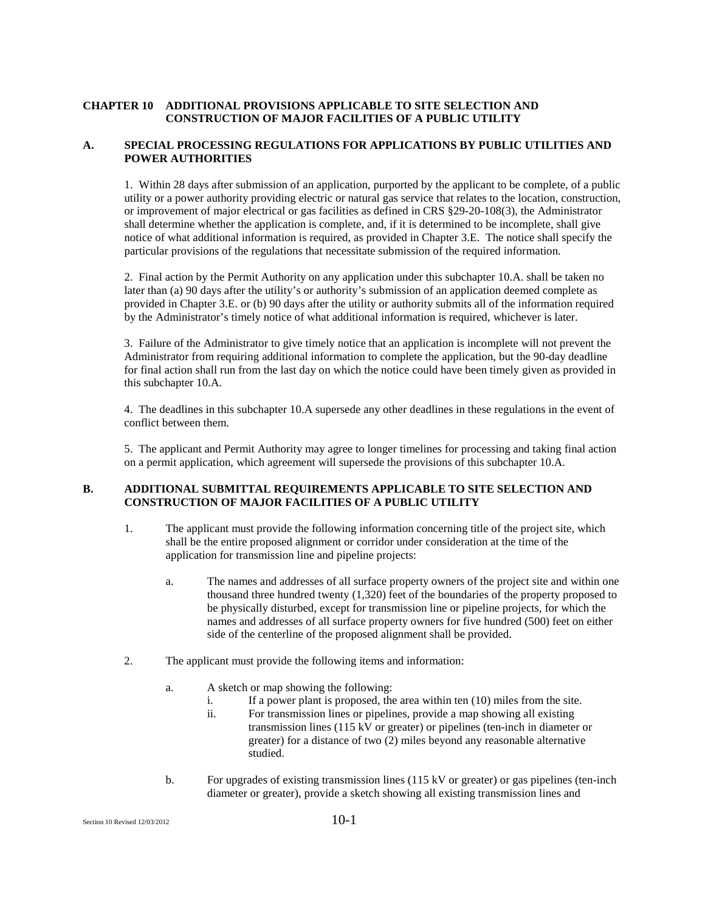#### **CHAPTER 10 ADDITIONAL PROVISIONS APPLICABLE TO SITE SELECTION AND CONSTRUCTION OF MAJOR FACILITIES OF A PUBLIC UTILITY**

#### **A. SPECIAL PROCESSING REGULATIONS FOR APPLICATIONS BY PUBLIC UTILITIES AND POWER AUTHORITIES**

1. Within 28 days after submission of an application, purported by the applicant to be complete, of a public utility or a power authority providing electric or natural gas service that relates to the location, construction, or improvement of major electrical or gas facilities as defined in CRS §29-20-108(3), the Administrator shall determine whether the application is complete, and, if it is determined to be incomplete, shall give notice of what additional information is required, as provided in Chapter 3.E. The notice shall specify the particular provisions of the regulations that necessitate submission of the required information.

2. Final action by the Permit Authority on any application under this subchapter 10.A. shall be taken no later than (a) 90 days after the utility's or authority's submission of an application deemed complete as provided in Chapter 3.E. or (b) 90 days after the utility or authority submits all of the information required by the Administrator's timely notice of what additional information is required, whichever is later.

3. Failure of the Administrator to give timely notice that an application is incomplete will not prevent the Administrator from requiring additional information to complete the application, but the 90-day deadline for final action shall run from the last day on which the notice could have been timely given as provided in this subchapter 10.A.

4. The deadlines in this subchapter 10.A supersede any other deadlines in these regulations in the event of conflict between them.

5. The applicant and Permit Authority may agree to longer timelines for processing and taking final action on a permit application, which agreement will supersede the provisions of this subchapter 10.A.

#### **B. ADDITIONAL SUBMITTAL REQUIREMENTS APPLICABLE TO SITE SELECTION AND CONSTRUCTION OF MAJOR FACILITIES OF A PUBLIC UTILITY**

- 1. The applicant must provide the following information concerning title of the project site, which shall be the entire proposed alignment or corridor under consideration at the time of the application for transmission line and pipeline projects:
	- a. The names and addresses of all surface property owners of the project site and within one thousand three hundred twenty (1,320) feet of the boundaries of the property proposed to be physically disturbed, except for transmission line or pipeline projects, for which the names and addresses of all surface property owners for five hundred (500) feet on either side of the centerline of the proposed alignment shall be provided.
- 2. The applicant must provide the following items and information:
	- a. A sketch or map showing the following:
		- i. If a power plant is proposed, the area within ten (10) miles from the site.
		- ii. For transmission lines or pipelines, provide a map showing all existing transmission lines (115 kV or greater) or pipelines (ten-inch in diameter or greater) for a distance of two (2) miles beyond any reasonable alternative studied.
	- b. For upgrades of existing transmission lines (115 kV or greater) or gas pipelines (ten-inch diameter or greater), provide a sketch showing all existing transmission lines and

Section 10 Revised  $12/03/2012$  10-1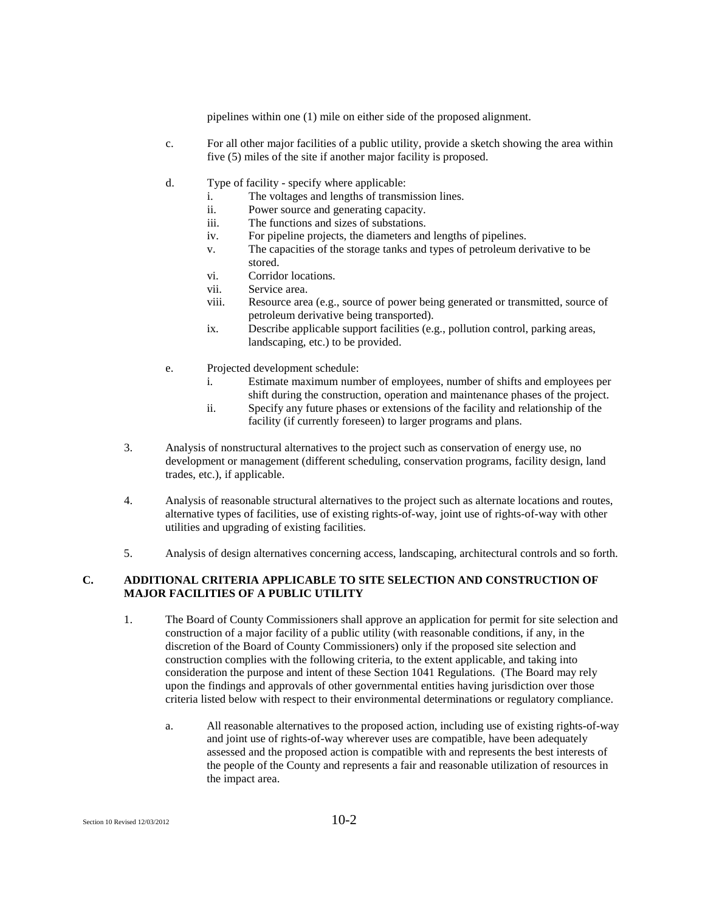pipelines within one (1) mile on either side of the proposed alignment.

- c. For all other major facilities of a public utility, provide a sketch showing the area within five (5) miles of the site if another major facility is proposed.
- d. Type of facility specify where applicable:
	- i. The voltages and lengths of transmission lines.
	- ii. Power source and generating capacity.
	- iii. The functions and sizes of substations.
	- iv. For pipeline projects, the diameters and lengths of pipelines.
	- v. The capacities of the storage tanks and types of petroleum derivative to be stored.
	- vi. Corridor locations.
	- vii. Service area.
	- viii. Resource area (e.g., source of power being generated or transmitted, source of petroleum derivative being transported).
	- ix. Describe applicable support facilities (e.g., pollution control, parking areas, landscaping, etc.) to be provided.
- e. Projected development schedule:
	- i. Estimate maximum number of employees, number of shifts and employees per shift during the construction, operation and maintenance phases of the project.
	- ii. Specify any future phases or extensions of the facility and relationship of the facility (if currently foreseen) to larger programs and plans.
- 3. Analysis of nonstructural alternatives to the project such as conservation of energy use, no development or management (different scheduling, conservation programs, facility design, land trades, etc.), if applicable.
- 4. Analysis of reasonable structural alternatives to the project such as alternate locations and routes, alternative types of facilities, use of existing rights-of-way, joint use of rights-of-way with other utilities and upgrading of existing facilities.
- 5. Analysis of design alternatives concerning access, landscaping, architectural controls and so forth.

#### **C. ADDITIONAL CRITERIA APPLICABLE TO SITE SELECTION AND CONSTRUCTION OF MAJOR FACILITIES OF A PUBLIC UTILITY**

- 1. The Board of County Commissioners shall approve an application for permit for site selection and construction of a major facility of a public utility (with reasonable conditions, if any, in the discretion of the Board of County Commissioners) only if the proposed site selection and construction complies with the following criteria, to the extent applicable, and taking into consideration the purpose and intent of these Section 1041 Regulations. (The Board may rely upon the findings and approvals of other governmental entities having jurisdiction over those criteria listed below with respect to their environmental determinations or regulatory compliance.
	- a. All reasonable alternatives to the proposed action, including use of existing rights-of-way and joint use of rights-of-way wherever uses are compatible, have been adequately assessed and the proposed action is compatible with and represents the best interests of the people of the County and represents a fair and reasonable utilization of resources in the impact area.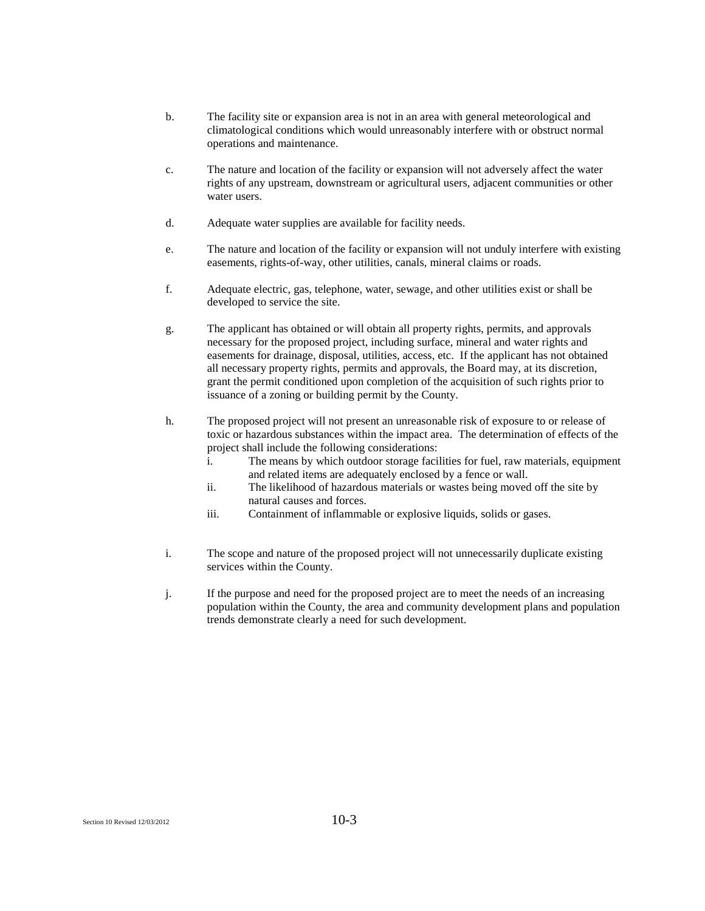- b. The facility site or expansion area is not in an area with general meteorological and climatological conditions which would unreasonably interfere with or obstruct normal operations and maintenance.
- c. The nature and location of the facility or expansion will not adversely affect the water rights of any upstream, downstream or agricultural users, adjacent communities or other water users.
- d. Adequate water supplies are available for facility needs.
- e. The nature and location of the facility or expansion will not unduly interfere with existing easements, rights-of-way, other utilities, canals, mineral claims or roads.
- f. Adequate electric, gas, telephone, water, sewage, and other utilities exist or shall be developed to service the site.
- g. The applicant has obtained or will obtain all property rights, permits, and approvals necessary for the proposed project, including surface, mineral and water rights and easements for drainage, disposal, utilities, access, etc. If the applicant has not obtained all necessary property rights, permits and approvals, the Board may, at its discretion, grant the permit conditioned upon completion of the acquisition of such rights prior to issuance of a zoning or building permit by the County.
- h. The proposed project will not present an unreasonable risk of exposure to or release of toxic or hazardous substances within the impact area. The determination of effects of the project shall include the following considerations:
	- i. The means by which outdoor storage facilities for fuel, raw materials, equipment and related items are adequately enclosed by a fence or wall.
	- ii. The likelihood of hazardous materials or wastes being moved off the site by natural causes and forces.
	- iii. Containment of inflammable or explosive liquids, solids or gases.
- i. The scope and nature of the proposed project will not unnecessarily duplicate existing services within the County.
- j. If the purpose and need for the proposed project are to meet the needs of an increasing population within the County, the area and community development plans and population trends demonstrate clearly a need for such development.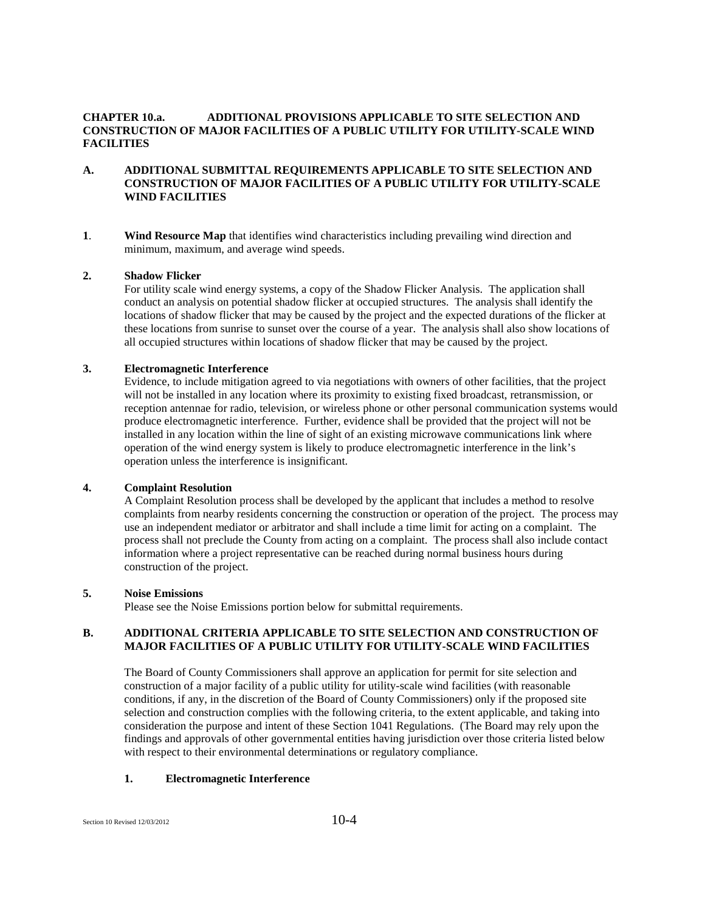#### **CHAPTER 10.a. ADDITIONAL PROVISIONS APPLICABLE TO SITE SELECTION AND CONSTRUCTION OF MAJOR FACILITIES OF A PUBLIC UTILITY FOR UTILITY-SCALE WIND FACILITIES**

#### **A. ADDITIONAL SUBMITTAL REQUIREMENTS APPLICABLE TO SITE SELECTION AND CONSTRUCTION OF MAJOR FACILITIES OF A PUBLIC UTILITY FOR UTILITY-SCALE WIND FACILITIES**

**1**. **Wind Resource Map** that identifies wind characteristics including prevailing wind direction and minimum, maximum, and average wind speeds.

#### **2. Shadow Flicker**

For utility scale wind energy systems, a copy of the Shadow Flicker Analysis. The application shall conduct an analysis on potential shadow flicker at occupied structures. The analysis shall identify the locations of shadow flicker that may be caused by the project and the expected durations of the flicker at these locations from sunrise to sunset over the course of a year. The analysis shall also show locations of all occupied structures within locations of shadow flicker that may be caused by the project.

#### **3. Electromagnetic Interference**

Evidence, to include mitigation agreed to via negotiations with owners of other facilities, that the project will not be installed in any location where its proximity to existing fixed broadcast, retransmission, or reception antennae for radio, television, or wireless phone or other personal communication systems would produce electromagnetic interference. Further, evidence shall be provided that the project will not be installed in any location within the line of sight of an existing microwave communications link where operation of the wind energy system is likely to produce electromagnetic interference in the link's operation unless the interference is insignificant.

#### **4. Complaint Resolution**

A Complaint Resolution process shall be developed by the applicant that includes a method to resolve complaints from nearby residents concerning the construction or operation of the project. The process may use an independent mediator or arbitrator and shall include a time limit for acting on a complaint. The process shall not preclude the County from acting on a complaint. The process shall also include contact information where a project representative can be reached during normal business hours during construction of the project.

#### **5. Noise Emissions**

Please see the Noise Emissions portion below for submittal requirements.

#### **B. ADDITIONAL CRITERIA APPLICABLE TO SITE SELECTION AND CONSTRUCTION OF MAJOR FACILITIES OF A PUBLIC UTILITY FOR UTILITY-SCALE WIND FACILITIES**

The Board of County Commissioners shall approve an application for permit for site selection and construction of a major facility of a public utility for utility-scale wind facilities (with reasonable conditions, if any, in the discretion of the Board of County Commissioners) only if the proposed site selection and construction complies with the following criteria, to the extent applicable, and taking into consideration the purpose and intent of these Section 1041 Regulations. (The Board may rely upon the findings and approvals of other governmental entities having jurisdiction over those criteria listed below with respect to their environmental determinations or regulatory compliance.

#### **1. Electromagnetic Interference**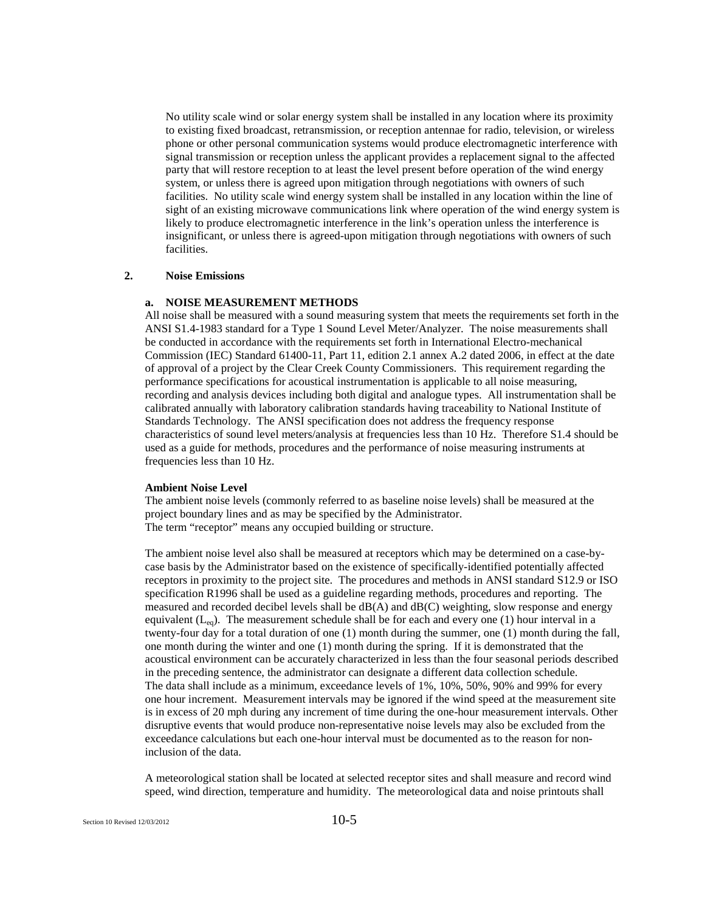No utility scale wind or solar energy system shall be installed in any location where its proximity to existing fixed broadcast, retransmission, or reception antennae for radio, television, or wireless phone or other personal communication systems would produce electromagnetic interference with signal transmission or reception unless the applicant provides a replacement signal to the affected party that will restore reception to at least the level present before operation of the wind energy system, or unless there is agreed upon mitigation through negotiations with owners of such facilities. No utility scale wind energy system shall be installed in any location within the line of sight of an existing microwave communications link where operation of the wind energy system is likely to produce electromagnetic interference in the link's operation unless the interference is insignificant, or unless there is agreed-upon mitigation through negotiations with owners of such facilities.

#### **2. Noise Emissions**

#### **a. NOISE MEASUREMENT METHODS**

All noise shall be measured with a sound measuring system that meets the requirements set forth in the ANSI S1.4-1983 standard for a Type 1 Sound Level Meter/Analyzer. The noise measurements shall be conducted in accordance with the requirements set forth in International Electro-mechanical Commission (IEC) Standard 61400-11, Part 11, edition 2.1 annex A.2 dated 2006, in effect at the date of approval of a project by the Clear Creek County Commissioners. This requirement regarding the performance specifications for acoustical instrumentation is applicable to all noise measuring, recording and analysis devices including both digital and analogue types. All instrumentation shall be calibrated annually with laboratory calibration standards having traceability to National Institute of Standards Technology. The ANSI specification does not address the frequency response characteristics of sound level meters/analysis at frequencies less than 10 Hz. Therefore S1.4 should be used as a guide for methods, procedures and the performance of noise measuring instruments at frequencies less than 10 Hz.

#### **Ambient Noise Level**

The ambient noise levels (commonly referred to as baseline noise levels) shall be measured at the project boundary lines and as may be specified by the Administrator. The term "receptor" means any occupied building or structure.

The ambient noise level also shall be measured at receptors which may be determined on a case-bycase basis by the Administrator based on the existence of specifically-identified potentially affected receptors in proximity to the project site. The procedures and methods in ANSI standard S12.9 or ISO specification R1996 shall be used as a guideline regarding methods, procedures and reporting. The measured and recorded decibel levels shall be dB(A) and dB(C) weighting, slow response and energy equivalent  $(L_{eq})$ . The measurement schedule shall be for each and every one (1) hour interval in a twenty-four day for a total duration of one (1) month during the summer, one (1) month during the fall, one month during the winter and one (1) month during the spring. If it is demonstrated that the acoustical environment can be accurately characterized in less than the four seasonal periods described in the preceding sentence, the administrator can designate a different data collection schedule. The data shall include as a minimum, exceedance levels of 1%, 10%, 50%, 90% and 99% for every one hour increment. Measurement intervals may be ignored if the wind speed at the measurement site is in excess of 20 mph during any increment of time during the one-hour measurement intervals. Other disruptive events that would produce non-representative noise levels may also be excluded from the exceedance calculations but each one-hour interval must be documented as to the reason for noninclusion of the data.

A meteorological station shall be located at selected receptor sites and shall measure and record wind speed, wind direction, temperature and humidity. The meteorological data and noise printouts shall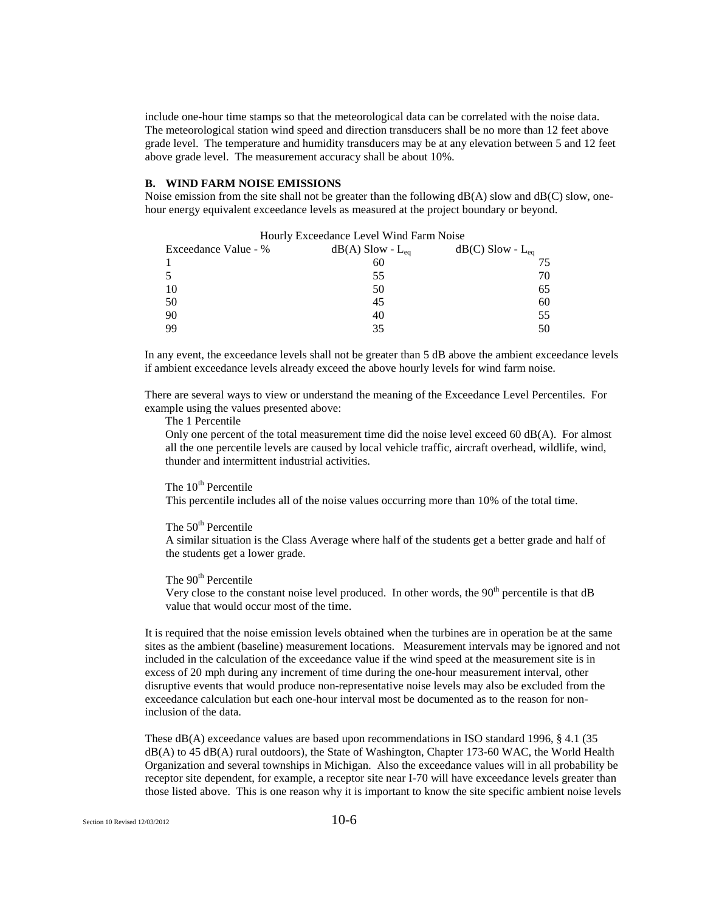include one-hour time stamps so that the meteorological data can be correlated with the noise data. The meteorological station wind speed and direction transducers shall be no more than 12 feet above grade level. The temperature and humidity transducers may be at any elevation between 5 and 12 feet above grade level. The measurement accuracy shall be about 10%.

#### **B. WIND FARM NOISE EMISSIONS**

Noise emission from the site shall not be greater than the following dB(A) slow and dB(C) slow, onehour energy equivalent exceedance levels as measured at the project boundary or beyond.

| HOUTLY EXCEEDANCE LEVEL WIND FAIL NOISE |                         |                         |
|-----------------------------------------|-------------------------|-------------------------|
| Exceedance Value - %                    | $dB(A)$ Slow - $L_{eq}$ | $dB(C)$ Slow - $L_{eq}$ |
|                                         | 60                      |                         |
|                                         | 55                      | 70                      |
| 10                                      | 50                      | 65                      |
| 50                                      | 45                      | 60                      |
| 90                                      | 40                      | 55                      |
| 99                                      | 35                      | 50                      |

Hourly Exceedance Level Wind Farm Noise

In any event, the exceedance levels shall not be greater than 5 dB above the ambient exceedance levels if ambient exceedance levels already exceed the above hourly levels for wind farm noise.

There are several ways to view or understand the meaning of the Exceedance Level Percentiles. For example using the values presented above:

The 1 Percentile

Only one percent of the total measurement time did the noise level exceed 60 dB(A). For almost all the one percentile levels are caused by local vehicle traffic, aircraft overhead, wildlife, wind, thunder and intermittent industrial activities.

## The  $10<sup>th</sup>$  Percentile

This percentile includes all of the noise values occurring more than 10% of the total time.

#### The 50<sup>th</sup> Percentile

A similar situation is the Class Average where half of the students get a better grade and half of the students get a lower grade.

#### The 90<sup>th</sup> Percentile

Very close to the constant noise level produced. In other words, the  $90<sup>th</sup>$  percentile is that dB value that would occur most of the time.

It is required that the noise emission levels obtained when the turbines are in operation be at the same sites as the ambient (baseline) measurement locations. Measurement intervals may be ignored and not included in the calculation of the exceedance value if the wind speed at the measurement site is in excess of 20 mph during any increment of time during the one-hour measurement interval, other disruptive events that would produce non-representative noise levels may also be excluded from the exceedance calculation but each one-hour interval most be documented as to the reason for noninclusion of the data.

These dB(A) exceedance values are based upon recommendations in ISO standard 1996, § 4.1 (35 dB(A) to 45 dB(A) rural outdoors), the State of Washington, Chapter 173-60 WAC, the World Health Organization and several townships in Michigan. Also the exceedance values will in all probability be receptor site dependent, for example, a receptor site near I-70 will have exceedance levels greater than those listed above. This is one reason why it is important to know the site specific ambient noise levels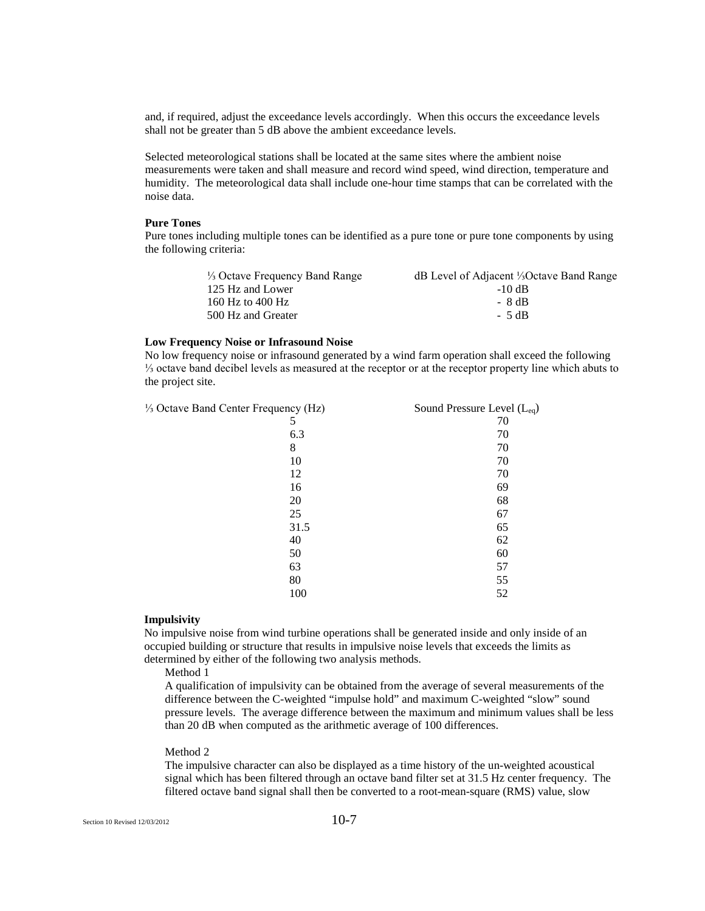and, if required, adjust the exceedance levels accordingly. When this occurs the exceedance levels shall not be greater than 5 dB above the ambient exceedance levels.

Selected meteorological stations shall be located at the same sites where the ambient noise measurements were taken and shall measure and record wind speed, wind direction, temperature and humidity. The meteorological data shall include one-hour time stamps that can be correlated with the noise data.

#### **Pure Tones**

Pure tones including multiple tones can be identified as a pure tone or pure tone components by using the following criteria:

| dB Level of Adjacent <sup>1</sup> / <sub>3</sub> Octave Band Range |
|--------------------------------------------------------------------|
| -10 dB                                                             |
| - 8 dB                                                             |
| $-5dB$                                                             |
|                                                                    |

#### **Low Frequency Noise or Infrasound Noise**

No low frequency noise or infrasound generated by a wind farm operation shall exceed the following ⅓ octave band decibel levels as measured at the receptor or at the receptor property line which abuts to the project site.

 $\frac{1}{3}$  Octave Band Center Frequency (Hz) Sound Pressure Level (L<sub>eq</sub>)

| $u \circ \mathbf{u} \circ \mathbf{y}$ (1.12) | $300$ and $11000$ and $1000$ ( $1000$ |
|----------------------------------------------|---------------------------------------|
| 5                                            | 70                                    |
| 6.3                                          | 70                                    |
| 8                                            | 70                                    |
| 10                                           | 70                                    |
| 12                                           | 70                                    |
| 16                                           | 69                                    |
| 20                                           | 68                                    |
| 25                                           | 67                                    |
| 31.5                                         | 65                                    |
| 40                                           | 62                                    |
| 50                                           | 60                                    |
| 63                                           | 57                                    |
| 80                                           | 55                                    |
| 100                                          | 52                                    |
|                                              |                                       |

#### **Impulsivity**

No impulsive noise from wind turbine operations shall be generated inside and only inside of an occupied building or structure that results in impulsive noise levels that exceeds the limits as determined by either of the following two analysis methods.

Method 1

A qualification of impulsivity can be obtained from the average of several measurements of the difference between the C-weighted "impulse hold" and maximum C-weighted "slow" sound pressure levels. The average difference between the maximum and minimum values shall be less than 20 dB when computed as the arithmetic average of 100 differences.

#### Method 2

The impulsive character can also be displayed as a time history of the un-weighted acoustical signal which has been filtered through an octave band filter set at 31.5 Hz center frequency. The filtered octave band signal shall then be converted to a root-mean-square (RMS) value, slow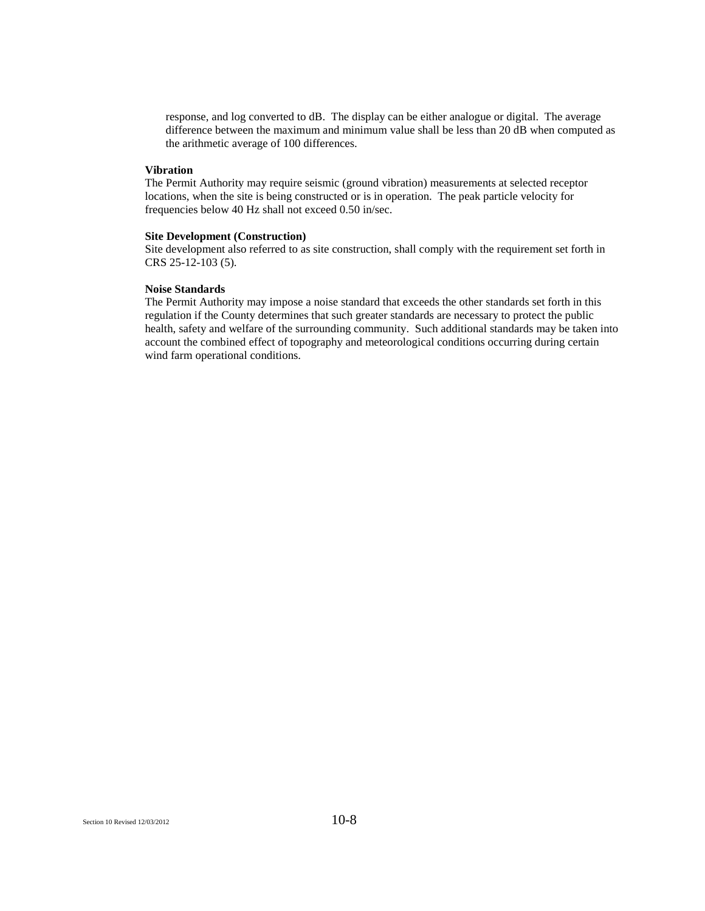response, and log converted to dB. The display can be either analogue or digital. The average difference between the maximum and minimum value shall be less than 20 dB when computed as the arithmetic average of 100 differences.

#### **Vibration**

The Permit Authority may require seismic (ground vibration) measurements at selected receptor locations, when the site is being constructed or is in operation. The peak particle velocity for frequencies below 40 Hz shall not exceed 0.50 in/sec.

#### **Site Development (Construction)**

Site development also referred to as site construction, shall comply with the requirement set forth in CRS 25-12-103 (5).

#### **Noise Standards**

The Permit Authority may impose a noise standard that exceeds the other standards set forth in this regulation if the County determines that such greater standards are necessary to protect the public health, safety and welfare of the surrounding community. Such additional standards may be taken into account the combined effect of topography and meteorological conditions occurring during certain wind farm operational conditions.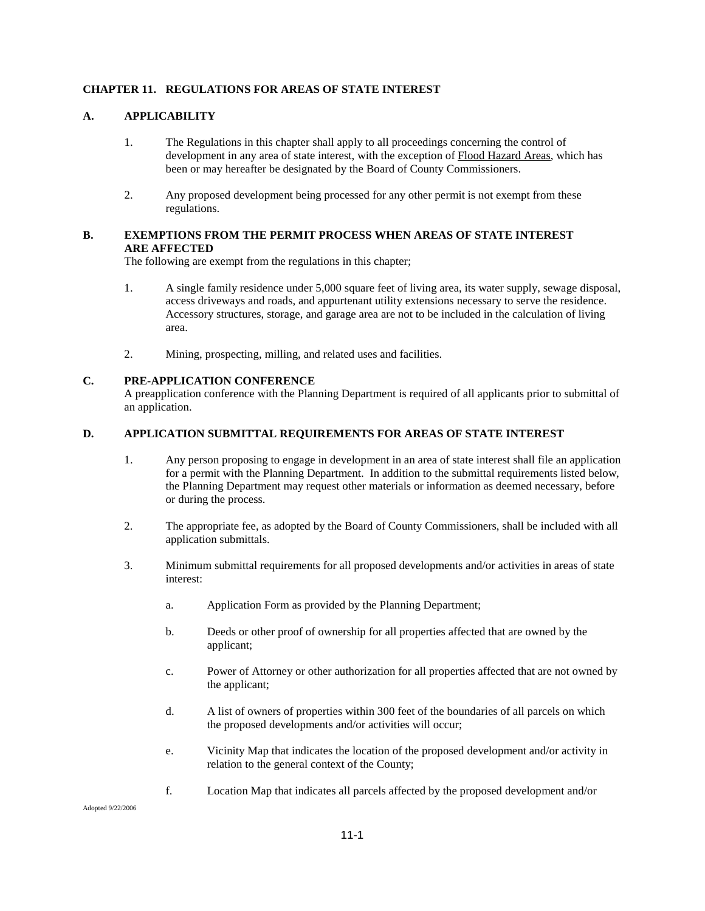#### **CHAPTER 11. REGULATIONS FOR AREAS OF STATE INTEREST**

#### **A. APPLICABILITY**

- 1. The Regulations in this chapter shall apply to all proceedings concerning the control of development in any area of state interest, with the exception of Flood Hazard Areas, which has been or may hereafter be designated by the Board of County Commissioners.
- 2. Any proposed development being processed for any other permit is not exempt from these regulations.

#### **B. EXEMPTIONS FROM THE PERMIT PROCESS WHEN AREAS OF STATE INTEREST ARE AFFECTED**

The following are exempt from the regulations in this chapter;

- 1. A single family residence under 5,000 square feet of living area, its water supply, sewage disposal, access driveways and roads, and appurtenant utility extensions necessary to serve the residence. Accessory structures, storage, and garage area are not to be included in the calculation of living area.
- 2. Mining, prospecting, milling, and related uses and facilities.

## **C. PRE-APPLICATION CONFERENCE**

A preapplication conference with the Planning Department is required of all applicants prior to submittal of an application.

#### **D. APPLICATION SUBMITTAL REQUIREMENTS FOR AREAS OF STATE INTEREST**

- 1. Any person proposing to engage in development in an area of state interest shall file an application for a permit with the Planning Department. In addition to the submittal requirements listed below, the Planning Department may request other materials or information as deemed necessary, before or during the process.
- 2. The appropriate fee, as adopted by the Board of County Commissioners, shall be included with all application submittals.
- 3. Minimum submittal requirements for all proposed developments and/or activities in areas of state interest:
	- a. Application Form as provided by the Planning Department;
	- b. Deeds or other proof of ownership for all properties affected that are owned by the applicant;
	- c. Power of Attorney or other authorization for all properties affected that are not owned by the applicant;
	- d. A list of owners of properties within 300 feet of the boundaries of all parcels on which the proposed developments and/or activities will occur;
	- e. Vicinity Map that indicates the location of the proposed development and/or activity in relation to the general context of the County;
	- f. Location Map that indicates all parcels affected by the proposed development and/or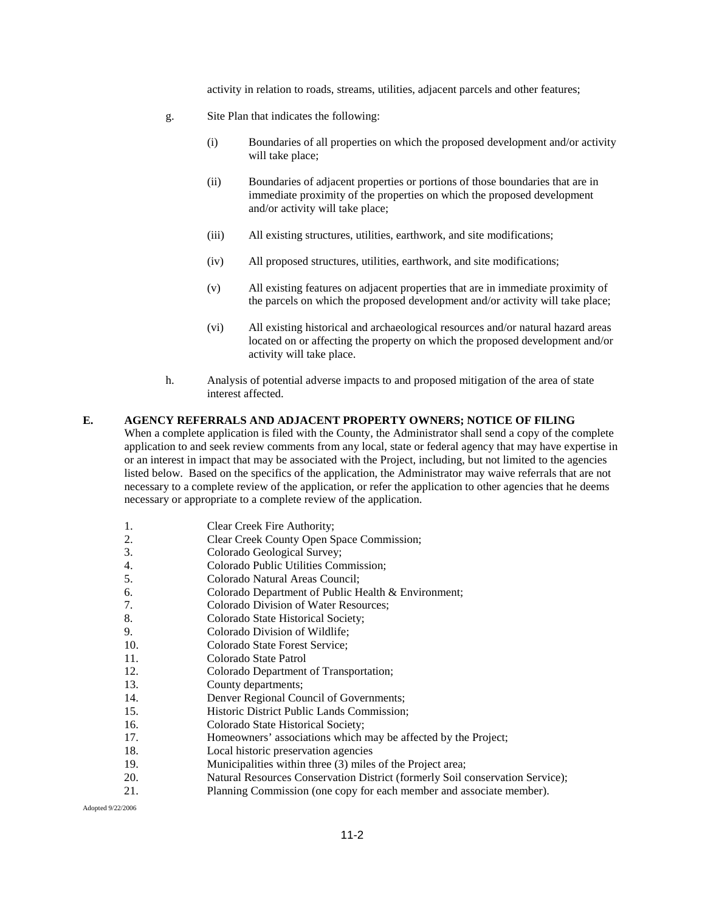activity in relation to roads, streams, utilities, adjacent parcels and other features;

- g. Site Plan that indicates the following:
	- (i) Boundaries of all properties on which the proposed development and/or activity will take place;
	- (ii) Boundaries of adjacent properties or portions of those boundaries that are in immediate proximity of the properties on which the proposed development and/or activity will take place;
	- (iii) All existing structures, utilities, earthwork, and site modifications;
	- (iv) All proposed structures, utilities, earthwork, and site modifications;
	- (v) All existing features on adjacent properties that are in immediate proximity of the parcels on which the proposed development and/or activity will take place;
	- (vi) All existing historical and archaeological resources and/or natural hazard areas located on or affecting the property on which the proposed development and/or activity will take place.
- h. Analysis of potential adverse impacts to and proposed mitigation of the area of state interest affected.

#### **E. AGENCY REFERRALS AND ADJACENT PROPERTY OWNERS; NOTICE OF FILING**

When a complete application is filed with the County, the Administrator shall send a copy of the complete application to and seek review comments from any local, state or federal agency that may have expertise in or an interest in impact that may be associated with the Project, including, but not limited to the agencies listed below. Based on the specifics of the application, the Administrator may waive referrals that are not necessary to a complete review of the application, or refer the application to other agencies that he deems necessary or appropriate to a complete review of the application.

- 1. Clear Creek Fire Authority;<br>
Clear Creek County Open S.
- 2. Clear Creek County Open Space Commission;
- 3. Colorado Geological Survey;
- 4. Colorado Public Utilities Commission;
- 5. Colorado Natural Areas Council;
- 6. Colorado Department of Public Health & Environment;
- 7. Colorado Division of Water Resources;
- 8. Colorado State Historical Society;
- 9. Colorado Division of Wildlife;
- 10. Colorado State Forest Service;
- 11. Colorado State Patrol
- 12. Colorado Department of Transportation;
- 13. County departments;
- 14. Denver Regional Council of Governments;
- 15. Historic District Public Lands Commission;
- 16. Colorado State Historical Society;
- 17. Homeowners' associations which may be affected by the Project;
- 18. Local historic preservation agencies
- 19. Municipalities within three (3) miles of the Project area;
- 20. Natural Resources Conservation District (formerly Soil conservation Service);
- 21. Planning Commission (one copy for each member and associate member).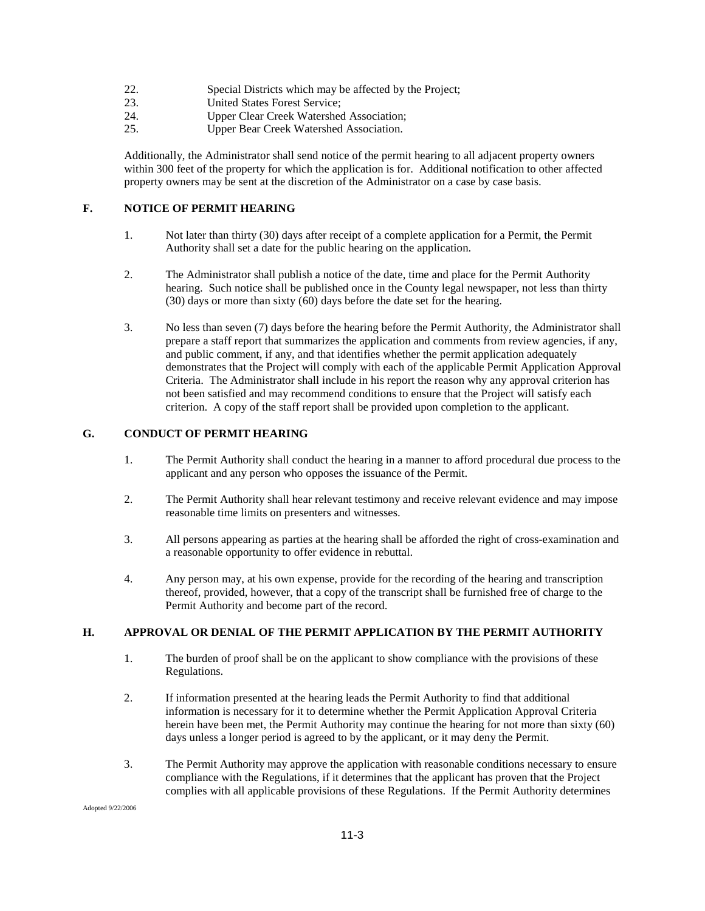- 22. Special Districts which may be affected by the Project;<br>23. United States Forest Service:
- United States Forest Service;
- 24. Upper Clear Creek Watershed Association;
- 25. Upper Bear Creek Watershed Association.

Additionally, the Administrator shall send notice of the permit hearing to all adjacent property owners within 300 feet of the property for which the application is for. Additional notification to other affected property owners may be sent at the discretion of the Administrator on a case by case basis.

## **F. NOTICE OF PERMIT HEARING**

- 1. Not later than thirty (30) days after receipt of a complete application for a Permit, the Permit Authority shall set a date for the public hearing on the application.
- 2. The Administrator shall publish a notice of the date, time and place for the Permit Authority hearing. Such notice shall be published once in the County legal newspaper, not less than thirty (30) days or more than sixty (60) days before the date set for the hearing.
- 3. No less than seven (7) days before the hearing before the Permit Authority, the Administrator shall prepare a staff report that summarizes the application and comments from review agencies, if any, and public comment, if any, and that identifies whether the permit application adequately demonstrates that the Project will comply with each of the applicable Permit Application Approval Criteria. The Administrator shall include in his report the reason why any approval criterion has not been satisfied and may recommend conditions to ensure that the Project will satisfy each criterion. A copy of the staff report shall be provided upon completion to the applicant.

## **G. CONDUCT OF PERMIT HEARING**

- 1. The Permit Authority shall conduct the hearing in a manner to afford procedural due process to the applicant and any person who opposes the issuance of the Permit.
- 2. The Permit Authority shall hear relevant testimony and receive relevant evidence and may impose reasonable time limits on presenters and witnesses.
- 3. All persons appearing as parties at the hearing shall be afforded the right of cross-examination and a reasonable opportunity to offer evidence in rebuttal.
- 4. Any person may, at his own expense, provide for the recording of the hearing and transcription thereof, provided, however, that a copy of the transcript shall be furnished free of charge to the Permit Authority and become part of the record.

#### **H. APPROVAL OR DENIAL OF THE PERMIT APPLICATION BY THE PERMIT AUTHORITY**

- 1. The burden of proof shall be on the applicant to show compliance with the provisions of these Regulations.
- 2. If information presented at the hearing leads the Permit Authority to find that additional information is necessary for it to determine whether the Permit Application Approval Criteria herein have been met, the Permit Authority may continue the hearing for not more than sixty (60) days unless a longer period is agreed to by the applicant, or it may deny the Permit.
- 3. The Permit Authority may approve the application with reasonable conditions necessary to ensure compliance with the Regulations, if it determines that the applicant has proven that the Project complies with all applicable provisions of these Regulations. If the Permit Authority determines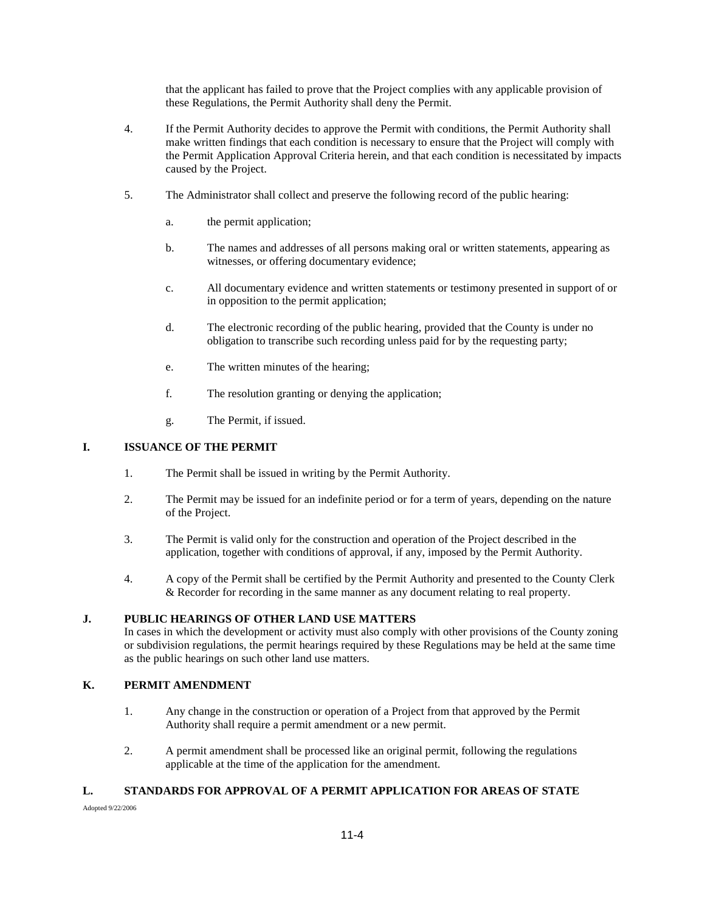that the applicant has failed to prove that the Project complies with any applicable provision of these Regulations, the Permit Authority shall deny the Permit.

- 4. If the Permit Authority decides to approve the Permit with conditions, the Permit Authority shall make written findings that each condition is necessary to ensure that the Project will comply with the Permit Application Approval Criteria herein, and that each condition is necessitated by impacts caused by the Project.
- 5. The Administrator shall collect and preserve the following record of the public hearing:
	- a. the permit application;
	- b. The names and addresses of all persons making oral or written statements, appearing as witnesses, or offering documentary evidence;
	- c. All documentary evidence and written statements or testimony presented in support of or in opposition to the permit application;
	- d. The electronic recording of the public hearing, provided that the County is under no obligation to transcribe such recording unless paid for by the requesting party;
	- e. The written minutes of the hearing;
	- f. The resolution granting or denying the application;
	- g. The Permit, if issued.

#### **I. ISSUANCE OF THE PERMIT**

- 1. The Permit shall be issued in writing by the Permit Authority.
- 2. The Permit may be issued for an indefinite period or for a term of years, depending on the nature of the Project.
- 3. The Permit is valid only for the construction and operation of the Project described in the application, together with conditions of approval, if any, imposed by the Permit Authority.
- 4. A copy of the Permit shall be certified by the Permit Authority and presented to the County Clerk & Recorder for recording in the same manner as any document relating to real property.

#### **J. PUBLIC HEARINGS OF OTHER LAND USE MATTERS**

In cases in which the development or activity must also comply with other provisions of the County zoning or subdivision regulations, the permit hearings required by these Regulations may be held at the same time as the public hearings on such other land use matters.

## **K. PERMIT AMENDMENT**

- 1. Any change in the construction or operation of a Project from that approved by the Permit Authority shall require a permit amendment or a new permit.
- 2. A permit amendment shall be processed like an original permit, following the regulations applicable at the time of the application for the amendment.

## **L. STANDARDS FOR APPROVAL OF A PERMIT APPLICATION FOR AREAS OF STATE**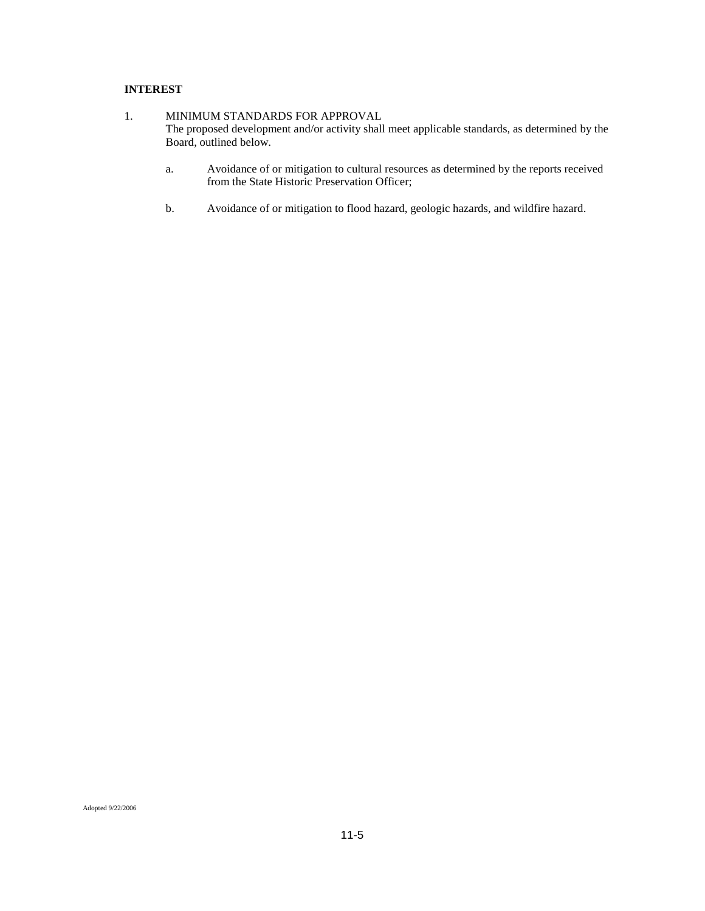## **INTEREST**

- 1. MINIMUM STANDARDS FOR APPROVAL The proposed development and/or activity shall meet applicable standards, as determined by the Board, outlined below.
	- a. Avoidance of or mitigation to cultural resources as determined by the reports received from the State Historic Preservation Officer;
	- b. Avoidance of or mitigation to flood hazard, geologic hazards, and wildfire hazard.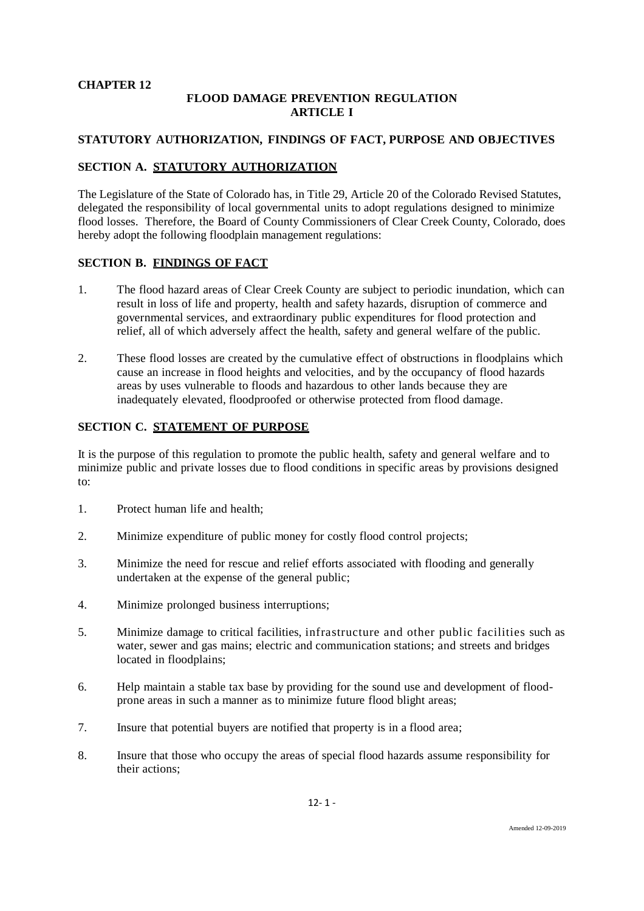## **CHAPTER 12**

# **FLOOD DAMAGE PREVENTION REGULATION ARTICLE I**

# **STATUTORY AUTHORIZATION, FINDINGS OF FACT, PURPOSE AND OBJECTIVES**

# **SECTION A. STATUTORY AUTHORIZATION**

The Legislature of the State of Colorado has, in Title 29, Article 20 of the Colorado Revised Statutes, delegated the responsibility of local governmental units to adopt regulations designed to minimize flood losses. Therefore, the Board of County Commissioners of Clear Creek County, Colorado, does hereby adopt the following floodplain management regulations:

# **SECTION B. FINDINGS OF FACT**

- 1. The flood hazard areas of Clear Creek County are subject to periodic inundation, which can result in loss of life and property, health and safety hazards, disruption of commerce and governmental services, and extraordinary public expenditures for flood protection and relief, all of which adversely affect the health, safety and general welfare of the public.
- 2. These flood losses are created by the cumulative effect of obstructions in floodplains which cause an increase in flood heights and velocities, and by the occupancy of flood hazards areas by uses vulnerable to floods and hazardous to other lands because they are inadequately elevated, floodproofed or otherwise protected from flood damage.

## **SECTION C. STATEMENT OF PURPOSE**

It is the purpose of this regulation to promote the public health, safety and general welfare and to minimize public and private losses due to flood conditions in specific areas by provisions designed to:

- 1. Protect human life and health;
- 2. Minimize expenditure of public money for costly flood control projects;
- 3. Minimize the need for rescue and relief efforts associated with flooding and generally undertaken at the expense of the general public;
- 4. Minimize prolonged business interruptions;
- 5. Minimize damage to critical facilities, infrastructure and other public facilities such as water, sewer and gas mains; electric and communication stations; and streets and bridges located in floodplains;
- 6. Help maintain a stable tax base by providing for the sound use and development of floodprone areas in such a manner as to minimize future flood blight areas;
- 7. Insure that potential buyers are notified that property is in a flood area;
- 8. Insure that those who occupy the areas of special flood hazards assume responsibility for their actions;

12- 1 -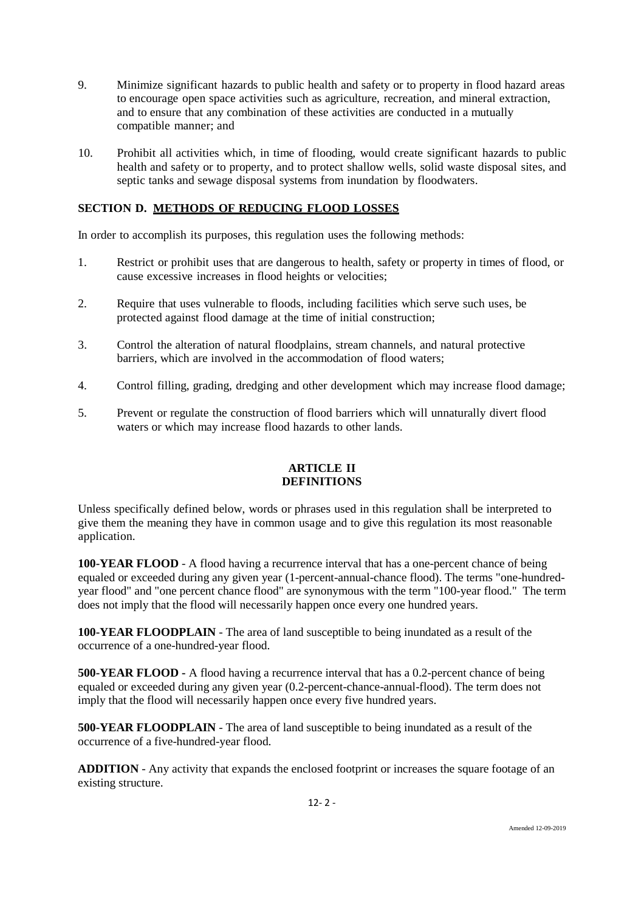- 9. Minimize significant hazards to public health and safety or to property in flood hazard areas to encourage open space activities such as agriculture, recreation, and mineral extraction, and to ensure that any combination of these activities are conducted in a mutually compatible manner; and
- 10. Prohibit all activities which, in time of flooding, would create significant hazards to public health and safety or to property, and to protect shallow wells, solid waste disposal sites, and septic tanks and sewage disposal systems from inundation by floodwaters.

# **SECTION D. METHODS OF REDUCING FLOOD LOSSES**

In order to accomplish its purposes, this regulation uses the following methods:

- 1. Restrict or prohibit uses that are dangerous to health, safety or property in times of flood, or cause excessive increases in flood heights or velocities;
- 2. Require that uses vulnerable to floods, including facilities which serve such uses, be protected against flood damage at the time of initial construction;
- 3. Control the alteration of natural floodplains, stream channels, and natural protective barriers, which are involved in the accommodation of flood waters;
- 4. Control filling, grading, dredging and other development which may increase flood damage;
- 5. Prevent or regulate the construction of flood barriers which will unnaturally divert flood waters or which may increase flood hazards to other lands.

# **ARTICLE II DEFINITIONS**

Unless specifically defined below, words or phrases used in this regulation shall be interpreted to give them the meaning they have in common usage and to give this regulation its most reasonable application.

**100-YEAR FLOOD** - A flood having a recurrence interval that has a one-percent chance of being equaled or exceeded during any given year (1-percent-annual-chance flood). The terms "one-hundredyear flood" and "one percent chance flood" are synonymous with the term "100-year flood." The term does not imply that the flood will necessarily happen once every one hundred years.

**100-YEAR FLOODPLAIN** - The area of land susceptible to being inundated as a result of the occurrence of a one-hundred-year flood.

**500-YEAR FLOOD -** A flood having a recurrence interval that has a 0.2-percent chance of being equaled or exceeded during any given year (0.2-percent-chance-annual-flood). The term does not imply that the flood will necessarily happen once every five hundred years.

**500-YEAR FLOODPLAIN** - The area of land susceptible to being inundated as a result of the occurrence of a five-hundred-year flood.

**ADDITION** - Any activity that expands the enclosed footprint or increases the square footage of an existing structure.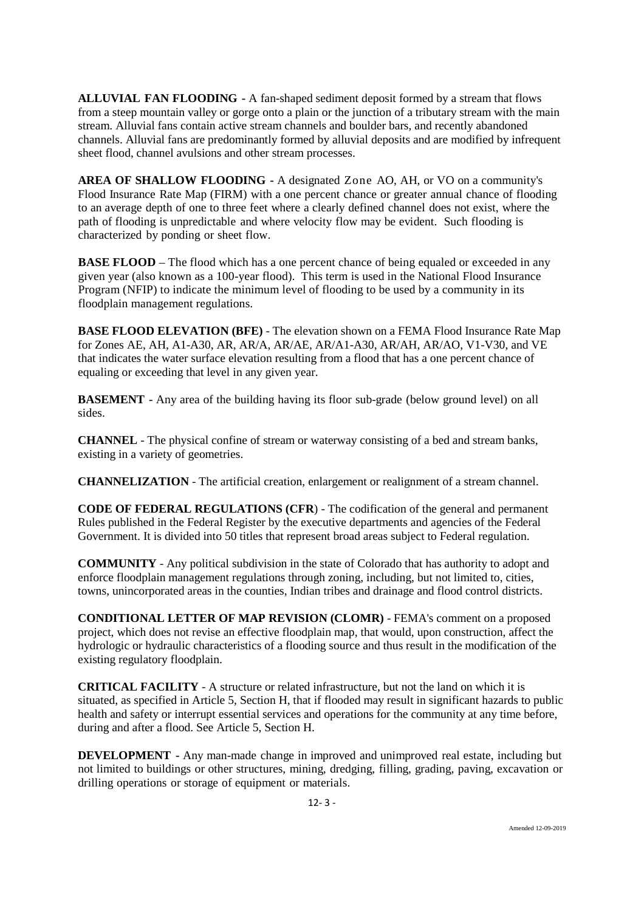**ALLUVIAL FAN FLOODING -** A fan-shaped sediment deposit formed by a stream that flows from a steep mountain valley or gorge onto a plain or the junction of a tributary stream with the main stream. Alluvial fans contain active stream channels and boulder bars, and recently abandoned channels. Alluvial fans are predominantly formed by alluvial deposits and are modified by infrequent sheet flood, channel avulsions and other stream processes.

**AREA OF SHALLOW FLOODING -** A designated Zone AO, AH, or VO on a community's Flood Insurance Rate Map (FIRM) with a one percent chance or greater annual chance of flooding to an average depth of one to three feet where a clearly defined channel does not exist, where the path of flooding is unpredictable and where velocity flow may be evident. Such flooding is characterized by ponding or sheet flow.

**BASE FLOOD** – The flood which has a one percent chance of being equaled or exceeded in any given year (also known as a 100-year flood). This term is used in the National Flood Insurance Program (NFIP) to indicate the minimum level of flooding to be used by a community in its floodplain management regulations.

**BASE FLOOD ELEVATION (BFE)** - The elevation shown on a FEMA Flood Insurance Rate Map for Zones AE, AH, A1-A30, AR, AR/A, AR/AE, AR/A1-A30, AR/AH, AR/AO, V1-V30, and VE that indicates the water surface elevation resulting from a flood that has a one percent chance of equaling or exceeding that level in any given year.

**BASEMENT -** Any area of the building having its floor sub-grade (below ground level) on all sides.

**CHANNEL** - The physical confine of stream or waterway consisting of a bed and stream banks, existing in a variety of geometries.

**CHANNELIZATION** - The artificial creation, enlargement or realignment of a stream channel.

**CODE OF FEDERAL REGULATIONS (CFR**) - The codification of the general and permanent Rules published in the Federal Register by the executive departments and agencies of the Federal Government. It is divided into 50 titles that represent broad areas subject to Federal regulation.

**COMMUNITY** - Any political subdivision in the state of Colorado that has authority to adopt and enforce floodplain management regulations through zoning, including, but not limited to, cities, towns, unincorporated areas in the counties, Indian tribes and drainage and flood control districts.

**CONDITIONAL LETTER OF MAP REVISION (CLOMR)** - FEMA's comment on a proposed project, which does not revise an effective floodplain map, that would, upon construction, affect the hydrologic or hydraulic characteristics of a flooding source and thus result in the modification of the existing regulatory floodplain.

**CRITICAL FACILITY** - A structure or related infrastructure, but not the land on which it is situated, as specified in Article 5, Section H, that if flooded may result in significant hazards to public health and safety or interrupt essential services and operations for the community at any time before, during and after a flood. See Article 5, Section H.

**DEVELOPMENT -** Any man-made change in improved and unimproved real estate, including but not limited to buildings or other structures, mining, dredging, filling, grading, paving, excavation or drilling operations or storage of equipment or materials.

12- 3 -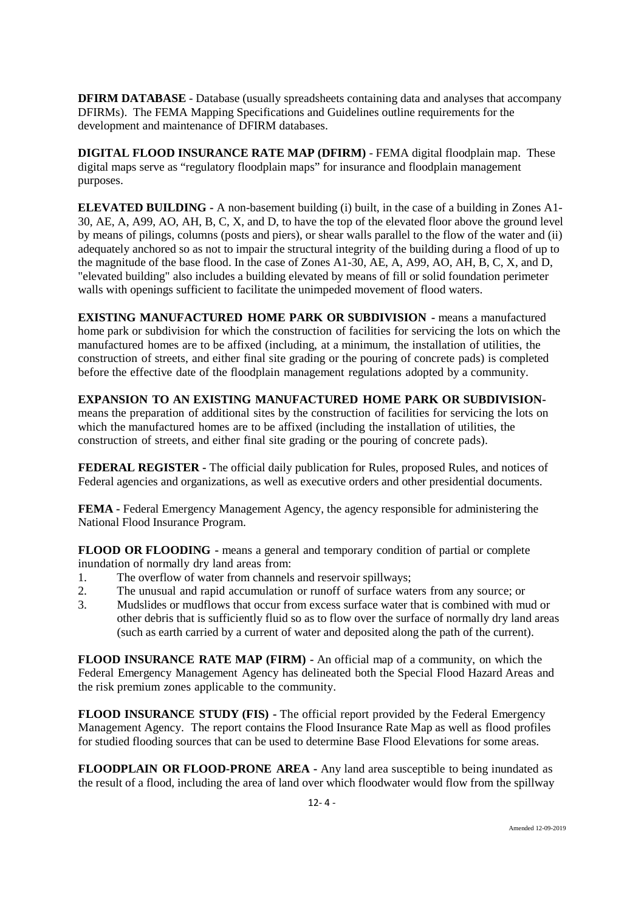**DFIRM DATABASE** - Database (usually spreadsheets containing data and analyses that accompany DFIRMs). The FEMA Mapping Specifications and Guidelines outline requirements for the development and maintenance of DFIRM databases.

**DIGITAL FLOOD INSURANCE RATE MAP (DFIRM)** - FEMA digital floodplain map. These digital maps serve as "regulatory floodplain maps" for insurance and floodplain management purposes.

**ELEVATED BUILDING -** A non-basement building (i) built, in the case of a building in Zones A1- 30, AE, A, A99, AO, AH, B, C, X, and D, to have the top of the elevated floor above the ground level by means of pilings, columns (posts and piers), or shear walls parallel to the flow of the water and (ii) adequately anchored so as not to impair the structural integrity of the building during a flood of up to the magnitude of the base flood. In the case of Zones A1-30, AE, A, A99, AO, AH, B, C, X, and D, "elevated building" also includes a building elevated by means of fill or solid foundation perimeter walls with openings sufficient to facilitate the unimpeded movement of flood waters.

**EXISTING MANUFACTURED HOME PARK OR SUBDIVISION -** means a manufactured home park or subdivision for which the construction of facilities for servicing the lots on which the manufactured homes are to be affixed (including, at a minimum, the installation of utilities, the construction of streets, and either final site grading or the pouring of concrete pads) is completed before the effective date of the floodplain management regulations adopted by a community.

**EXPANSION TO AN EXISTING MANUFACTURED HOME PARK OR SUBDIVISION**means the preparation of additional sites by the construction of facilities for servicing the lots on which the manufactured homes are to be affixed (including the installation of utilities, the construction of streets, and either final site grading or the pouring of concrete pads).

**FEDERAL REGISTER -** The official daily publication for Rules, proposed Rules, and notices of Federal agencies and organizations, as well as executive orders and other presidential documents.

**FEMA -** Federal Emergency Management Agency, the agency responsible for administering the National Flood Insurance Program.

**FLOOD OR FLOODING -** means a general and temporary condition of partial or complete inundation of normally dry land areas from:

- 1. The overflow of water from channels and reservoir spillways;<br>2. The unusual and rapid accumulation or runoff of surface water
- 2. The unusual and rapid accumulation or runoff of surface waters from any source; or
- 3. Mudslides or mudflows that occur from excess surface water that is combined with mud or other debris that is sufficiently fluid so as to flow over the surface of normally dry land areas (such as earth carried by a current of water and deposited along the path of the current).

**FLOOD INSURANCE RATE MAP (FIRM) -** An official map of a community, on which the Federal Emergency Management Agency has delineated both the Special Flood Hazard Areas and the risk premium zones applicable to the community.

**FLOOD INSURANCE STUDY (FIS) -** The official report provided by the Federal Emergency Management Agency. The report contains the Flood Insurance Rate Map as well as flood profiles for studied flooding sources that can be used to determine Base Flood Elevations for some areas.

**FLOODPLAIN OR FLOOD-PRONE AREA -** Any land area susceptible to being inundated as the result of a flood, including the area of land over which floodwater would flow from the spillway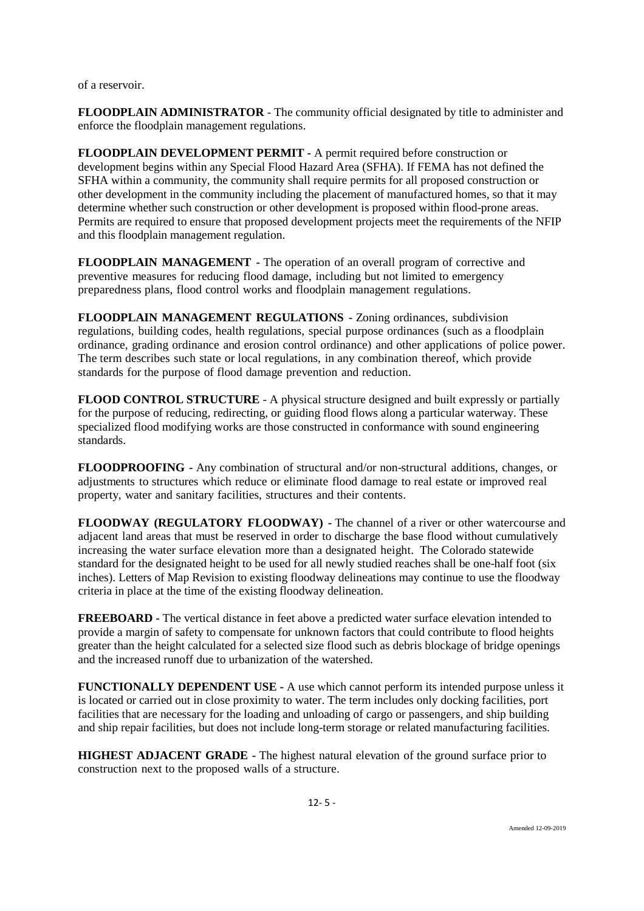of a reservoir.

**FLOODPLAIN ADMINISTRATOR** - The community official designated by title to administer and enforce the floodplain management regulations.

**FLOODPLAIN DEVELOPMENT PERMIT -** A permit required before construction or development begins within any Special Flood Hazard Area (SFHA). If FEMA has not defined the SFHA within a community, the community shall require permits for all proposed construction or other development in the community including the placement of manufactured homes, so that it may determine whether such construction or other development is proposed within flood-prone areas. Permits are required to ensure that proposed development projects meet the requirements of the NFIP and this floodplain management regulation.

**FLOODPLAIN MANAGEMENT -** The operation of an overall program of corrective and preventive measures for reducing flood damage, including but not limited to emergency preparedness plans, flood control works and floodplain management regulations.

**FLOODPLAIN MANAGEMENT REGULATIONS -** Zoning ordinances, subdivision regulations, building codes, health regulations, special purpose ordinances (such as a floodplain ordinance, grading ordinance and erosion control ordinance) and other applications of police power. The term describes such state or local regulations, in any combination thereof, which provide standards for the purpose of flood damage prevention and reduction.

**FLOOD CONTROL STRUCTURE** - A physical structure designed and built expressly or partially for the purpose of reducing, redirecting, or guiding flood flows along a particular waterway. These specialized flood modifying works are those constructed in conformance with sound engineering standards.

**FLOODPROOFING -** Any combination of structural and/or non-structural additions, changes, or adjustments to structures which reduce or eliminate flood damage to real estate or improved real property, water and sanitary facilities, structures and their contents.

**FLOODWAY (REGULATORY FLOODWAY) -** The channel of a river or other watercourse and adjacent land areas that must be reserved in order to discharge the base flood without cumulatively increasing the water surface elevation more than a designated height. The Colorado statewide standard for the designated height to be used for all newly studied reaches shall be one-half foot (six inches). Letters of Map Revision to existing floodway delineations may continue to use the floodway criteria in place at the time of the existing floodway delineation.

**FREEBOARD -** The vertical distance in feet above a predicted water surface elevation intended to provide a margin of safety to compensate for unknown factors that could contribute to flood heights greater than the height calculated for a selected size flood such as debris blockage of bridge openings and the increased runoff due to urbanization of the watershed.

**FUNCTIONALLY DEPENDENT USE -** A use which cannot perform its intended purpose unless it is located or carried out in close proximity to water. The term includes only docking facilities, port facilities that are necessary for the loading and unloading of cargo or passengers, and ship building and ship repair facilities, but does not include long-term storage or related manufacturing facilities.

**HIGHEST ADJACENT GRADE -** The highest natural elevation of the ground surface prior to construction next to the proposed walls of a structure.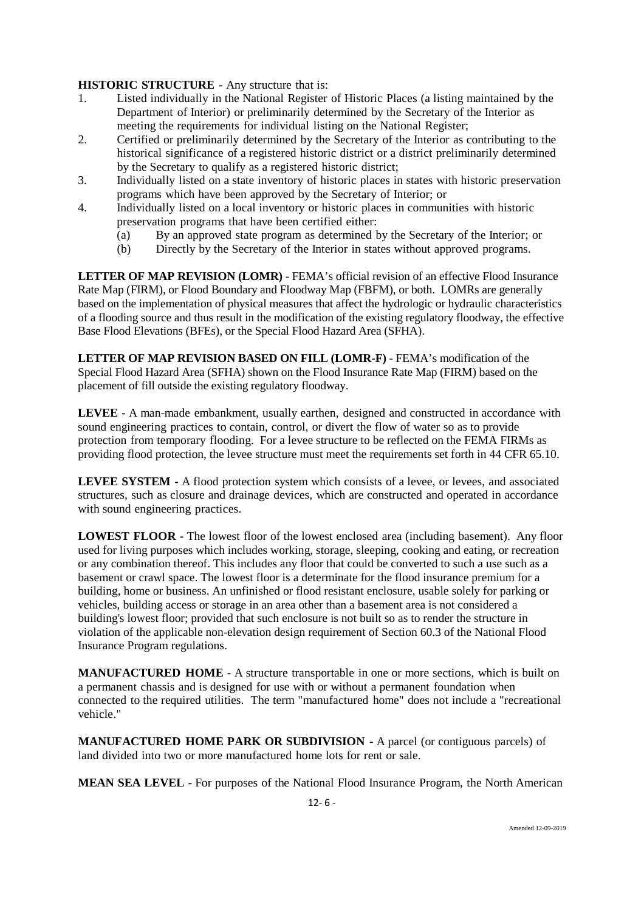# **HISTORIC STRUCTURE -** Any structure that is:<br>1. Listed individually in the National Register

- 1. Listed individually in the National Register of Historic Places (a listing maintained by the Department of Interior) or preliminarily determined by the Secretary of the Interior as meeting the requirements for individual listing on the National Register;
- 2. Certified or preliminarily determined by the Secretary of the Interior as contributing to the historical significance of a registered historic district or a district preliminarily determined by the Secretary to qualify as a registered historic district;
- 3. Individually listed on a state inventory of historic places in states with historic preservation programs which have been approved by the Secretary of Interior; or
- 4. Individually listed on a local inventory or historic places in communities with historic preservation programs that have been certified either:
	- (a) By an approved state program as determined by the Secretary of the Interior; or
	- (b) Directly by the Secretary of the Interior in states without approved programs.

**LETTER OF MAP REVISION (LOMR)** - FEMA's official revision of an effective Flood Insurance Rate Map (FIRM), or Flood Boundary and Floodway Map (FBFM), or both. LOMRs are generally based on the implementation of physical measures that affect the hydrologic or hydraulic characteristics of a flooding source and thus result in the modification of the existing regulatory floodway, the effective Base Flood Elevations (BFEs), or the Special Flood Hazard Area (SFHA).

**LETTER OF MAP REVISION BASED ON FILL (LOMR-F)** - FEMA's modification of the Special Flood Hazard Area (SFHA) shown on the Flood Insurance Rate Map (FIRM) based on the placement of fill outside the existing regulatory floodway.

**LEVEE -** A man-made embankment, usually earthen, designed and constructed in accordance with sound engineering practices to contain, control, or divert the flow of water so as to provide protection from temporary flooding. For a levee structure to be reflected on the FEMA FIRMs as providing flood protection, the levee structure must meet the requirements set forth in 44 CFR 65.10.

**LEVEE SYSTEM -** A flood protection system which consists of a levee, or levees, and associated structures, such as closure and drainage devices, which are constructed and operated in accordance with sound engineering practices.

**LOWEST FLOOR -** The lowest floor of the lowest enclosed area (including basement). Any floor used for living purposes which includes working, storage, sleeping, cooking and eating, or recreation or any combination thereof. This includes any floor that could be converted to such a use such as a basement or crawl space. The lowest floor is a determinate for the flood insurance premium for a building, home or business. An unfinished or flood resistant enclosure, usable solely for parking or vehicles, building access or storage in an area other than a basement area is not considered a building's lowest floor; provided that such enclosure is not built so as to render the structure in violation of the applicable non-elevation design requirement of Section 60.3 of the National Flood Insurance Program regulations.

**MANUFACTURED HOME -** A structure transportable in one or more sections, which is built on a permanent chassis and is designed for use with or without a permanent foundation when connected to the required utilities. The term "manufactured home" does not include a "recreational vehicle."

**MANUFACTURED HOME PARK OR SUBDIVISION -** A parcel (or contiguous parcels) of land divided into two or more manufactured home lots for rent or sale.

**MEAN SEA LEVEL -** For purposes of the National Flood Insurance Program, the North American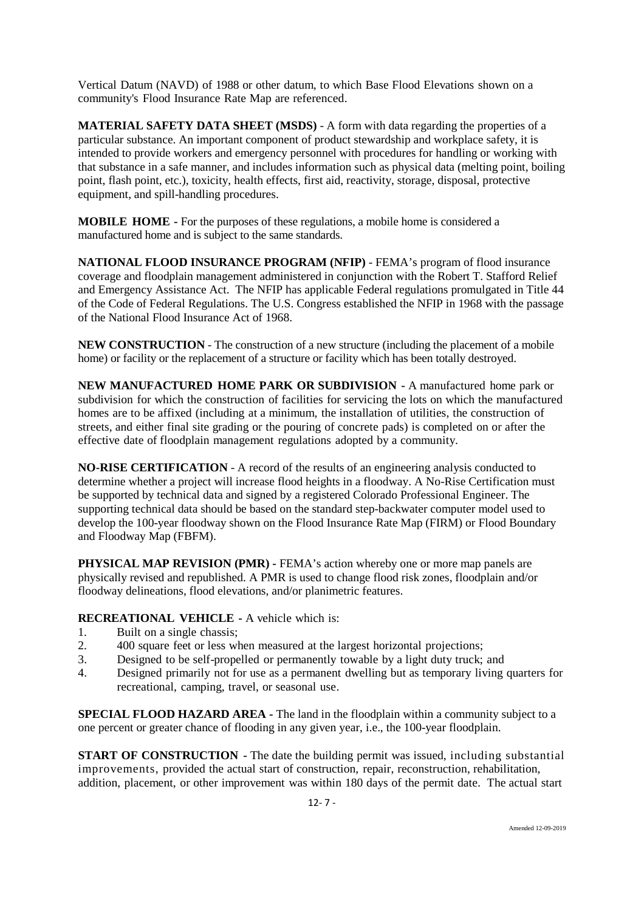Vertical Datum (NAVD) of 1988 or other datum, to which Base Flood Elevations shown on a community's Flood Insurance Rate Map are referenced.

**MATERIAL SAFETY DATA SHEET (MSDS)** - A form with data regarding the properties of a particular substance. An important component of product stewardship and workplace safety, it is intended to provide workers and emergency personnel with procedures for handling or working with that substance in a safe manner, and includes information such as physical data (melting point, boiling point, flash point, etc.), toxicity, health effects, first aid, reactivity, storage, disposal, protective equipment, and spill-handling procedures.

**MOBILE HOME -** For the purposes of these regulations, a mobile home is considered a manufactured home and is subject to the same standards.

**NATIONAL FLOOD INSURANCE PROGRAM (NFIP)** - FEMA's program of flood insurance coverage and floodplain management administered in conjunction with the Robert T. Stafford Relief and Emergency Assistance Act. The NFIP has applicable Federal regulations promulgated in Title 44 of the Code of Federal Regulations. The U.S. Congress established the NFIP in 1968 with the passage of the National Flood Insurance Act of 1968.

**NEW CONSTRUCTION** - The construction of a new structure (including the placement of a mobile home) or facility or the replacement of a structure or facility which has been totally destroyed.

**NEW MANUFACTURED HOME PARK OR SUBDIVISION -** A manufactured home park or subdivision for which the construction of facilities for servicing the lots on which the manufactured homes are to be affixed (including at a minimum, the installation of utilities, the construction of streets, and either final site grading or the pouring of concrete pads) is completed on or after the effective date of floodplain management regulations adopted by a community.

**NO-RISE CERTIFICATION** - A record of the results of an engineering analysis conducted to determine whether a project will increase flood heights in a floodway. A No-Rise Certification must be supported by technical data and signed by a registered Colorado Professional Engineer. The supporting technical data should be based on the standard step-backwater computer model used to develop the 100-year floodway shown on the Flood Insurance Rate Map (FIRM) or Flood Boundary and Floodway Map (FBFM).

**PHYSICAL MAP REVISION (PMR) -** FEMA's action whereby one or more map panels are physically revised and republished. A PMR is used to change flood risk zones, floodplain and/or floodway delineations, flood elevations, and/or planimetric features.

**RECREATIONAL VEHICLE -** A vehicle which is:

- 1. Built on a single chassis;
- 2. 400 square feet or less when measured at the largest horizontal projections;
- 3. Designed to be self-propelled or permanently towable by a light duty truck; and
- 4. Designed primarily not for use as a permanent dwelling but as temporary living quarters for recreational, camping, travel, or seasonal use.

**SPECIAL FLOOD HAZARD AREA -** The land in the floodplain within a community subject to a one percent or greater chance of flooding in any given year, i.e., the 100-year floodplain.

**START OF CONSTRUCTION -** The date the building permit was issued, including substantial improvements, provided the actual start of construction, repair, reconstruction, rehabilitation, addition, placement, or other improvement was within 180 days of the permit date. The actual start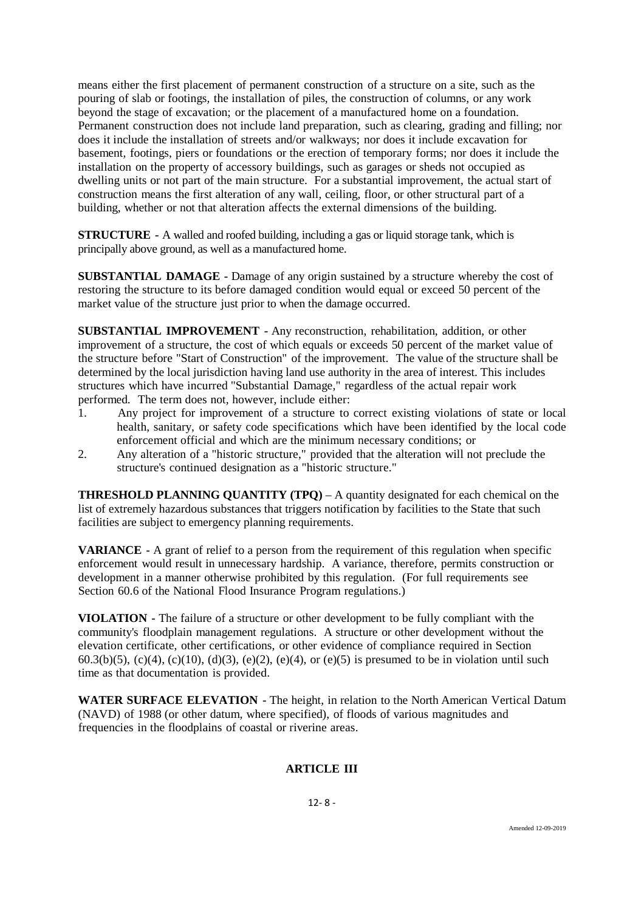means either the first placement of permanent construction of a structure on a site, such as the pouring of slab or footings, the installation of piles, the construction of columns, or any work beyond the stage of excavation; or the placement of a manufactured home on a foundation. Permanent construction does not include land preparation, such as clearing, grading and filling; nor does it include the installation of streets and/or walkways; nor does it include excavation for basement, footings, piers or foundations or the erection of temporary forms; nor does it include the installation on the property of accessory buildings, such as garages or sheds not occupied as dwelling units or not part of the main structure. For a substantial improvement, the actual start of construction means the first alteration of any wall, ceiling, floor, or other structural part of a building, whether or not that alteration affects the external dimensions of the building.

**STRUCTURE -** A walled and roofed building, including a gas or liquid storage tank, which is principally above ground, as well as a manufactured home.

**SUBSTANTIAL DAMAGE -** Damage of any origin sustained by a structure whereby the cost of restoring the structure to its before damaged condition would equal or exceed 50 percent of the market value of the structure just prior to when the damage occurred.

**SUBSTANTIAL IMPROVEMENT -** Any reconstruction, rehabilitation, addition, or other improvement of a structure, the cost of which equals or exceeds 50 percent of the market value of the structure before "Start of Construction" of the improvement. The value of the structure shall be determined by the local jurisdiction having land use authority in the area of interest. This includes structures which have incurred "Substantial Damage," regardless of the actual repair work performed. The term does not, however, include either:

- 1. Any project for improvement of a structure to correct existing violations of state or local health, sanitary, or safety code specifications which have been identified by the local code enforcement official and which are the minimum necessary conditions; or
- 2. Any alteration of a "historic structure," provided that the alteration will not preclude the structure's continued designation as a "historic structure."

**THRESHOLD PLANNING QUANTITY (TPQ)** – A quantity designated for each chemical on the list of extremely hazardous substances that triggers notification by facilities to the State that such facilities are subject to emergency planning requirements.

**VARIANCE -** A grant of relief to a person from the requirement of this regulation when specific enforcement would result in unnecessary hardship. A variance, therefore, permits construction or development in a manner otherwise prohibited by this regulation. (For full requirements see Section 60.6 of the National Flood Insurance Program regulations.)

**VIOLATION -** The failure of a structure or other development to be fully compliant with the community's floodplain management regulations. A structure or other development without the elevation certificate, other certifications, or other evidence of compliance required in Section 60.3(b)(5), (c)(4), (c)(10), (d)(3), (e)(2), (e)(4), or (e)(5) is presumed to be in violation until such time as that documentation is provided.

**WATER SURFACE ELEVATION -** The height, in relation to the North American Vertical Datum (NAVD) of 1988 (or other datum, where specified), of floods of various magnitudes and frequencies in the floodplains of coastal or riverine areas.

# **ARTICLE III**

12- 8 -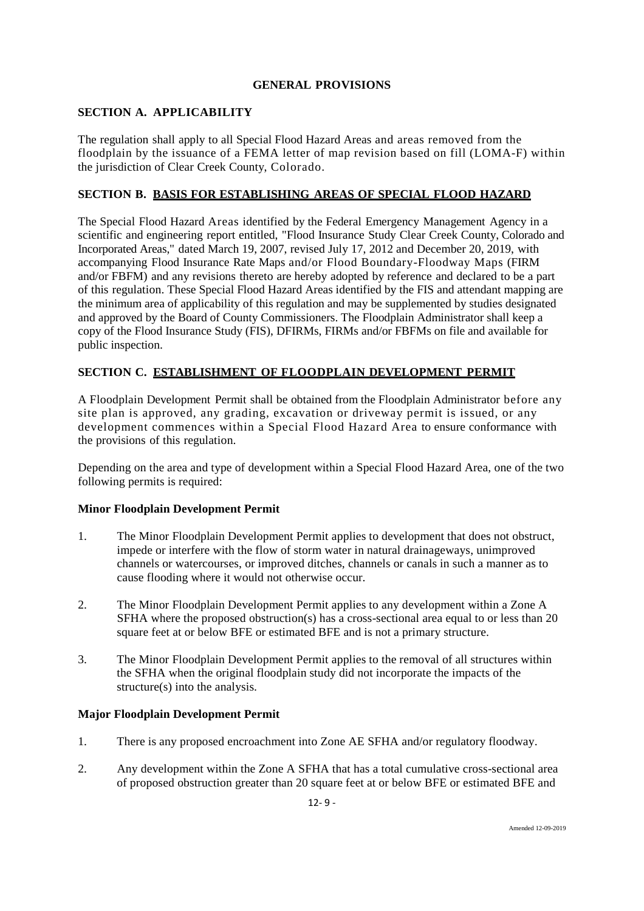# **GENERAL PROVISIONS**

## **SECTION A. APPLICABILITY**

The regulation shall apply to all Special Flood Hazard Areas and areas removed from the floodplain by the issuance of a FEMA letter of map revision based on fill (LOMA-F) within the jurisdiction of Clear Creek County, Colorado.

## **SECTION B. BASIS FOR ESTABLISHING AREAS OF SPECIAL FLOOD HAZARD**

The Special Flood Hazard Areas identified by the Federal Emergency Management Agency in a scientific and engineering report entitled, "Flood Insurance Study Clear Creek County, Colorado and Incorporated Areas," dated March 19, 2007, revised July 17, 2012 and December 20, 2019, with accompanying Flood Insurance Rate Maps and/or Flood Boundary-Floodway Maps (FIRM and/or FBFM) and any revisions thereto are hereby adopted by reference and declared to be a part of this regulation. These Special Flood Hazard Areas identified by the FIS and attendant mapping are the minimum area of applicability of this regulation and may be supplemented by studies designated and approved by the Board of County Commissioners. The Floodplain Administrator shall keep a copy of the Flood Insurance Study (FIS), DFIRMs, FIRMs and/or FBFMs on file and available for public inspection.

# **SECTION C. ESTABLISHMENT OF FLOODPLAIN DEVELOPMENT PERMIT**

A Floodplain Development Permit shall be obtained from the Floodplain Administrator before any site plan is approved, any grading, excavation or driveway permit is issued, or any development commences within a Special Flood Hazard Area to ensure conformance with the provisions of this regulation.

Depending on the area and type of development within a Special Flood Hazard Area, one of the two following permits is required:

## **Minor Floodplain Development Permit**

- 1. The Minor Floodplain Development Permit applies to development that does not obstruct, impede or interfere with the flow of storm water in natural drainageways, unimproved channels or watercourses, or improved ditches, channels or canals in such a manner as to cause flooding where it would not otherwise occur.
- 2. The Minor Floodplain Development Permit applies to any development within a Zone A SFHA where the proposed obstruction(s) has a cross-sectional area equal to or less than 20 square feet at or below BFE or estimated BFE and is not a primary structure.
- 3. The Minor Floodplain Development Permit applies to the removal of all structures within the SFHA when the original floodplain study did not incorporate the impacts of the structure(s) into the analysis.

## **Major Floodplain Development Permit**

- 1. There is any proposed encroachment into Zone AE SFHA and/or regulatory floodway.
- 2. Any development within the Zone A SFHA that has a total cumulative cross-sectional area of proposed obstruction greater than 20 square feet at or below BFE or estimated BFE and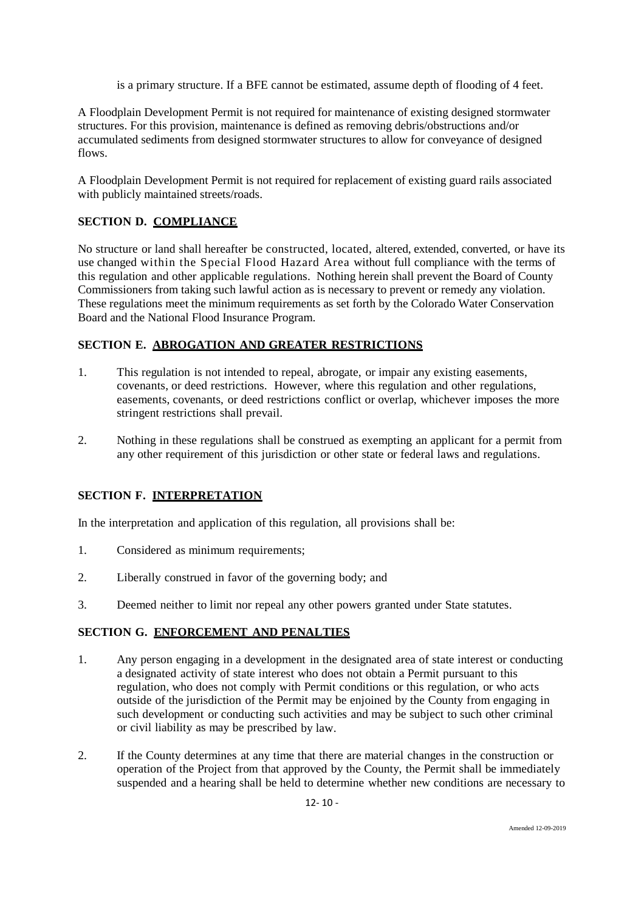is a primary structure. If a BFE cannot be estimated, assume depth of flooding of 4 feet.

A Floodplain Development Permit is not required for maintenance of existing designed stormwater structures. For this provision, maintenance is defined as removing debris/obstructions and/or accumulated sediments from designed stormwater structures to allow for conveyance of designed flows.

A Floodplain Development Permit is not required for replacement of existing guard rails associated with publicly maintained streets/roads.

# **SECTION D. COMPLIANCE**

No structure or land shall hereafter be constructed, located, altered, extended, converted, or have its use changed within the Special Flood Hazard Area without full compliance with the terms of this regulation and other applicable regulations. Nothing herein shall prevent the Board of County Commissioners from taking such lawful action as is necessary to prevent or remedy any violation. These regulations meet the minimum requirements as set forth by the Colorado Water Conservation Board and the National Flood Insurance Program.

# **SECTION E. ABROGATION AND GREATER RESTRICTIONS**

- 1. This regulation is not intended to repeal, abrogate, or impair any existing easements, covenants, or deed restrictions. However, where this regulation and other regulations, easements, covenants, or deed restrictions conflict or overlap, whichever imposes the more stringent restrictions shall prevail.
- 2. Nothing in these regulations shall be construed as exempting an applicant for a permit from any other requirement of this jurisdiction or other state or federal laws and regulations.

# **SECTION F. INTERPRETATION**

In the interpretation and application of this regulation, all provisions shall be:

- 1. Considered as minimum requirements;
- 2. Liberally construed in favor of the governing body; and
- 3. Deemed neither to limit nor repeal any other powers granted under State statutes.

# **SECTION G. ENFORCEMENT AND PENALTIES**

- 1. Any person engaging in a development in the designated area of state interest or conducting a designated activity of state interest who does not obtain a Permit pursuant to this regulation, who does not comply with Permit conditions or this regulation, or who acts outside of the jurisdiction of the Permit may be enjoined by the County from engaging in such development or conducting such activities and may be subject to such other criminal or civil liability as may be prescribed by law.
- 2. If the County determines at any time that there are material changes in the construction or operation of the Project from that approved by the County, the Permit shall be immediately suspended and a hearing shall be held to determine whether new conditions are necessary to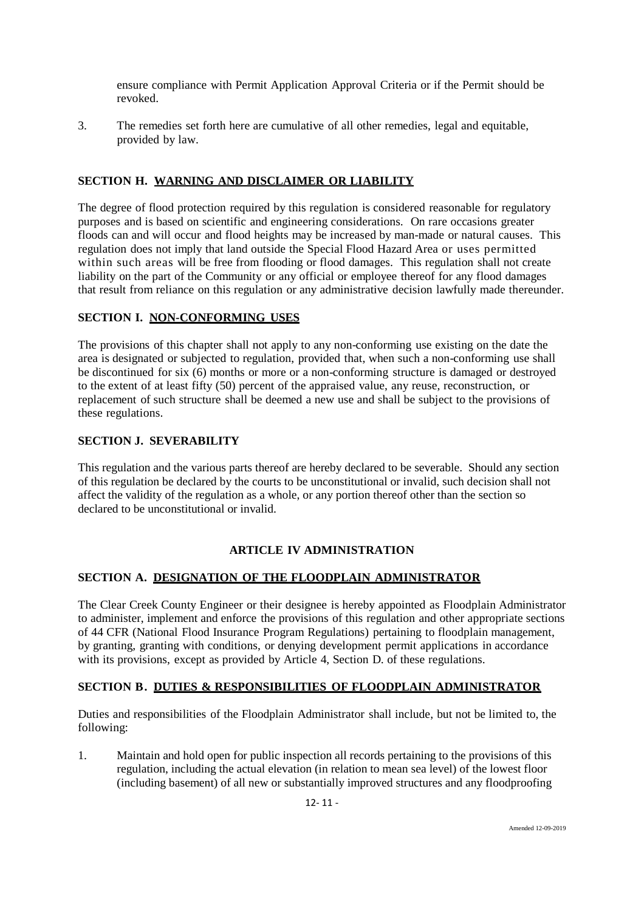ensure compliance with Permit Application Approval Criteria or if the Permit should be revoked.

3. The remedies set forth here are cumulative of all other remedies, legal and equitable, provided by law.

# **SECTION H. WARNING AND DISCLAIMER OR LIABILITY**

The degree of flood protection required by this regulation is considered reasonable for regulatory purposes and is based on scientific and engineering considerations. On rare occasions greater floods can and will occur and flood heights may be increased by man-made or natural causes. This regulation does not imply that land outside the Special Flood Hazard Area or uses permitted within such areas will be free from flooding or flood damages. This regulation shall not create liability on the part of the Community or any official or employee thereof for any flood damages that result from reliance on this regulation or any administrative decision lawfully made thereunder.

# **SECTION I. NON-CONFORMING USES**

The provisions of this chapter shall not apply to any non-conforming use existing on the date the area is designated or subjected to regulation, provided that, when such a non-conforming use shall be discontinued for six (6) months or more or a non-conforming structure is damaged or destroyed to the extent of at least fifty (50) percent of the appraised value, any reuse, reconstruction, or replacement of such structure shall be deemed a new use and shall be subject to the provisions of these regulations.

## **SECTION J. SEVERABILITY**

This regulation and the various parts thereof are hereby declared to be severable. Should any section of this regulation be declared by the courts to be unconstitutional or invalid, such decision shall not affect the validity of the regulation as a whole, or any portion thereof other than the section so declared to be unconstitutional or invalid.

## **ARTICLE IV ADMINISTRATION**

## **SECTION A. DESIGNATION OF THE FLOODPLAIN ADMINISTRATOR**

The Clear Creek County Engineer or their designee is hereby appointed as Floodplain Administrator to administer, implement and enforce the provisions of this regulation and other appropriate sections of 44 CFR (National Flood Insurance Program Regulations) pertaining to floodplain management, by granting, granting with conditions, or denying development permit applications in accordance with its provisions, except as provided by Article 4, Section D. of these regulations.

## **SECTION B. DUTIES & RESPONSIBILITIES OF FLOODPLAIN ADMINISTRATOR**

Duties and responsibilities of the Floodplain Administrator shall include, but not be limited to, the following:

1. Maintain and hold open for public inspection all records pertaining to the provisions of this regulation, including the actual elevation (in relation to mean sea level) of the lowest floor (including basement) of all new or substantially improved structures and any floodproofing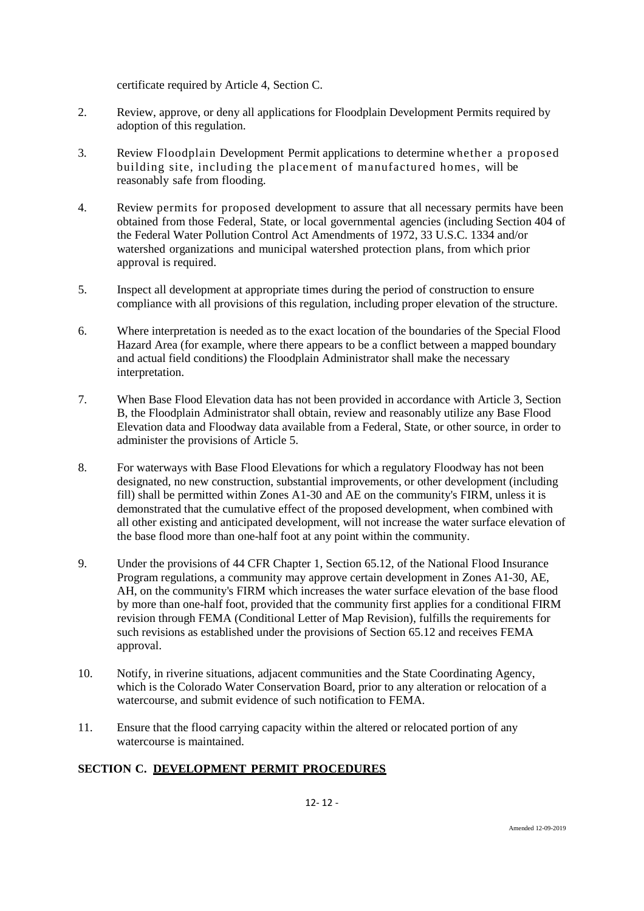certificate required by Article 4, Section C.

- 2. Review, approve, or deny all applications for Floodplain Development Permits required by adoption of this regulation.
- 3. Review Floodplain Development Permit applications to determine whether a proposed building site, including the placement of manufactured homes, will be reasonably safe from flooding.
- 4. Review permits for proposed development to assure that all necessary permits have been obtained from those Federal, State, or local governmental agencies (including Section 404 of the Federal Water Pollution Control Act Amendments of 1972, 33 U.S.C. 1334 and/or watershed organizations and municipal watershed protection plans, from which prior approval is required.
- 5. Inspect all development at appropriate times during the period of construction to ensure compliance with all provisions of this regulation, including proper elevation of the structure.
- 6. Where interpretation is needed as to the exact location of the boundaries of the Special Flood Hazard Area (for example, where there appears to be a conflict between a mapped boundary and actual field conditions) the Floodplain Administrator shall make the necessary interpretation.
- 7. When Base Flood Elevation data has not been provided in accordance with Article 3, Section B, the Floodplain Administrator shall obtain, review and reasonably utilize any Base Flood Elevation data and Floodway data available from a Federal, State, or other source, in order to administer the provisions of Article 5.
- 8. For waterways with Base Flood Elevations for which a regulatory Floodway has not been designated, no new construction, substantial improvements, or other development (including fill) shall be permitted within Zones A1-30 and AE on the community's FIRM, unless it is demonstrated that the cumulative effect of the proposed development, when combined with all other existing and anticipated development, will not increase the water surface elevation of the base flood more than one-half foot at any point within the community.
- 9. Under the provisions of 44 CFR Chapter 1, Section 65.12, of the National Flood Insurance Program regulations, a community may approve certain development in Zones A1-30, AE, AH, on the community's FIRM which increases the water surface elevation of the base flood by more than one-half foot, provided that the community first applies for a conditional FIRM revision through FEMA (Conditional Letter of Map Revision), fulfills the requirements for such revisions as established under the provisions of Section 65.12 and receives FEMA approval.
- 10. Notify, in riverine situations, adjacent communities and the State Coordinating Agency, which is the Colorado Water Conservation Board, prior to any alteration or relocation of a watercourse, and submit evidence of such notification to FEMA.
- 11. Ensure that the flood carrying capacity within the altered or relocated portion of any watercourse is maintained.

# **SECTION C. DEVELOPMENT PERMIT PROCEDURES**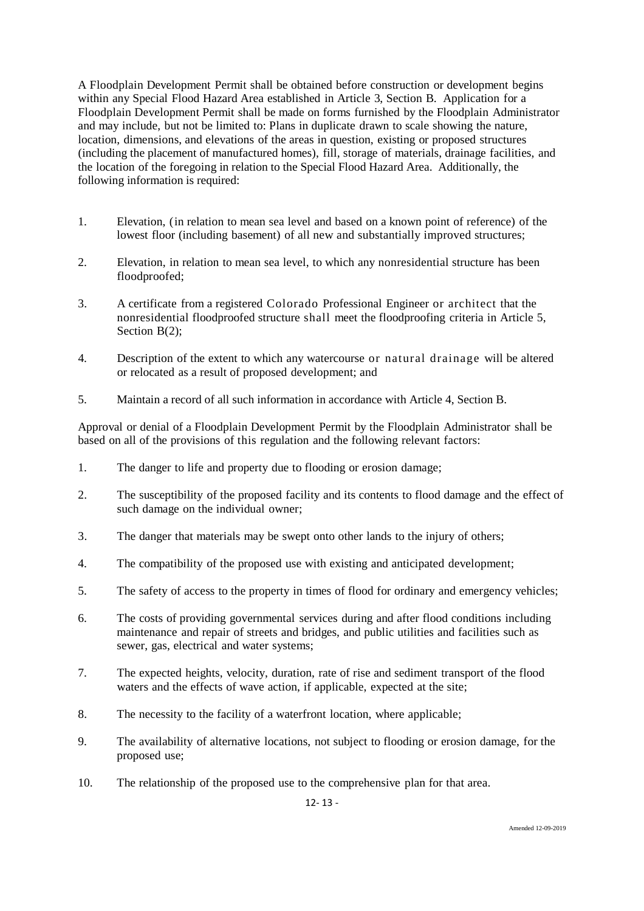A Floodplain Development Permit shall be obtained before construction or development begins within any Special Flood Hazard Area established in Article 3, Section B. Application for a Floodplain Development Permit shall be made on forms furnished by the Floodplain Administrator and may include, but not be limited to: Plans in duplicate drawn to scale showing the nature, location, dimensions, and elevations of the areas in question, existing or proposed structures (including the placement of manufactured homes), fill, storage of materials, drainage facilities, and the location of the foregoing in relation to the Special Flood Hazard Area. Additionally, the following information is required:

- 1. Elevation, (in relation to mean sea level and based on a known point of reference) of the lowest floor (including basement) of all new and substantially improved structures;
- 2. Elevation, in relation to mean sea level, to which any nonresidential structure has been floodproofed;
- 3. A certificate from a registered Colorado Professional Engineer or architect that the nonresidential floodproofed structure shall meet the floodproofing criteria in Article 5, Section B(2);
- 4. Description of the extent to which any watercourse or natural drainage will be altered or relocated as a result of proposed development; and
- 5. Maintain a record of all such information in accordance with Article 4, Section B.

Approval or denial of a Floodplain Development Permit by the Floodplain Administrator shall be based on all of the provisions of this regulation and the following relevant factors:

- 1. The danger to life and property due to flooding or erosion damage;
- 2. The susceptibility of the proposed facility and its contents to flood damage and the effect of such damage on the individual owner;
- 3. The danger that materials may be swept onto other lands to the injury of others;
- 4. The compatibility of the proposed use with existing and anticipated development;
- 5. The safety of access to the property in times of flood for ordinary and emergency vehicles;
- 6. The costs of providing governmental services during and after flood conditions including maintenance and repair of streets and bridges, and public utilities and facilities such as sewer, gas, electrical and water systems;
- 7. The expected heights, velocity, duration, rate of rise and sediment transport of the flood waters and the effects of wave action, if applicable, expected at the site;
- 8. The necessity to the facility of a waterfront location, where applicable;
- 9. The availability of alternative locations, not subject to flooding or erosion damage, for the proposed use;
- 10. The relationship of the proposed use to the comprehensive plan for that area.

12- 13 -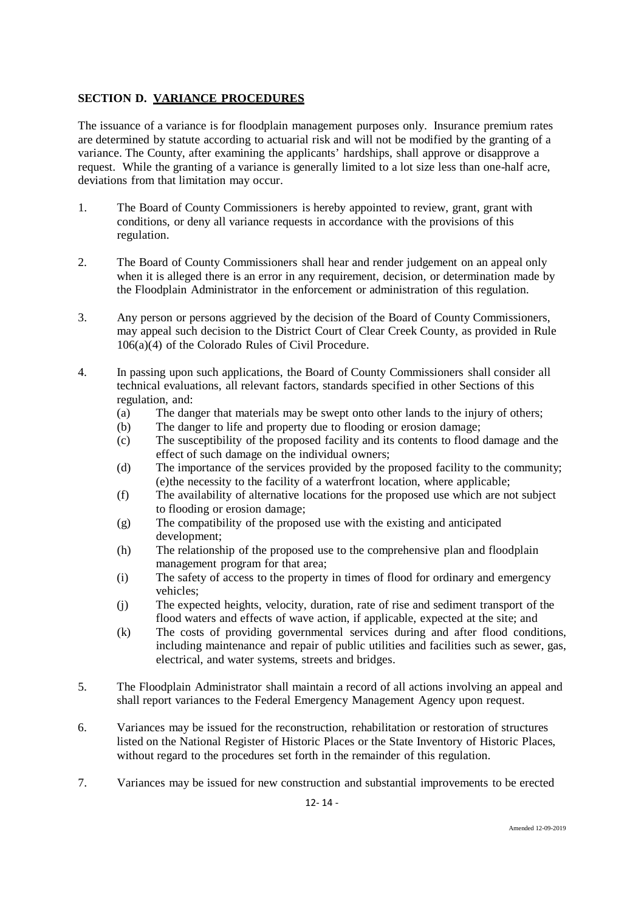# **SECTION D. VARIANCE PROCEDURES**

The issuance of a variance is for floodplain management purposes only. Insurance premium rates are determined by statute according to actuarial risk and will not be modified by the granting of a variance. The County, after examining the applicants' hardships, shall approve or disapprove a request. While the granting of a variance is generally limited to a lot size less than one-half acre, deviations from that limitation may occur.

- 1. The Board of County Commissioners is hereby appointed to review, grant, grant with conditions, or deny all variance requests in accordance with the provisions of this regulation.
- 2. The Board of County Commissioners shall hear and render judgement on an appeal only when it is alleged there is an error in any requirement, decision, or determination made by the Floodplain Administrator in the enforcement or administration of this regulation.
- 3. Any person or persons aggrieved by the decision of the Board of County Commissioners, may appeal such decision to the District Court of Clear Creek County, as provided in Rule 106(a)(4) of the Colorado Rules of Civil Procedure.
- 4. In passing upon such applications, the Board of County Commissioners shall consider all technical evaluations, all relevant factors, standards specified in other Sections of this regulation, and:
	- (a) The danger that materials may be swept onto other lands to the injury of others;
	- (b) The danger to life and property due to flooding or erosion damage;
	- (c) The susceptibility of the proposed facility and its contents to flood damage and the effect of such damage on the individual owners;
	- (d) The importance of the services provided by the proposed facility to the community; (e)the necessity to the facility of a waterfront location, where applicable;
	- (f) The availability of alternative locations for the proposed use which are not subject to flooding or erosion damage;
	- (g) The compatibility of the proposed use with the existing and anticipated development;
	- (h) The relationship of the proposed use to the comprehensive plan and floodplain management program for that area;
	- (i) The safety of access to the property in times of flood for ordinary and emergency vehicles;
	- (j) The expected heights, velocity, duration, rate of rise and sediment transport of the flood waters and effects of wave action, if applicable, expected at the site; and
	- (k) The costs of providing governmental services during and after flood conditions, including maintenance and repair of public utilities and facilities such as sewer, gas, electrical, and water systems, streets and bridges.
- 5. The Floodplain Administrator shall maintain a record of all actions involving an appeal and shall report variances to the Federal Emergency Management Agency upon request.
- 6. Variances may be issued for the reconstruction, rehabilitation or restoration of structures listed on the National Register of Historic Places or the State Inventory of Historic Places, without regard to the procedures set forth in the remainder of this regulation.
- 7. Variances may be issued for new construction and substantial improvements to be erected

12- 14 -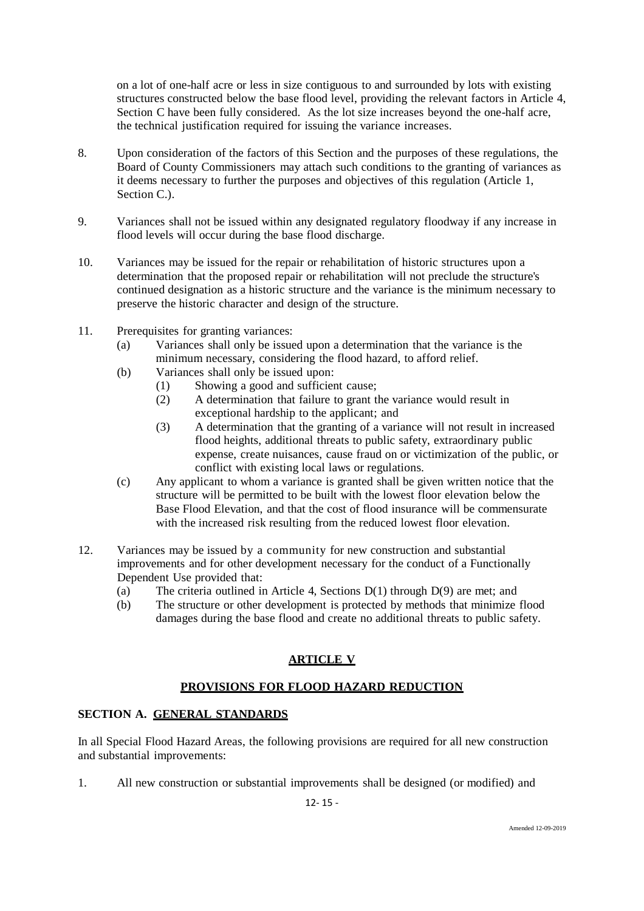on a lot of one-half acre or less in size contiguous to and surrounded by lots with existing structures constructed below the base flood level, providing the relevant factors in Article 4, Section C have been fully considered. As the lot size increases beyond the one-half acre, the technical justification required for issuing the variance increases.

- 8. Upon consideration of the factors of this Section and the purposes of these regulations, the Board of County Commissioners may attach such conditions to the granting of variances as it deems necessary to further the purposes and objectives of this regulation (Article 1, Section C.).
- 9. Variances shall not be issued within any designated regulatory floodway if any increase in flood levels will occur during the base flood discharge.
- 10. Variances may be issued for the repair or rehabilitation of historic structures upon a determination that the proposed repair or rehabilitation will not preclude the structure's continued designation as a historic structure and the variance is the minimum necessary to preserve the historic character and design of the structure.
- 11. Prerequisites for granting variances:
	- (a) Variances shall only be issued upon a determination that the variance is the minimum necessary, considering the flood hazard, to afford relief.
	- (b) Variances shall only be issued upon:
		- (1) Showing a good and sufficient cause;<br>(2) A determination that failure to grant the
		- A determination that failure to grant the variance would result in exceptional hardship to the applicant; and
		- (3) A determination that the granting of a variance will not result in increased flood heights, additional threats to public safety, extraordinary public expense, create nuisances, cause fraud on or victimization of the public, or conflict with existing local laws or regulations.
	- (c) Any applicant to whom a variance is granted shall be given written notice that the structure will be permitted to be built with the lowest floor elevation below the Base Flood Elevation, and that the cost of flood insurance will be commensurate with the increased risk resulting from the reduced lowest floor elevation.
- 12. Variances may be issued by a community for new construction and substantial improvements and for other development necessary for the conduct of a Functionally Dependent Use provided that:
	- (a) The criteria outlined in Article 4, Sections D(1) through D(9) are met; and
	- (b) The structure or other development is protected by methods that minimize flood damages during the base flood and create no additional threats to public safety.

# **ARTICLE V**

# **PROVISIONS FOR FLOOD HAZARD REDUCTION**

# **SECTION A. GENERAL STANDARDS**

In all Special Flood Hazard Areas, the following provisions are required for all new construction and substantial improvements:

1. All new construction or substantial improvements shall be designed (or modified) and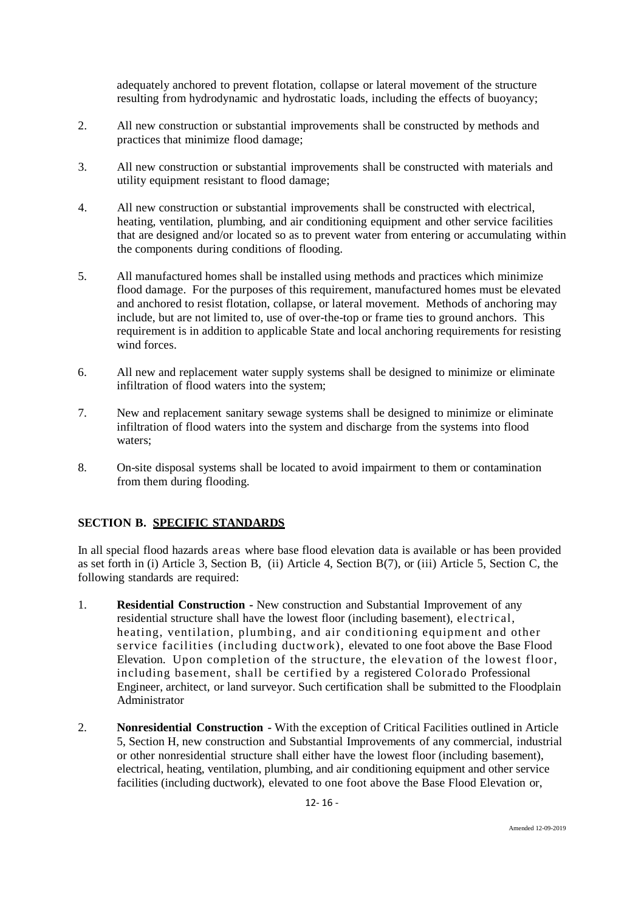adequately anchored to prevent flotation, collapse or lateral movement of the structure resulting from hydrodynamic and hydrostatic loads, including the effects of buoyancy;

- 2. All new construction or substantial improvements shall be constructed by methods and practices that minimize flood damage;
- 3. All new construction or substantial improvements shall be constructed with materials and utility equipment resistant to flood damage;
- 4. All new construction or substantial improvements shall be constructed with electrical, heating, ventilation, plumbing, and air conditioning equipment and other service facilities that are designed and/or located so as to prevent water from entering or accumulating within the components during conditions of flooding.
- 5. All manufactured homes shall be installed using methods and practices which minimize flood damage. For the purposes of this requirement, manufactured homes must be elevated and anchored to resist flotation, collapse, or lateral movement. Methods of anchoring may include, but are not limited to, use of over-the-top or frame ties to ground anchors. This requirement is in addition to applicable State and local anchoring requirements for resisting wind forces.
- 6. All new and replacement water supply systems shall be designed to minimize or eliminate infiltration of flood waters into the system;
- 7. New and replacement sanitary sewage systems shall be designed to minimize or eliminate infiltration of flood waters into the system and discharge from the systems into flood waters;
- 8. On-site disposal systems shall be located to avoid impairment to them or contamination from them during flooding.

## **SECTION B. SPECIFIC STANDARDS**

In all special flood hazards areas where base flood elevation data is available or has been provided as set forth in (i) Article 3, Section B, (ii) Article 4, Section B(7), or (iii) Article 5, Section C, the following standards are required:

- 1. **Residential Construction -** New construction and Substantial Improvement of any residential structure shall have the lowest floor (including basement), electrical, heating, ventilation, plumbing, and air conditioning equipment and other service facilities (including ductwork), elevated to one foot above the Base Flood Elevation. Upon completion of the structure, the elevation of the lowest floor, including basement, shall be certified by a registered Colorado Professional Engineer, architect, or land surveyor. Such certification shall be submitted to the Floodplain Administrator
- 2. **Nonresidential Construction -** With the exception of Critical Facilities outlined in Article 5, Section H, new construction and Substantial Improvements of any commercial, industrial or other nonresidential structure shall either have the lowest floor (including basement), electrical, heating, ventilation, plumbing, and air conditioning equipment and other service facilities (including ductwork), elevated to one foot above the Base Flood Elevation or,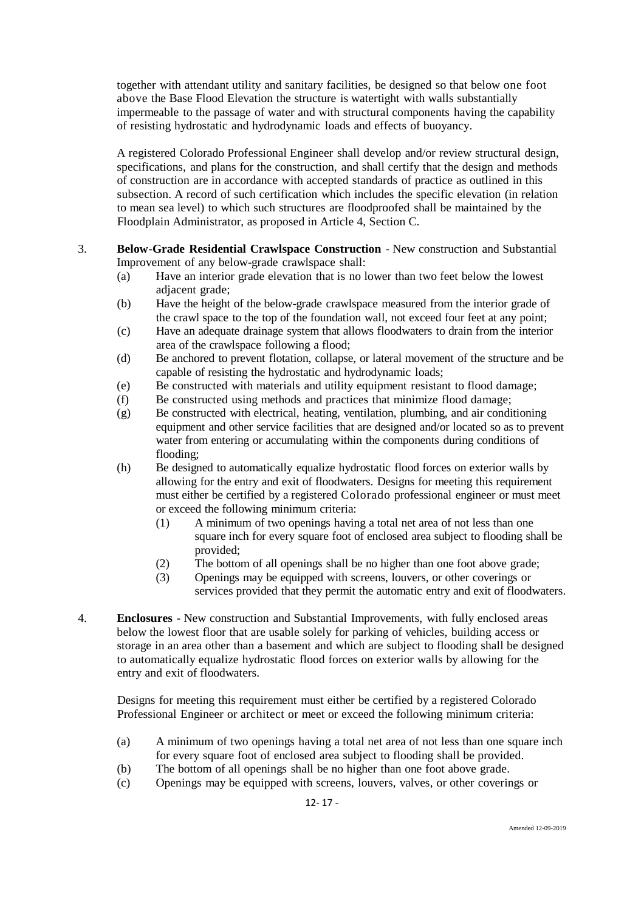together with attendant utility and sanitary facilities, be designed so that below one foot above the Base Flood Elevation the structure is watertight with walls substantially impermeable to the passage of water and with structural components having the capability of resisting hydrostatic and hydrodynamic loads and effects of buoyancy.

A registered Colorado Professional Engineer shall develop and/or review structural design, specifications, and plans for the construction, and shall certify that the design and methods of construction are in accordance with accepted standards of practice as outlined in this subsection. A record of such certification which includes the specific elevation (in relation to mean sea level) to which such structures are floodproofed shall be maintained by the Floodplain Administrator, as proposed in Article 4, Section C.

- 3. **Below-Grade Residential Crawlspace Construction** New construction and Substantial Improvement of any below-grade crawlspace shall:
	- (a) Have an interior grade elevation that is no lower than two feet below the lowest adjacent grade;
	- (b) Have the height of the below-grade crawlspace measured from the interior grade of the crawl space to the top of the foundation wall, not exceed four feet at any point;
	- (c) Have an adequate drainage system that allows floodwaters to drain from the interior area of the crawlspace following a flood;
	- (d) Be anchored to prevent flotation, collapse, or lateral movement of the structure and be capable of resisting the hydrostatic and hydrodynamic loads;
	- (e) Be constructed with materials and utility equipment resistant to flood damage;
	- (f) Be constructed using methods and practices that minimize flood damage;
	- (g) Be constructed with electrical, heating, ventilation, plumbing, and air conditioning equipment and other service facilities that are designed and/or located so as to prevent water from entering or accumulating within the components during conditions of flooding;
	- (h) Be designed to automatically equalize hydrostatic flood forces on exterior walls by allowing for the entry and exit of floodwaters. Designs for meeting this requirement must either be certified by a registered Colorado professional engineer or must meet or exceed the following minimum criteria:
		- (1) A minimum of two openings having a total net area of not less than one square inch for every square foot of enclosed area subject to flooding shall be provided;
		- (2) The bottom of all openings shall be no higher than one foot above grade;
		- (3) Openings may be equipped with screens, louvers, or other coverings or services provided that they permit the automatic entry and exit of floodwaters.
- 4. **Enclosures -** New construction and Substantial Improvements, with fully enclosed areas below the lowest floor that are usable solely for parking of vehicles, building access or storage in an area other than a basement and which are subject to flooding shall be designed to automatically equalize hydrostatic flood forces on exterior walls by allowing for the entry and exit of floodwaters.

Designs for meeting this requirement must either be certified by a registered Colorado Professional Engineer or architect or meet or exceed the following minimum criteria:

- (a) A minimum of two openings having a total net area of not less than one square inch for every square foot of enclosed area subject to flooding shall be provided.
- (b) The bottom of all openings shall be no higher than one foot above grade.
- (c) Openings may be equipped with screens, louvers, valves, or other coverings or

12- 17 -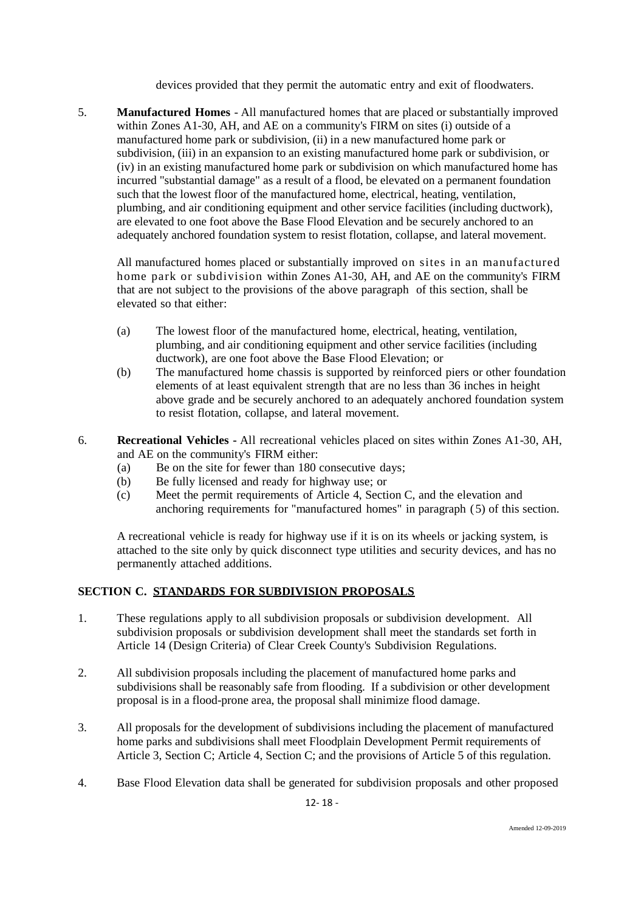devices provided that they permit the automatic entry and exit of floodwaters.

5. **Manufactured Homes** - All manufactured homes that are placed or substantially improved within Zones A1-30, AH, and AE on a community's FIRM on sites (i) outside of a manufactured home park or subdivision, (ii) in a new manufactured home park or subdivision, (iii) in an expansion to an existing manufactured home park or subdivision, or (iv) in an existing manufactured home park or subdivision on which manufactured home has incurred "substantial damage" as a result of a flood, be elevated on a permanent foundation such that the lowest floor of the manufactured home, electrical, heating, ventilation, plumbing, and air conditioning equipment and other service facilities (including ductwork), are elevated to one foot above the Base Flood Elevation and be securely anchored to an adequately anchored foundation system to resist flotation, collapse, and lateral movement.

All manufactured homes placed or substantially improved on sites in an manufactured home park or subdivision within Zones A1-30, AH, and AE on the community's FIRM that are not subject to the provisions of the above paragraph of this section, shall be elevated so that either:

- (a) The lowest floor of the manufactured home, electrical, heating, ventilation, plumbing, and air conditioning equipment and other service facilities (including ductwork), are one foot above the Base Flood Elevation; or
- (b) The manufactured home chassis is supported by reinforced piers or other foundation elements of at least equivalent strength that are no less than 36 inches in height above grade and be securely anchored to an adequately anchored foundation system to resist flotation, collapse, and lateral movement.
- 6. **Recreational Vehicles -** All recreational vehicles placed on sites within Zones A1-30, AH, and AE on the community's FIRM either:
	- (a) Be on the site for fewer than 180 consecutive days;
	- (b) Be fully licensed and ready for highway use; or
	- (c) Meet the permit requirements of Article 4, Section C, and the elevation and anchoring requirements for "manufactured homes" in paragraph (5) of this section.

A recreational vehicle is ready for highway use if it is on its wheels or jacking system, is attached to the site only by quick disconnect type utilities and security devices, and has no permanently attached additions.

# **SECTION C. STANDARDS FOR SUBDIVISION PROPOSALS**

- 1. These regulations apply to all subdivision proposals or subdivision development. All subdivision proposals or subdivision development shall meet the standards set forth in Article 14 (Design Criteria) of Clear Creek County's Subdivision Regulations.
- 2. All subdivision proposals including the placement of manufactured home parks and subdivisions shall be reasonably safe from flooding. If a subdivision or other development proposal is in a flood-prone area, the proposal shall minimize flood damage.
- 3. All proposals for the development of subdivisions including the placement of manufactured home parks and subdivisions shall meet Floodplain Development Permit requirements of Article 3, Section C; Article 4, Section C; and the provisions of Article 5 of this regulation.
- 4. Base Flood Elevation data shall be generated for subdivision proposals and other proposed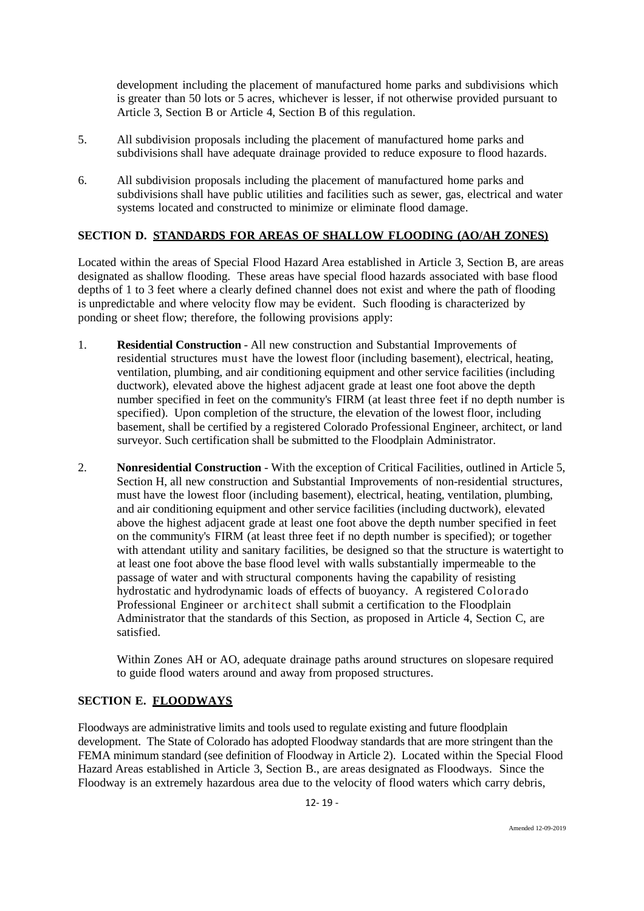development including the placement of manufactured home parks and subdivisions which is greater than 50 lots or 5 acres, whichever is lesser, if not otherwise provided pursuant to Article 3, Section B or Article 4, Section B of this regulation.

- 5. All subdivision proposals including the placement of manufactured home parks and subdivisions shall have adequate drainage provided to reduce exposure to flood hazards.
- 6. All subdivision proposals including the placement of manufactured home parks and subdivisions shall have public utilities and facilities such as sewer, gas, electrical and water systems located and constructed to minimize or eliminate flood damage.

# **SECTION D. STANDARDS FOR AREAS OF SHALLOW FLOODING (AO/AH ZONES)**

Located within the areas of Special Flood Hazard Area established in Article 3, Section B, are areas designated as shallow flooding. These areas have special flood hazards associated with base flood depths of 1 to 3 feet where a clearly defined channel does not exist and where the path of flooding is unpredictable and where velocity flow may be evident. Such flooding is characterized by ponding or sheet flow; therefore, the following provisions apply:

- 1. **Residential Construction** All new construction and Substantial Improvements of residential structures must have the lowest floor (including basement), electrical, heating, ventilation, plumbing, and air conditioning equipment and other service facilities (including ductwork), elevated above the highest adjacent grade at least one foot above the depth number specified in feet on the community's FIRM (at least three feet if no depth number is specified). Upon completion of the structure, the elevation of the lowest floor, including basement, shall be certified by a registered Colorado Professional Engineer, architect, or land surveyor. Such certification shall be submitted to the Floodplain Administrator.
- 2. **Nonresidential Construction** With the exception of Critical Facilities, outlined in Article 5, Section H, all new construction and Substantial Improvements of non-residential structures, must have the lowest floor (including basement), electrical, heating, ventilation, plumbing, and air conditioning equipment and other service facilities (including ductwork), elevated above the highest adjacent grade at least one foot above the depth number specified in feet on the community's FIRM (at least three feet if no depth number is specified); or together with attendant utility and sanitary facilities, be designed so that the structure is watertight to at least one foot above the base flood level with walls substantially impermeable to the passage of water and with structural components having the capability of resisting hydrostatic and hydrodynamic loads of effects of buoyancy. A registered Colorado Professional Engineer or architect shall submit a certification to the Floodplain Administrator that the standards of this Section, as proposed in Article 4, Section C, are satisfied.

Within Zones AH or AO, adequate drainage paths around structures on slopesare required to guide flood waters around and away from proposed structures.

# **SECTION E. FLOODWAYS**

Floodways are administrative limits and tools used to regulate existing and future floodplain development. The State of Colorado has adopted Floodway standards that are more stringent than the FEMA minimum standard (see definition of Floodway in Article 2). Located within the Special Flood Hazard Areas established in Article 3, Section B., are areas designated as Floodways. Since the Floodway is an extremely hazardous area due to the velocity of flood waters which carry debris,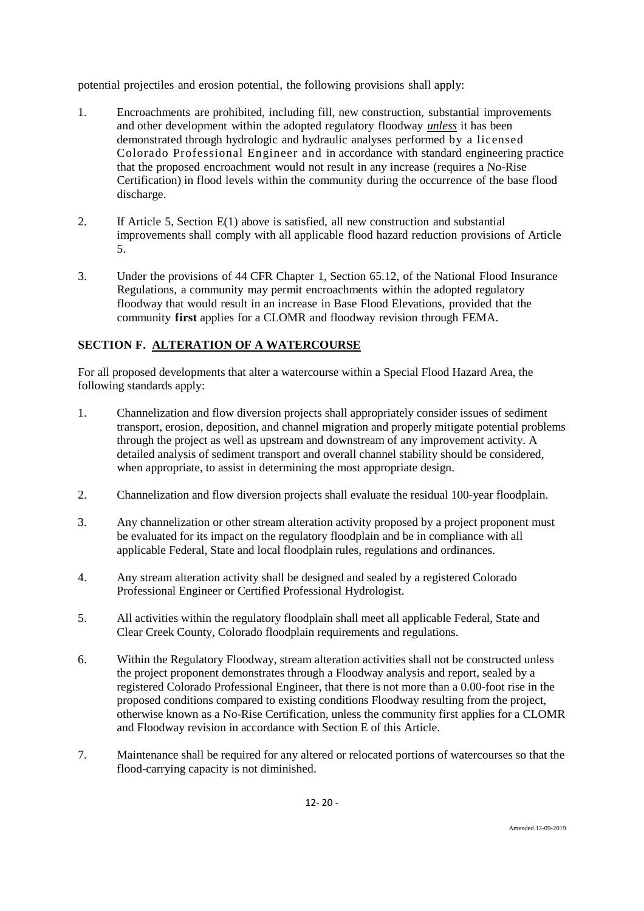potential projectiles and erosion potential, the following provisions shall apply:

- 1. Encroachments are prohibited, including fill, new construction, substantial improvements and other development within the adopted regulatory floodway *unless* it has been demonstrated through hydrologic and hydraulic analyses performed by a licensed Colorado Professional Engineer and in accordance with standard engineering practice that the proposed encroachment would not result in any increase (requires a No-Rise Certification) in flood levels within the community during the occurrence of the base flood discharge.
- 2. If Article 5, Section E(1) above is satisfied, all new construction and substantial improvements shall comply with all applicable flood hazard reduction provisions of Article 5.
- 3. Under the provisions of 44 CFR Chapter 1, Section 65.12, of the National Flood Insurance Regulations, a community may permit encroachments within the adopted regulatory floodway that would result in an increase in Base Flood Elevations, provided that the community **first** applies for a CLOMR and floodway revision through FEMA.

# **SECTION F. ALTERATION OF A WATERCOURSE**

For all proposed developments that alter a watercourse within a Special Flood Hazard Area, the following standards apply:

- 1. Channelization and flow diversion projects shall appropriately consider issues of sediment transport, erosion, deposition, and channel migration and properly mitigate potential problems through the project as well as upstream and downstream of any improvement activity. A detailed analysis of sediment transport and overall channel stability should be considered, when appropriate, to assist in determining the most appropriate design.
- 2. Channelization and flow diversion projects shall evaluate the residual 100-year floodplain.
- 3. Any channelization or other stream alteration activity proposed by a project proponent must be evaluated for its impact on the regulatory floodplain and be in compliance with all applicable Federal, State and local floodplain rules, regulations and ordinances.
- 4. Any stream alteration activity shall be designed and sealed by a registered Colorado Professional Engineer or Certified Professional Hydrologist.
- 5. All activities within the regulatory floodplain shall meet all applicable Federal, State and Clear Creek County, Colorado floodplain requirements and regulations.
- 6. Within the Regulatory Floodway, stream alteration activities shall not be constructed unless the project proponent demonstrates through a Floodway analysis and report, sealed by a registered Colorado Professional Engineer, that there is not more than a 0.00-foot rise in the proposed conditions compared to existing conditions Floodway resulting from the project, otherwise known as a No-Rise Certification, unless the community first applies for a CLOMR and Floodway revision in accordance with Section E of this Article.
- 7. Maintenance shall be required for any altered or relocated portions of watercourses so that the flood-carrying capacity is not diminished.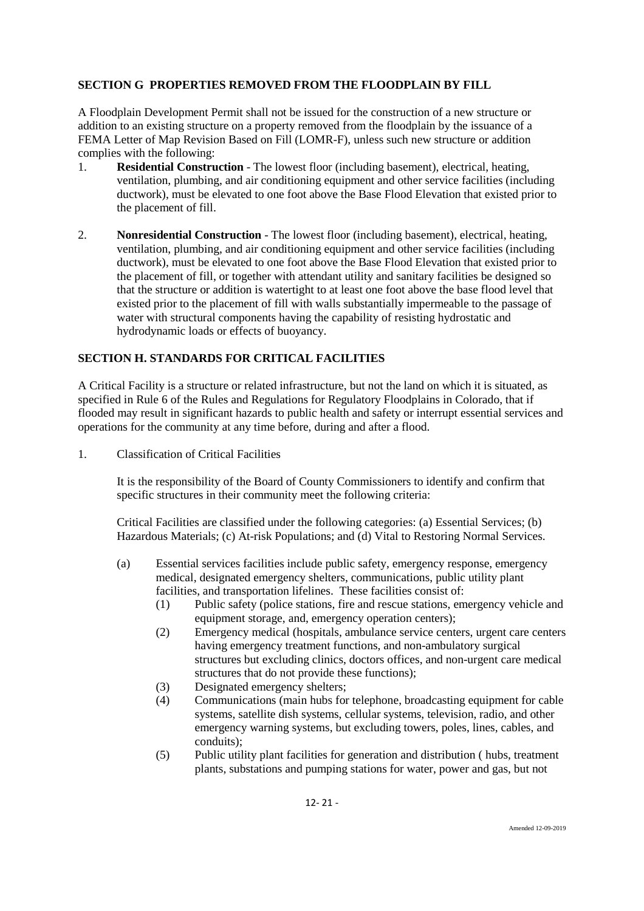# **SECTION G PROPERTIES REMOVED FROM THE FLOODPLAIN BY FILL**

A Floodplain Development Permit shall not be issued for the construction of a new structure or addition to an existing structure on a property removed from the floodplain by the issuance of a FEMA Letter of Map Revision Based on Fill (LOMR-F), unless such new structure or addition complies with the following:

- 1. **Residential Construction** The lowest floor (including basement), electrical, heating, ventilation, plumbing, and air conditioning equipment and other service facilities (including ductwork), must be elevated to one foot above the Base Flood Elevation that existed prior to the placement of fill.
- 2. **Nonresidential Construction** The lowest floor (including basement), electrical, heating, ventilation, plumbing, and air conditioning equipment and other service facilities (including ductwork), must be elevated to one foot above the Base Flood Elevation that existed prior to the placement of fill, or together with attendant utility and sanitary facilities be designed so that the structure or addition is watertight to at least one foot above the base flood level that existed prior to the placement of fill with walls substantially impermeable to the passage of water with structural components having the capability of resisting hydrostatic and hydrodynamic loads or effects of buoyancy.

# **SECTION H. STANDARDS FOR CRITICAL FACILITIES**

A Critical Facility is a structure or related infrastructure, but not the land on which it is situated, as specified in Rule 6 of the Rules and Regulations for Regulatory Floodplains in Colorado, that if flooded may result in significant hazards to public health and safety or interrupt essential services and operations for the community at any time before, during and after a flood.

1. Classification of Critical Facilities

It is the responsibility of the Board of County Commissioners to identify and confirm that specific structures in their community meet the following criteria:

Critical Facilities are classified under the following categories: (a) Essential Services; (b) Hazardous Materials; (c) At-risk Populations; and (d) Vital to Restoring Normal Services.

- (a) Essential services facilities include public safety, emergency response, emergency medical, designated emergency shelters, communications, public utility plant facilities, and transportation lifelines. These facilities consist of:
	- (1) Public safety (police stations, fire and rescue stations, emergency vehicle and equipment storage, and, emergency operation centers);
	- (2) Emergency medical (hospitals, ambulance service centers, urgent care centers having emergency treatment functions, and non-ambulatory surgical structures but excluding clinics, doctors offices, and non-urgent care medical structures that do not provide these functions);
	- (3) Designated emergency shelters;
	- (4) Communications (main hubs for telephone, broadcasting equipment for cable systems, satellite dish systems, cellular systems, television, radio, and other emergency warning systems, but excluding towers, poles, lines, cables, and conduits);
	- (5) Public utility plant facilities for generation and distribution ( hubs, treatment plants, substations and pumping stations for water, power and gas, but not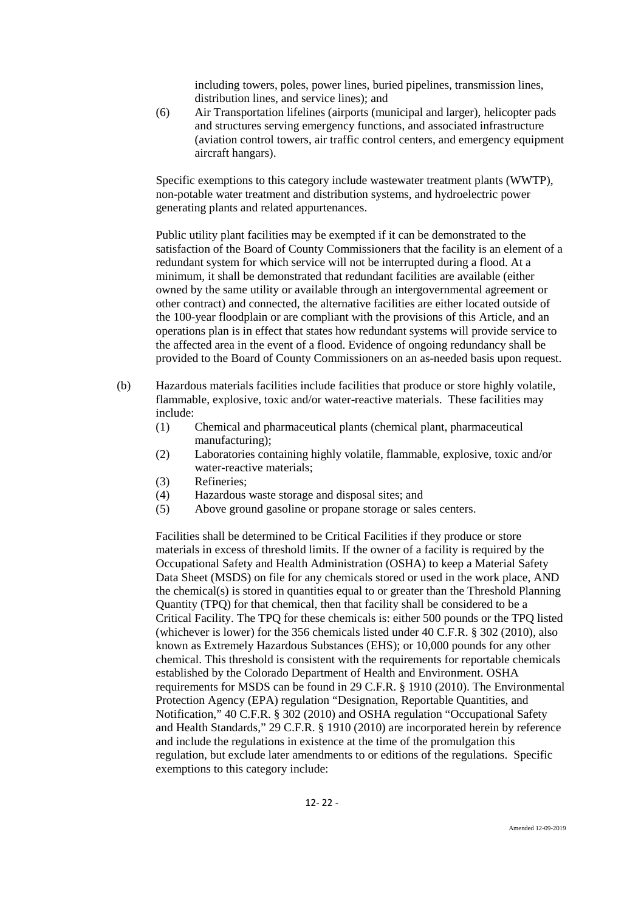including towers, poles, power lines, buried pipelines, transmission lines, distribution lines, and service lines); and

(6) Air Transportation lifelines (airports (municipal and larger), helicopter pads and structures serving emergency functions, and associated infrastructure (aviation control towers, air traffic control centers, and emergency equipment aircraft hangars).

Specific exemptions to this category include wastewater treatment plants (WWTP), non-potable water treatment and distribution systems, and hydroelectric power generating plants and related appurtenances.

Public utility plant facilities may be exempted if it can be demonstrated to the satisfaction of the Board of County Commissioners that the facility is an element of a redundant system for which service will not be interrupted during a flood. At a minimum, it shall be demonstrated that redundant facilities are available (either owned by the same utility or available through an intergovernmental agreement or other contract) and connected, the alternative facilities are either located outside of the 100-year floodplain or are compliant with the provisions of this Article, and an operations plan is in effect that states how redundant systems will provide service to the affected area in the event of a flood. Evidence of ongoing redundancy shall be provided to the Board of County Commissioners on an as-needed basis upon request.

- (b) Hazardous materials facilities include facilities that produce or store highly volatile, flammable, explosive, toxic and/or water-reactive materials. These facilities may include:
	- (1) Chemical and pharmaceutical plants (chemical plant, pharmaceutical manufacturing);
	- (2) Laboratories containing highly volatile, flammable, explosive, toxic and/or water-reactive materials;
	- (3) Refineries;
	- (4) Hazardous waste storage and disposal sites; and
	- (5) Above ground gasoline or propane storage or sales centers.

Facilities shall be determined to be Critical Facilities if they produce or store materials in excess of threshold limits. If the owner of a facility is required by the Occupational Safety and Health Administration (OSHA) to keep a Material Safety Data Sheet (MSDS) on file for any chemicals stored or used in the work place, AND the chemical(s) is stored in quantities equal to or greater than the Threshold Planning Quantity (TPQ) for that chemical, then that facility shall be considered to be a Critical Facility. The TPQ for these chemicals is: either 500 pounds or the TPQ listed (whichever is lower) for the 356 chemicals listed under 40 C.F.R. § 302 (2010), also known as Extremely Hazardous Substances (EHS); or 10,000 pounds for any other chemical. This threshold is consistent with the requirements for reportable chemicals established by the Colorado Department of Health and Environment. OSHA requirements for MSDS can be found in 29 C.F.R. § 1910 (2010). The Environmental Protection Agency (EPA) regulation "Designation, Reportable Quantities, and Notification," 40 C.F.R. § 302 (2010) and OSHA regulation "Occupational Safety and Health Standards," 29 C.F.R. § 1910 (2010) are incorporated herein by reference and include the regulations in existence at the time of the promulgation this regulation, but exclude later amendments to or editions of the regulations. Specific exemptions to this category include: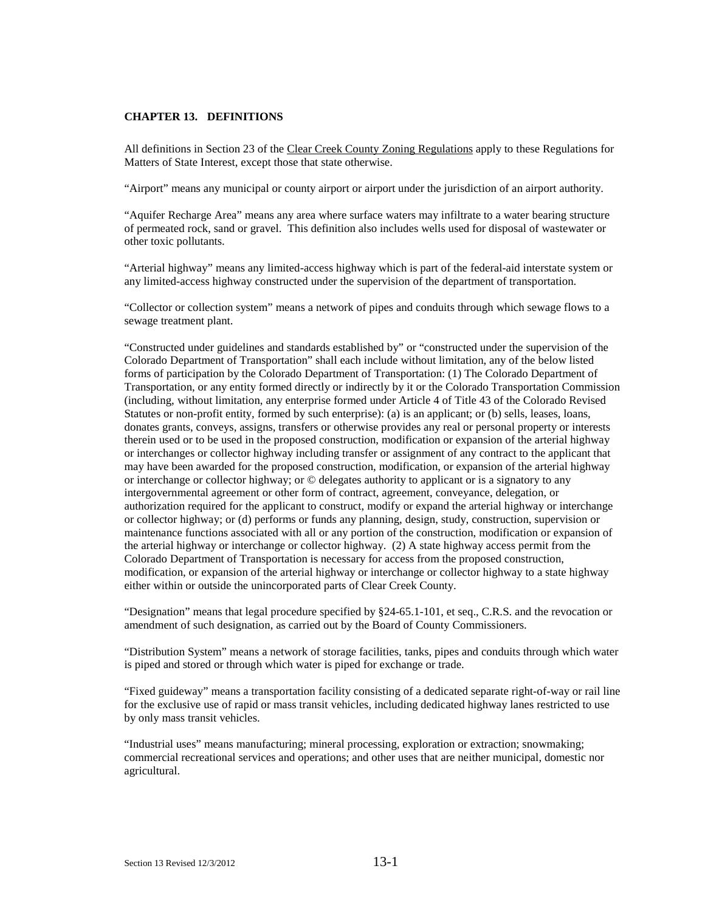#### **CHAPTER 13. DEFINITIONS**

All definitions in Section 23 of the Clear Creek County Zoning Regulations apply to these Regulations for Matters of State Interest, except those that state otherwise.

"Airport" means any municipal or county airport or airport under the jurisdiction of an airport authority.

"Aquifer Recharge Area" means any area where surface waters may infiltrate to a water bearing structure of permeated rock, sand or gravel. This definition also includes wells used for disposal of wastewater or other toxic pollutants.

"Arterial highway" means any limited-access highway which is part of the federal-aid interstate system or any limited-access highway constructed under the supervision of the department of transportation.

"Collector or collection system" means a network of pipes and conduits through which sewage flows to a sewage treatment plant.

"Constructed under guidelines and standards established by" or "constructed under the supervision of the Colorado Department of Transportation" shall each include without limitation, any of the below listed forms of participation by the Colorado Department of Transportation: (1) The Colorado Department of Transportation, or any entity formed directly or indirectly by it or the Colorado Transportation Commission (including, without limitation, any enterprise formed under Article 4 of Title 43 of the Colorado Revised Statutes or non-profit entity, formed by such enterprise): (a) is an applicant; or (b) sells, leases, loans, donates grants, conveys, assigns, transfers or otherwise provides any real or personal property or interests therein used or to be used in the proposed construction, modification or expansion of the arterial highway or interchanges or collector highway including transfer or assignment of any contract to the applicant that may have been awarded for the proposed construction, modification, or expansion of the arterial highway or interchange or collector highway; or © delegates authority to applicant or is a signatory to any intergovernmental agreement or other form of contract, agreement, conveyance, delegation, or authorization required for the applicant to construct, modify or expand the arterial highway or interchange or collector highway; or (d) performs or funds any planning, design, study, construction, supervision or maintenance functions associated with all or any portion of the construction, modification or expansion of the arterial highway or interchange or collector highway. (2) A state highway access permit from the Colorado Department of Transportation is necessary for access from the proposed construction, modification, or expansion of the arterial highway or interchange or collector highway to a state highway either within or outside the unincorporated parts of Clear Creek County.

"Designation" means that legal procedure specified by §24-65.1-101, et seq., C.R.S. and the revocation or amendment of such designation, as carried out by the Board of County Commissioners.

"Distribution System" means a network of storage facilities, tanks, pipes and conduits through which water is piped and stored or through which water is piped for exchange or trade.

"Fixed guideway" means a transportation facility consisting of a dedicated separate right-of-way or rail line for the exclusive use of rapid or mass transit vehicles, including dedicated highway lanes restricted to use by only mass transit vehicles.

"Industrial uses" means manufacturing; mineral processing, exploration or extraction; snowmaking; commercial recreational services and operations; and other uses that are neither municipal, domestic nor agricultural.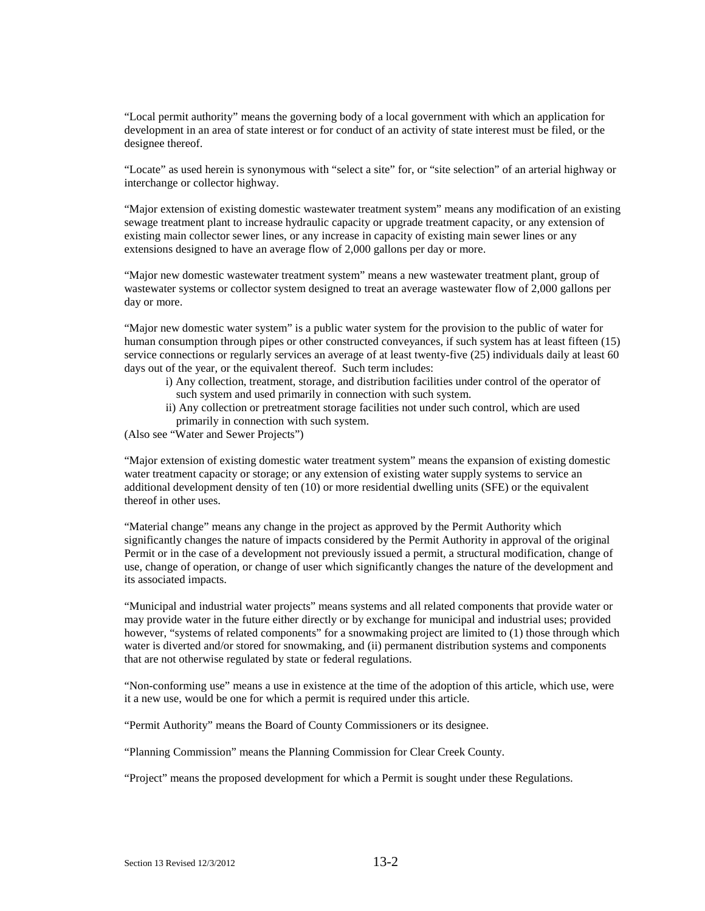"Local permit authority" means the governing body of a local government with which an application for development in an area of state interest or for conduct of an activity of state interest must be filed, or the designee thereof.

"Locate" as used herein is synonymous with "select a site" for, or "site selection" of an arterial highway or interchange or collector highway.

"Major extension of existing domestic wastewater treatment system" means any modification of an existing sewage treatment plant to increase hydraulic capacity or upgrade treatment capacity, or any extension of existing main collector sewer lines, or any increase in capacity of existing main sewer lines or any extensions designed to have an average flow of 2,000 gallons per day or more.

"Major new domestic wastewater treatment system" means a new wastewater treatment plant, group of wastewater systems or collector system designed to treat an average wastewater flow of 2,000 gallons per day or more.

"Major new domestic water system" is a public water system for the provision to the public of water for human consumption through pipes or other constructed conveyances, if such system has at least fifteen (15) service connections or regularly services an average of at least twenty-five (25) individuals daily at least 60 days out of the year, or the equivalent thereof. Such term includes:

- i) Any collection, treatment, storage, and distribution facilities under control of the operator of such system and used primarily in connection with such system.
- ii) Any collection or pretreatment storage facilities not under such control, which are used primarily in connection with such system.

(Also see "Water and Sewer Projects")

"Major extension of existing domestic water treatment system" means the expansion of existing domestic water treatment capacity or storage; or any extension of existing water supply systems to service an additional development density of ten (10) or more residential dwelling units (SFE) or the equivalent thereof in other uses.

"Material change" means any change in the project as approved by the Permit Authority which significantly changes the nature of impacts considered by the Permit Authority in approval of the original Permit or in the case of a development not previously issued a permit, a structural modification, change of use, change of operation, or change of user which significantly changes the nature of the development and its associated impacts.

"Municipal and industrial water projects" means systems and all related components that provide water or may provide water in the future either directly or by exchange for municipal and industrial uses; provided however, "systems of related components" for a snowmaking project are limited to (1) those through which water is diverted and/or stored for snowmaking, and (ii) permanent distribution systems and components that are not otherwise regulated by state or federal regulations.

"Non-conforming use" means a use in existence at the time of the adoption of this article, which use, were it a new use, would be one for which a permit is required under this article.

"Permit Authority" means the Board of County Commissioners or its designee.

"Planning Commission" means the Planning Commission for Clear Creek County.

"Project" means the proposed development for which a Permit is sought under these Regulations.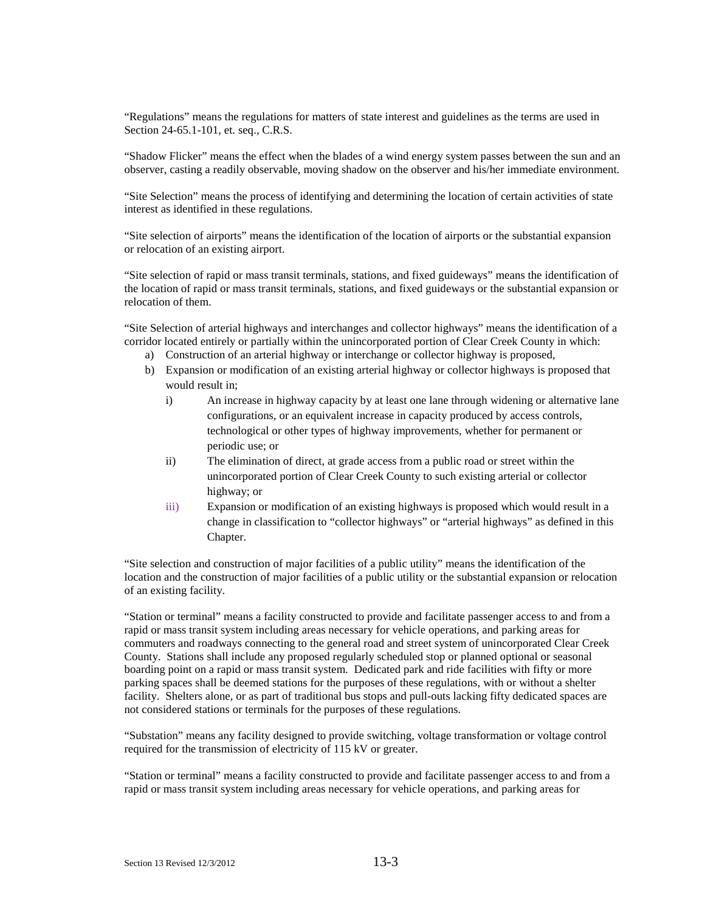"Regulations" means the regulations for matters of state interest and guidelines as the terms are used in Section 24-65.1-101, et. seq., C.R.S.

"Shadow Flicker" means the effect when the blades of a wind energy system passes between the sun and an observer, casting a readily observable, moving shadow on the observer and his/her immediate environment.

"Site Selection" means the process of identifying and determining the location of certain activities of state interest as identified in these regulations.

"Site selection of airports" means the identification of the location of airports or the substantial expansion or relocation of an existing airport.

"Site selection of rapid or mass transit terminals, stations, and fixed guideways" means the identification of the location of rapid or mass transit terminals, stations, and fixed guideways or the substantial expansion or relocation of them.

"Site Selection of arterial highways and interchanges and collector highways" means the identification of a corridor located entirely or partially within the unincorporated portion of Clear Creek County in which:

- a) Construction of an arterial highway or interchange or collector highway is proposed,
- b) Expansion or modification of an existing arterial highway or collector highways is proposed that would result in;
	- i) An increase in highway capacity by at least one lane through widening or alternative lane configurations, or an equivalent increase in capacity produced by access controls, technological or other types of highway improvements, whether for permanent or periodic use; or
	- ii) The elimination of direct, at grade access from a public road or street within the unincorporated portion of Clear Creek County to such existing arterial or collector highway; or
	- iii) Expansion or modification of an existing highways is proposed which would result in a change in classification to "collector highways" or "arterial highways" as defined in this Chapter.

"Site selection and construction of major facilities of a public utility" means the identification of the location and the construction of major facilities of a public utility or the substantial expansion or relocation of an existing facility.

"Station or terminal" means a facility constructed to provide and facilitate passenger access to and from a rapid or mass transit system including areas necessary for vehicle operations, and parking areas for commuters and roadways connecting to the general road and street system of unincorporated Clear Creek County. Stations shall include any proposed regularly scheduled stop or planned optional or seasonal boarding point on a rapid or mass transit system. Dedicated park and ride facilities with fifty or more parking spaces shall be deemed stations for the purposes of these regulations, with or without a shelter facility. Shelters alone, or as part of traditional bus stops and pull-outs lacking fifty dedicated spaces are not considered stations or terminals for the purposes of these regulations.

"Substation" means any facility designed to provide switching, voltage transformation or voltage control required for the transmission of electricity of 115 kV or greater.

"Station or terminal" means a facility constructed to provide and facilitate passenger access to and from a rapid or mass transit system including areas necessary for vehicle operations, and parking areas for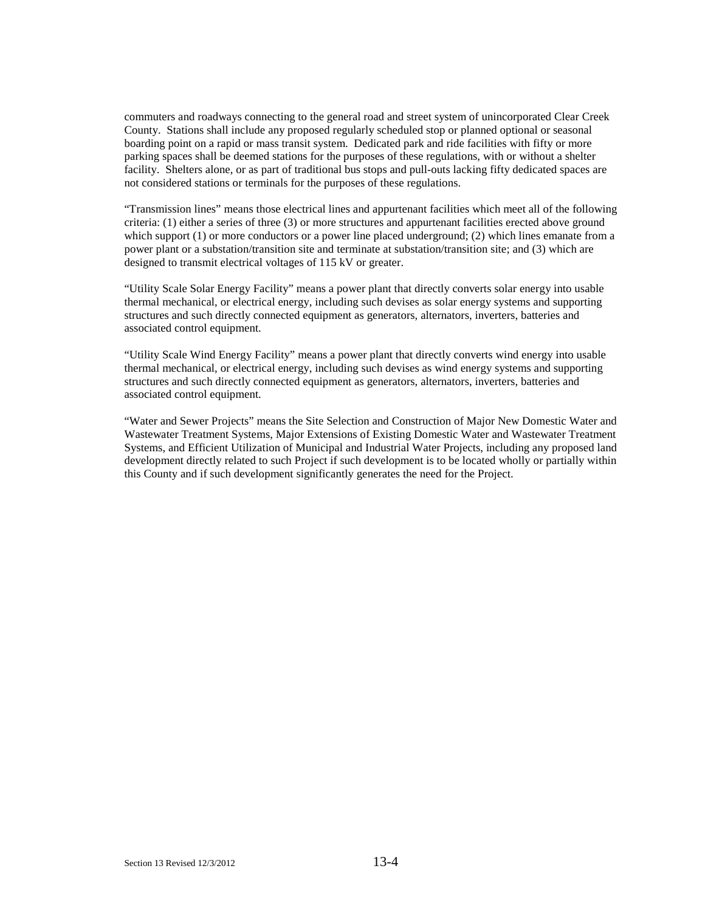commuters and roadways connecting to the general road and street system of unincorporated Clear Creek County. Stations shall include any proposed regularly scheduled stop or planned optional or seasonal boarding point on a rapid or mass transit system. Dedicated park and ride facilities with fifty or more parking spaces shall be deemed stations for the purposes of these regulations, with or without a shelter facility. Shelters alone, or as part of traditional bus stops and pull-outs lacking fifty dedicated spaces are not considered stations or terminals for the purposes of these regulations.

"Transmission lines" means those electrical lines and appurtenant facilities which meet all of the following criteria: (1) either a series of three (3) or more structures and appurtenant facilities erected above ground which support (1) or more conductors or a power line placed underground; (2) which lines emanate from a power plant or a substation/transition site and terminate at substation/transition site; and (3) which are designed to transmit electrical voltages of 115 kV or greater.

"Utility Scale Solar Energy Facility" means a power plant that directly converts solar energy into usable thermal mechanical, or electrical energy, including such devises as solar energy systems and supporting structures and such directly connected equipment as generators, alternators, inverters, batteries and associated control equipment.

"Utility Scale Wind Energy Facility" means a power plant that directly converts wind energy into usable thermal mechanical, or electrical energy, including such devises as wind energy systems and supporting structures and such directly connected equipment as generators, alternators, inverters, batteries and associated control equipment.

"Water and Sewer Projects" means the Site Selection and Construction of Major New Domestic Water and Wastewater Treatment Systems, Major Extensions of Existing Domestic Water and Wastewater Treatment Systems, and Efficient Utilization of Municipal and Industrial Water Projects, including any proposed land development directly related to such Project if such development is to be located wholly or partially within this County and if such development significantly generates the need for the Project.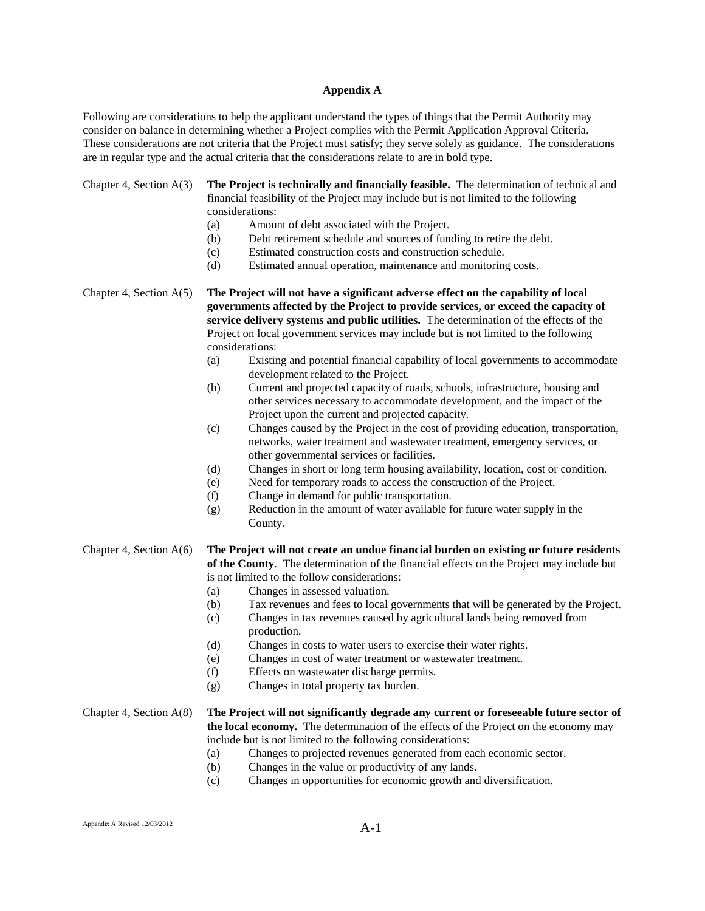#### **Appendix A**

Following are considerations to help the applicant understand the types of things that the Permit Authority may consider on balance in determining whether a Project complies with the Permit Application Approval Criteria. These considerations are not criteria that the Project must satisfy; they serve solely as guidance. The considerations are in regular type and the actual criteria that the considerations relate to are in bold type.

Chapter 4, Section A(3) **The Project is technically and financially feasible.** The determination of technical and financial feasibility of the Project may include but is not limited to the following considerations:

- (a) Amount of debt associated with the Project.
- (b) Debt retirement schedule and sources of funding to retire the debt.
- (c) Estimated construction costs and construction schedule.
- (d) Estimated annual operation, maintenance and monitoring costs.

Chapter 4, Section A(5) **The Project will not have a significant adverse effect on the capability of local governments affected by the Project to provide services, or exceed the capacity of service delivery systems and public utilities.** The determination of the effects of the Project on local government services may include but is not limited to the following considerations:

- (a) Existing and potential financial capability of local governments to accommodate development related to the Project.
- (b) Current and projected capacity of roads, schools, infrastructure, housing and other services necessary to accommodate development, and the impact of the Project upon the current and projected capacity.
- (c) Changes caused by the Project in the cost of providing education, transportation, networks, water treatment and wastewater treatment, emergency services, or other governmental services or facilities.
- (d) Changes in short or long term housing availability, location, cost or condition.
- (e) Need for temporary roads to access the construction of the Project.
- (f) Change in demand for public transportation.
- (g) Reduction in the amount of water available for future water supply in the County.

Chapter 4, Section A(6) **The Project will not create an undue financial burden on existing or future residents of the County**. The determination of the financial effects on the Project may include but is not limited to the follow considerations:

- (a) Changes in assessed valuation.
- (b) Tax revenues and fees to local governments that will be generated by the Project.
- (c) Changes in tax revenues caused by agricultural lands being removed from production.
- (d) Changes in costs to water users to exercise their water rights.
- (e) Changes in cost of water treatment or wastewater treatment.
- (f) Effects on wastewater discharge permits.
- (g) Changes in total property tax burden.

Chapter 4, Section A(8) **The Project will not significantly degrade any current or foreseeable future sector of the local economy.** The determination of the effects of the Project on the economy may include but is not limited to the following considerations:

- (a) Changes to projected revenues generated from each economic sector.
- (b) Changes in the value or productivity of any lands.
- (c) Changes in opportunities for economic growth and diversification.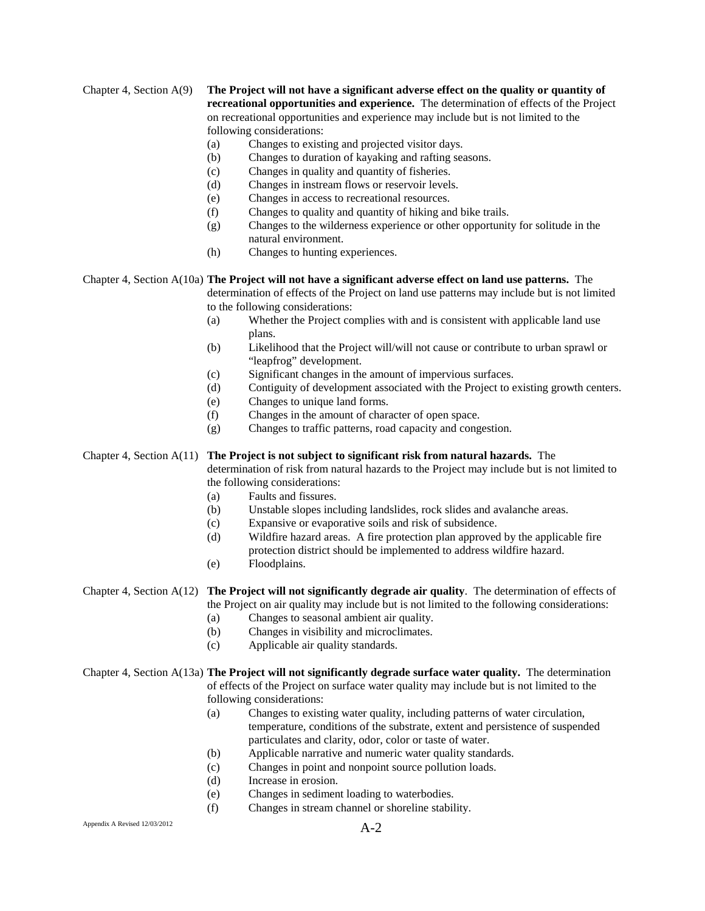Chapter 4, Section A(9) **The Project will not have a significant adverse effect on the quality or quantity of recreational opportunities and experience.** The determination of effects of the Project on recreational opportunities and experience may include but is not limited to the following considerations:

- (a) Changes to existing and projected visitor days.
- (b) Changes to duration of kayaking and rafting seasons.
- (c) Changes in quality and quantity of fisheries.
- (d) Changes in instream flows or reservoir levels.
- (e) Changes in access to recreational resources.
- (f) Changes to quality and quantity of hiking and bike trails.
- (g) Changes to the wilderness experience or other opportunity for solitude in the natural environment.
- (h) Changes to hunting experiences.

Chapter 4, Section A(10a) **The Project will not have a significant adverse effect on land use patterns.** The determination of effects of the Project on land use patterns may include but is not limited to the following considerations:

- (a) Whether the Project complies with and is consistent with applicable land use plans.
- (b) Likelihood that the Project will/will not cause or contribute to urban sprawl or "leapfrog" development.
- (c) Significant changes in the amount of impervious surfaces.
- (d) Contiguity of development associated with the Project to existing growth centers.
- (e) Changes to unique land forms.
- (f) Changes in the amount of character of open space.
- (g) Changes to traffic patterns, road capacity and congestion.

Chapter 4, Section A(11) **The Project is not subject to significant risk from natural hazards.** The determination of risk from natural hazards to the Project may include but is not limited to

- the following considerations: (a) Faults and fissures.
- (b) Unstable slopes including landslides, rock slides and avalanche areas.
- (c) Expansive or evaporative soils and risk of subsidence.
- (d) Wildfire hazard areas. A fire protection plan approved by the applicable fire protection district should be implemented to address wildfire hazard.
- (e) Floodplains.

#### Chapter 4, Section A(12) **The Project will not significantly degrade air quality**. The determination of effects of the Project on air quality may include but is not limited to the following considerations:

(a) Changes to seasonal ambient air quality.

- (b) Changes in visibility and microclimates.
- (c) Applicable air quality standards.

# Chapter 4, Section A(13a) **The Project will not significantly degrade surface water quality.** The determination of effects of the Project on surface water quality may include but is not limited to the

- following considerations:
- (a) Changes to existing water quality, including patterns of water circulation, temperature, conditions of the substrate, extent and persistence of suspended particulates and clarity, odor, color or taste of water.
- (b) Applicable narrative and numeric water quality standards.
- (c) Changes in point and nonpoint source pollution loads.
- (d) Increase in erosion.
- (e) Changes in sediment loading to waterbodies.
- (f) Changes in stream channel or shoreline stability.

## Appendix A Revised 12/03/2012  $A-2$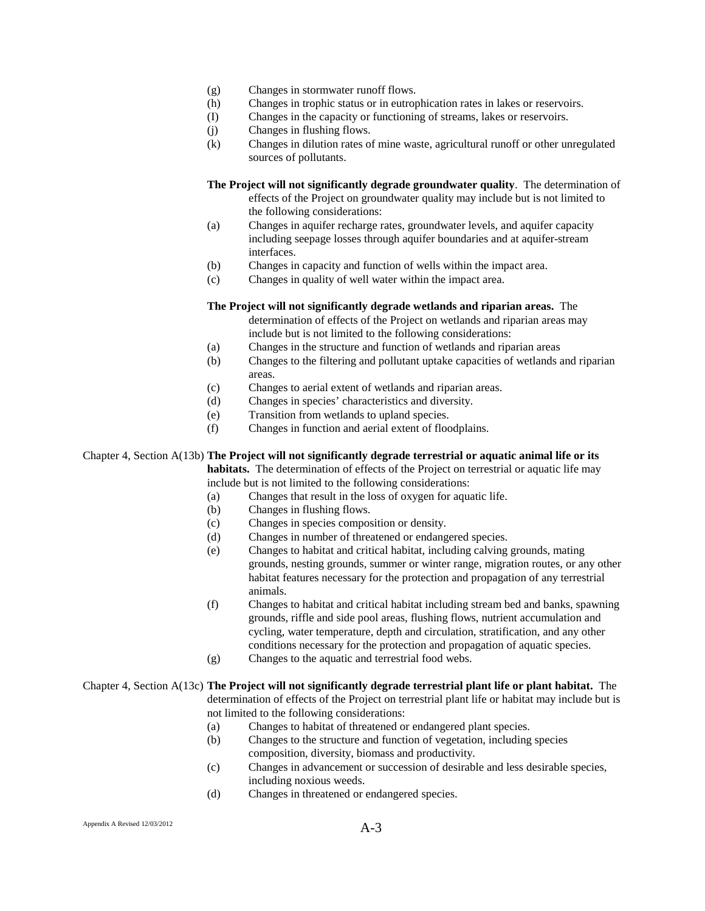- (g) Changes in stormwater runoff flows.
- (h) Changes in trophic status or in eutrophication rates in lakes or reservoirs.
- (I) Changes in the capacity or functioning of streams, lakes or reservoirs.
- (j) Changes in flushing flows.
- (k) Changes in dilution rates of mine waste, agricultural runoff or other unregulated sources of pollutants.

**The Project will not significantly degrade groundwater quality**. The determination of effects of the Project on groundwater quality may include but is not limited to the following considerations:

- (a) Changes in aquifer recharge rates, groundwater levels, and aquifer capacity including seepage losses through aquifer boundaries and at aquifer-stream interfaces.
- (b) Changes in capacity and function of wells within the impact area.
- (c) Changes in quality of well water within the impact area.

#### **The Project will not significantly degrade wetlands and riparian areas.** The

determination of effects of the Project on wetlands and riparian areas may include but is not limited to the following considerations:

- (a) Changes in the structure and function of wetlands and riparian areas
- (b) Changes to the filtering and pollutant uptake capacities of wetlands and riparian areas.
- (c) Changes to aerial extent of wetlands and riparian areas.
- (d) Changes in species' characteristics and diversity.
- (e) Transition from wetlands to upland species.
- (f) Changes in function and aerial extent of floodplains.

Chapter 4, Section A(13b) **The Project will not significantly degrade terrestrial or aquatic animal life or its habitats.** The determination of effects of the Project on terrestrial or aquatic life may include but is not limited to the following considerations:

- (a) Changes that result in the loss of oxygen for aquatic life.
- (b) Changes in flushing flows.
- (c) Changes in species composition or density.
- (d) Changes in number of threatened or endangered species.
- (e) Changes to habitat and critical habitat, including calving grounds, mating grounds, nesting grounds, summer or winter range, migration routes, or any other habitat features necessary for the protection and propagation of any terrestrial animals.
- (f) Changes to habitat and critical habitat including stream bed and banks, spawning grounds, riffle and side pool areas, flushing flows, nutrient accumulation and cycling, water temperature, depth and circulation, stratification, and any other conditions necessary for the protection and propagation of aquatic species.
- (g) Changes to the aquatic and terrestrial food webs.

#### Chapter 4, Section A(13c) **The Project will not significantly degrade terrestrial plant life or plant habitat.** The determination of effects of the Project on terrestrial plant life or habitat may include but is not limited to the following considerations:

- (a) Changes to habitat of threatened or endangered plant species.
- (b) Changes to the structure and function of vegetation, including species composition, diversity, biomass and productivity.
- (c) Changes in advancement or succession of desirable and less desirable species, including noxious weeds.
- (d) Changes in threatened or endangered species.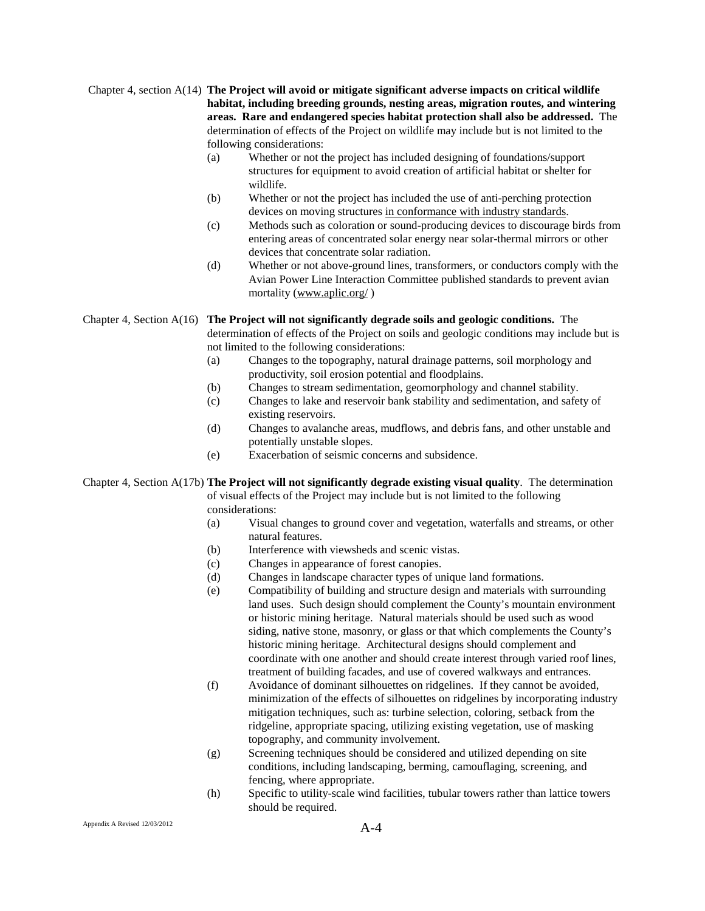#### Chapter 4, section A(14) **The Project will avoid or mitigate significant adverse impacts on critical wildlife habitat, including breeding grounds, nesting areas, migration routes, and wintering areas. Rare and endangered species habitat protection shall also be addressed.** The determination of effects of the Project on wildlife may include but is not limited to the following considerations:

- (a) Whether or not the project has included designing of foundations/support structures for equipment to avoid creation of artificial habitat or shelter for wildlife.
- (b) Whether or not the project has included the use of anti-perching protection devices on moving structures in conformance with industry standards.
- (c) Methods such as coloration or sound-producing devices to discourage birds from entering areas of concentrated solar energy near solar-thermal mirrors or other devices that concentrate solar radiation.
- (d) Whether or not above-ground lines, transformers, or conductors comply with the Avian Power Line Interaction Committee published standards to prevent avian mortality ([www.aplic.org/](http://www.aplic.org/))

Chapter 4, Section A(16) **The Project will not significantly degrade soils and geologic conditions.** The determination of effects of the Project on soils and geologic conditions may include but is

not limited to the following considerations:

- (a) Changes to the topography, natural drainage patterns, soil morphology and productivity, soil erosion potential and floodplains.
- (b) Changes to stream sedimentation, geomorphology and channel stability.
- (c) Changes to lake and reservoir bank stability and sedimentation, and safety of existing reservoirs.
- (d) Changes to avalanche areas, mudflows, and debris fans, and other unstable and potentially unstable slopes.
- (e) Exacerbation of seismic concerns and subsidence.

Chapter 4, Section A(17b) **The Project will not significantly degrade existing visual quality**. The determination of visual effects of the Project may include but is not limited to the following considerations:

- (a) Visual changes to ground cover and vegetation, waterfalls and streams, or other natural features.
- (b) Interference with viewsheds and scenic vistas.
- (c) Changes in appearance of forest canopies.
- (d) Changes in landscape character types of unique land formations.
- (e) Compatibility of building and structure design and materials with surrounding land uses. Such design should complement the County's mountain environment or historic mining heritage. Natural materials should be used such as wood siding, native stone, masonry, or glass or that which complements the County's historic mining heritage. Architectural designs should complement and coordinate with one another and should create interest through varied roof lines, treatment of building facades, and use of covered walkways and entrances.
- (f) Avoidance of dominant silhouettes on ridgelines. If they cannot be avoided, minimization of the effects of silhouettes on ridgelines by incorporating industry mitigation techniques, such as: turbine selection, coloring, setback from the ridgeline, appropriate spacing, utilizing existing vegetation, use of masking topography, and community involvement.
- (g) Screening techniques should be considered and utilized depending on site conditions, including landscaping, berming, camouflaging, screening, and fencing, where appropriate.
- (h) Specific to utility-scale wind facilities, tubular towers rather than lattice towers should be required.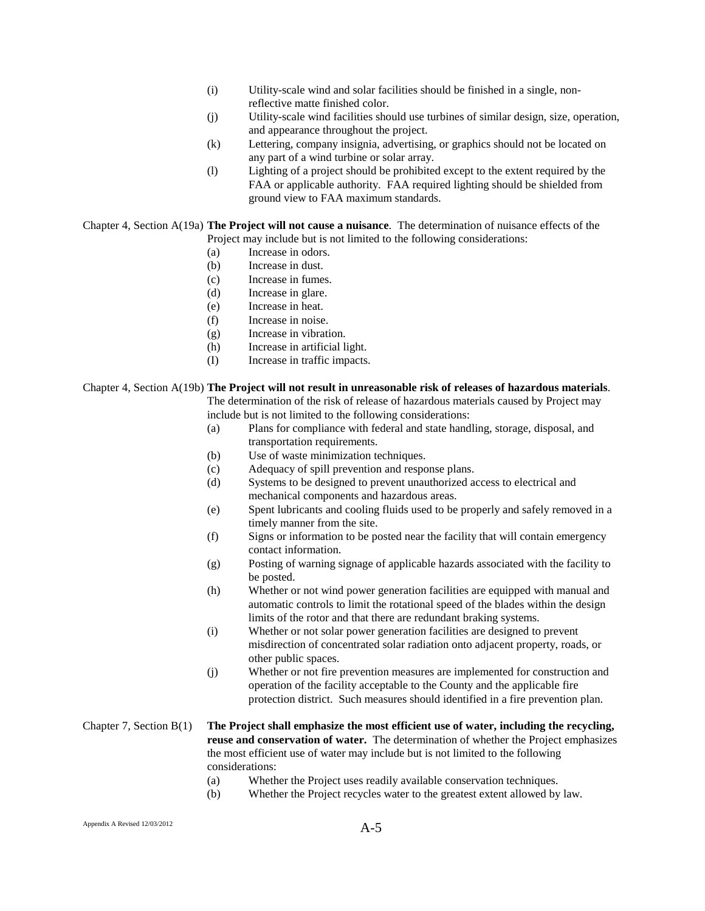- (i) Utility-scale wind and solar facilities should be finished in a single, nonreflective matte finished color.
- (j) Utility-scale wind facilities should use turbines of similar design, size, operation, and appearance throughout the project.
- (k) Lettering, company insignia, advertising, or graphics should not be located on any part of a wind turbine or solar array.
- (l) Lighting of a project should be prohibited except to the extent required by the FAA or applicable authority. FAA required lighting should be shielded from ground view to FAA maximum standards.

Chapter 4, Section A(19a) **The Project will not cause a nuisance**. The determination of nuisance effects of the Project may include but is not limited to the following considerations:

- (a) Increase in odors.
- (b) Increase in dust.
- (c) Increase in fumes.
- (d) Increase in glare.
- (e) Increase in heat.
- (f) Increase in noise.
- (g) Increase in vibration.
- (h) Increase in artificial light.
- (I) Increase in traffic impacts.

#### Chapter 4, Section A(19b) **The Project will not result in unreasonable risk of releases of hazardous materials**.

The determination of the risk of release of hazardous materials caused by Project may include but is not limited to the following considerations:

- (a) Plans for compliance with federal and state handling, storage, disposal, and transportation requirements.
- (b) Use of waste minimization techniques.
- (c) Adequacy of spill prevention and response plans.
- (d) Systems to be designed to prevent unauthorized access to electrical and mechanical components and hazardous areas.
- (e) Spent lubricants and cooling fluids used to be properly and safely removed in a timely manner from the site.
- (f) Signs or information to be posted near the facility that will contain emergency contact information.
- (g) Posting of warning signage of applicable hazards associated with the facility to be posted.
- (h) Whether or not wind power generation facilities are equipped with manual and automatic controls to limit the rotational speed of the blades within the design limits of the rotor and that there are redundant braking systems.
- (i) Whether or not solar power generation facilities are designed to prevent misdirection of concentrated solar radiation onto adjacent property, roads, or other public spaces.
- (j) Whether or not fire prevention measures are implemented for construction and operation of the facility acceptable to the County and the applicable fire protection district. Such measures should identified in a fire prevention plan.

### Chapter 7, Section B(1) **The Project shall emphasize the most efficient use of water, including the recycling, reuse and conservation of water.** The determination of whether the Project emphasizes the most efficient use of water may include but is not limited to the following considerations:

- (a) Whether the Project uses readily available conservation techniques.
- (b) Whether the Project recycles water to the greatest extent allowed by law.

## Appendix A Revised  $12/03/2012$   $A-5$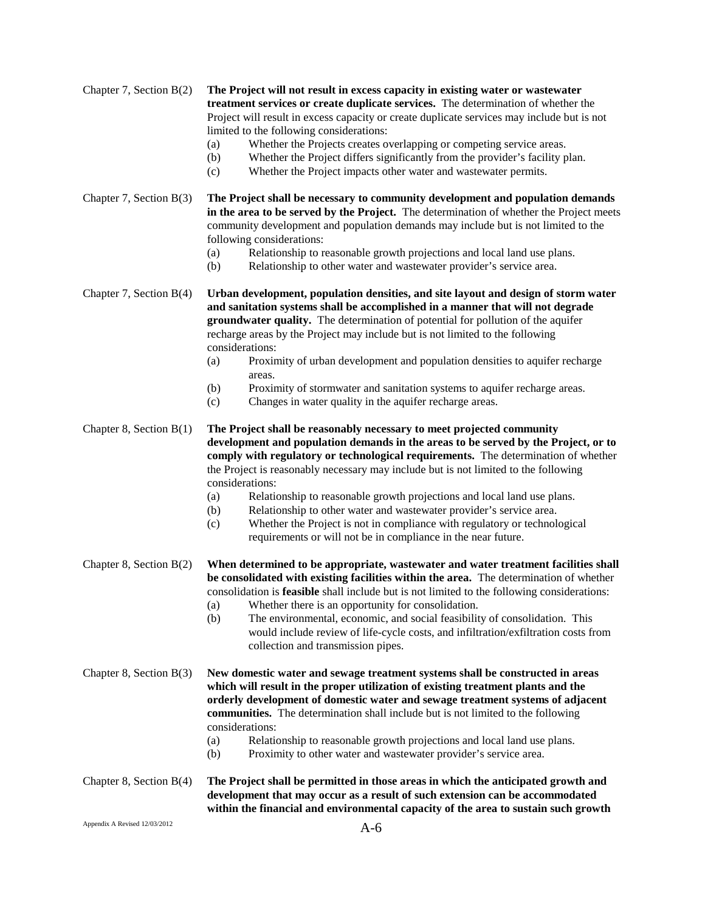| Chapter 7, Section $B(2)$ | The Project will not result in excess capacity in existing water or wastewater<br>treatment services or create duplicate services. The determination of whether the<br>Project will result in excess capacity or create duplicate services may include but is not<br>limited to the following considerations:<br>Whether the Projects creates overlapping or competing service areas.<br>(a)<br>Whether the Project differs significantly from the provider's facility plan.<br>(b)<br>Whether the Project impacts other water and wastewater permits.<br>(c)                                                                                                                    |
|---------------------------|----------------------------------------------------------------------------------------------------------------------------------------------------------------------------------------------------------------------------------------------------------------------------------------------------------------------------------------------------------------------------------------------------------------------------------------------------------------------------------------------------------------------------------------------------------------------------------------------------------------------------------------------------------------------------------|
| Chapter 7, Section $B(3)$ | The Project shall be necessary to community development and population demands<br>in the area to be served by the Project. The determination of whether the Project meets<br>community development and population demands may include but is not limited to the<br>following considerations:<br>Relationship to reasonable growth projections and local land use plans.<br>(a)<br>Relationship to other water and wastewater provider's service area.<br>(b)                                                                                                                                                                                                                     |
| Chapter 7, Section $B(4)$ | Urban development, population densities, and site layout and design of storm water<br>and sanitation systems shall be accomplished in a manner that will not degrade<br>groundwater quality. The determination of potential for pollution of the aquifer<br>recharge areas by the Project may include but is not limited to the following<br>considerations:<br>Proximity of urban development and population densities to aquifer recharge<br>(a)<br>areas.<br>Proximity of stormwater and sanitation systems to aquifer recharge areas.<br>(b)<br>Changes in water quality in the aquifer recharge areas.<br>(c)                                                               |
| Chapter 8, Section $B(1)$ | The Project shall be reasonably necessary to meet projected community<br>development and population demands in the areas to be served by the Project, or to<br>comply with regulatory or technological requirements. The determination of whether<br>the Project is reasonably necessary may include but is not limited to the following<br>considerations:<br>Relationship to reasonable growth projections and local land use plans.<br>(a)<br>Relationship to other water and wastewater provider's service area.<br>(b)<br>Whether the Project is not in compliance with regulatory or technological<br>(c)<br>requirements or will not be in compliance in the near future. |
| Chapter 8, Section $B(2)$ | When determined to be appropriate, wastewater and water treatment facilities shall<br>be consolidated with existing facilities within the area. The determination of whether<br>consolidation is <b>feasible</b> shall include but is not limited to the following considerations:<br>Whether there is an opportunity for consolidation.<br>(a)<br>The environmental, economic, and social feasibility of consolidation. This<br>(b)<br>would include review of life-cycle costs, and infiltration/exfiltration costs from<br>collection and transmission pipes.                                                                                                                 |
| Chapter 8, Section $B(3)$ | New domestic water and sewage treatment systems shall be constructed in areas<br>which will result in the proper utilization of existing treatment plants and the<br>orderly development of domestic water and sewage treatment systems of adjacent<br>communities. The determination shall include but is not limited to the following<br>considerations:<br>Relationship to reasonable growth projections and local land use plans.<br>(a)<br>Proximity to other water and wastewater provider's service area.<br>(b)                                                                                                                                                          |
| Chapter 8, Section $B(4)$ | The Project shall be permitted in those areas in which the anticipated growth and<br>development that may occur as a result of such extension can be accommodated<br>within the financial and environmental capacity of the area to sustain such growth                                                                                                                                                                                                                                                                                                                                                                                                                          |

Appendix A Revised 12/03/2012  $A-6$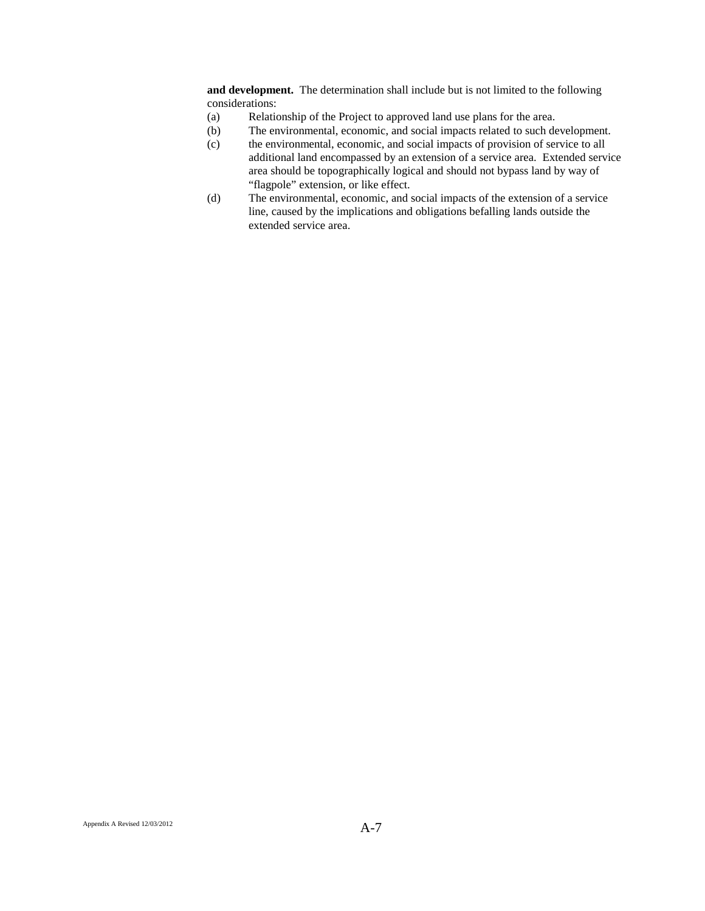**and development.** The determination shall include but is not limited to the following considerations:

- (a) Relationship of the Project to approved land use plans for the area.
- (b) The environmental, economic, and social impacts related to such development.
- (c) the environmental, economic, and social impacts of provision of service to all additional land encompassed by an extension of a service area. Extended service area should be topographically logical and should not bypass land by way of "flagpole" extension, or like effect.
- (d) The environmental, economic, and social impacts of the extension of a service line, caused by the implications and obligations befalling lands outside the extended service area.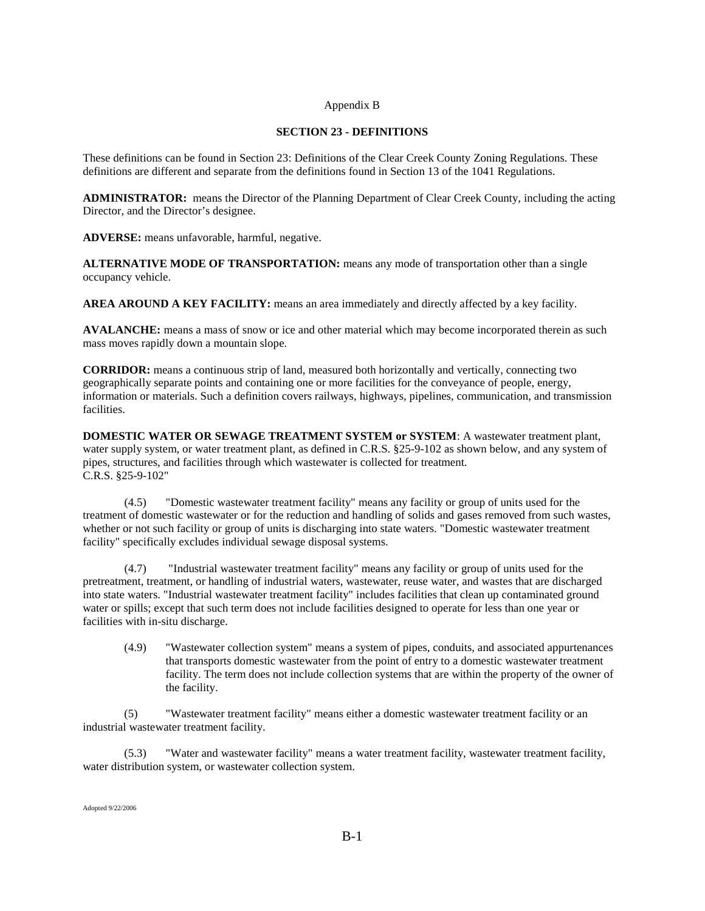#### Appendix B

### **SECTION 23 - DEFINITIONS**

These definitions can be found in Section 23: Definitions of the Clear Creek County Zoning Regulations. These definitions are different and separate from the definitions found in Section 13 of the 1041 Regulations.

**ADMINISTRATOR:** means the Director of the Planning Department of Clear Creek County, including the acting Director, and the Director's designee.

**ADVERSE:** means unfavorable, harmful, negative.

**ALTERNATIVE MODE OF TRANSPORTATION:** means any mode of transportation other than a single occupancy vehicle.

**AREA AROUND A KEY FACILITY:** means an area immediately and directly affected by a key facility.

**AVALANCHE:** means a mass of snow or ice and other material which may become incorporated therein as such mass moves rapidly down a mountain slope.

**CORRIDOR:** means a continuous strip of land, measured both horizontally and vertically, connecting two geographically separate points and containing one or more facilities for the conveyance of people, energy, information or materials. Such a definition covers railways, highways, pipelines, communication, and transmission facilities.

**DOMESTIC WATER OR SEWAGE TREATMENT SYSTEM or SYSTEM**: A wastewater treatment plant, water supply system, or water treatment plant, as defined in C.R.S. §25-9-102 as shown below, and any system of pipes, structures, and facilities through which wastewater is collected for treatment. C.R.S. §25-9-102"

(4.5) "Domestic wastewater treatment facility" means any facility or group of units used for the treatment of domestic wastewater or for the reduction and handling of solids and gases removed from such wastes, whether or not such facility or group of units is discharging into state waters. "Domestic wastewater treatment facility" specifically excludes individual sewage disposal systems.

(4.7) "Industrial wastewater treatment facility" means any facility or group of units used for the pretreatment, treatment, or handling of industrial waters, wastewater, reuse water, and wastes that are discharged into state waters. "Industrial wastewater treatment facility" includes facilities that clean up contaminated ground water or spills; except that such term does not include facilities designed to operate for less than one year or facilities with in-situ discharge.

(4.9) "Wastewater collection system" means a system of pipes, conduits, and associated appurtenances that transports domestic wastewater from the point of entry to a domestic wastewater treatment facility. The term does not include collection systems that are within the property of the owner of the facility.

(5) "Wastewater treatment facility" means either a domestic wastewater treatment facility or an industrial wastewater treatment facility.

(5.3) "Water and wastewater facility" means a water treatment facility, wastewater treatment facility, water distribution system, or wastewater collection system.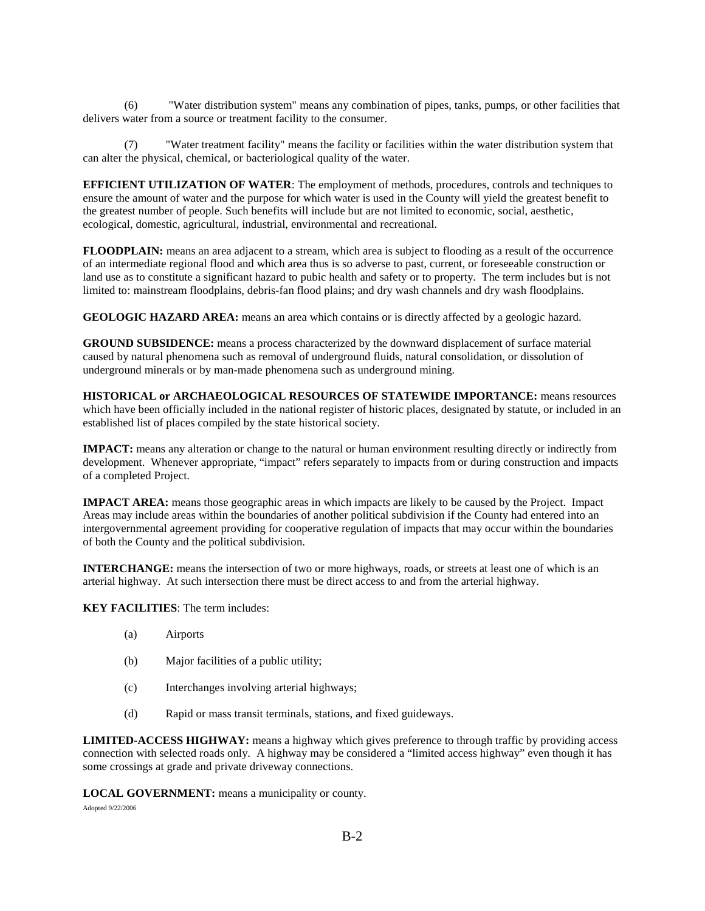(6) "Water distribution system" means any combination of pipes, tanks, pumps, or other facilities that delivers water from a source or treatment facility to the consumer.

(7) "Water treatment facility" means the facility or facilities within the water distribution system that can alter the physical, chemical, or bacteriological quality of the water.

**EFFICIENT UTILIZATION OF WATER**: The employment of methods, procedures, controls and techniques to ensure the amount of water and the purpose for which water is used in the County will yield the greatest benefit to the greatest number of people. Such benefits will include but are not limited to economic, social, aesthetic, ecological, domestic, agricultural, industrial, environmental and recreational.

**FLOODPLAIN:** means an area adjacent to a stream, which area is subject to flooding as a result of the occurrence of an intermediate regional flood and which area thus is so adverse to past, current, or foreseeable construction or land use as to constitute a significant hazard to pubic health and safety or to property. The term includes but is not limited to: mainstream floodplains, debris-fan flood plains; and dry wash channels and dry wash floodplains.

**GEOLOGIC HAZARD AREA:** means an area which contains or is directly affected by a geologic hazard.

**GROUND SUBSIDENCE:** means a process characterized by the downward displacement of surface material caused by natural phenomena such as removal of underground fluids, natural consolidation, or dissolution of underground minerals or by man-made phenomena such as underground mining.

**HISTORICAL or ARCHAEOLOGICAL RESOURCES OF STATEWIDE IMPORTANCE:** means resources which have been officially included in the national register of historic places, designated by statute, or included in an established list of places compiled by the state historical society.

**IMPACT:** means any alteration or change to the natural or human environment resulting directly or indirectly from development. Whenever appropriate, "impact" refers separately to impacts from or during construction and impacts of a completed Project.

**IMPACT AREA:** means those geographic areas in which impacts are likely to be caused by the Project. Impact Areas may include areas within the boundaries of another political subdivision if the County had entered into an intergovernmental agreement providing for cooperative regulation of impacts that may occur within the boundaries of both the County and the political subdivision.

**INTERCHANGE:** means the intersection of two or more highways, roads, or streets at least one of which is an arterial highway. At such intersection there must be direct access to and from the arterial highway.

**KEY FACILITIES**: The term includes:

- (a) Airports
- (b) Major facilities of a public utility;
- (c) Interchanges involving arterial highways;
- (d) Rapid or mass transit terminals, stations, and fixed guideways.

**LIMITED-ACCESS HIGHWAY:** means a highway which gives preference to through traffic by providing access connection with selected roads only. A highway may be considered a "limited access highway" even though it has some crossings at grade and private driveway connections.

**LOCAL GOVERNMENT:** means a municipality or county.

Adopted 9/22/2006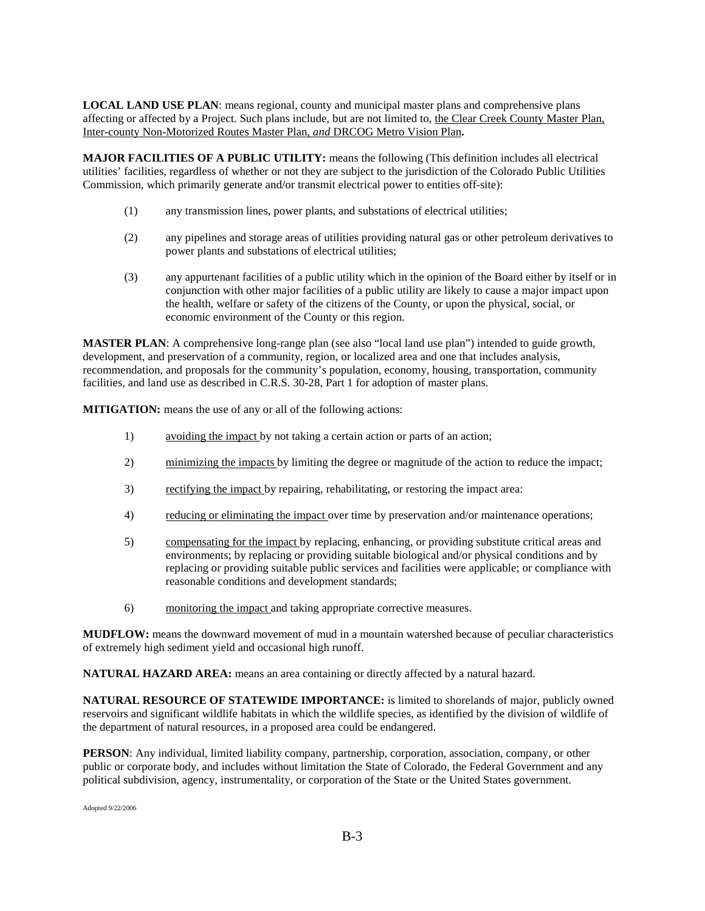**LOCAL LAND USE PLAN**: means regional, county and municipal master plans and comprehensive plans affecting or affected by a Project. Such plans include, but are not limited to, the Clear Creek County Master Plan, Inter-county Non-Motorized Routes Master Plan, *and* DRCOG Metro Vision Plan**.** 

**MAJOR FACILITIES OF A PUBLIC UTILITY:** means the following (This definition includes all electrical utilities' facilities, regardless of whether or not they are subject to the jurisdiction of the Colorado Public Utilities Commission, which primarily generate and/or transmit electrical power to entities off-site):

- (1) any transmission lines, power plants, and substations of electrical utilities;
- (2) any pipelines and storage areas of utilities providing natural gas or other petroleum derivatives to power plants and substations of electrical utilities;
- (3) any appurtenant facilities of a public utility which in the opinion of the Board either by itself or in conjunction with other major facilities of a public utility are likely to cause a major impact upon the health, welfare or safety of the citizens of the County, or upon the physical, social, or economic environment of the County or this region.

**MASTER PLAN**: A comprehensive long-range plan (see also "local land use plan") intended to guide growth, development, and preservation of a community, region, or localized area and one that includes analysis, recommendation, and proposals for the community's population, economy, housing, transportation, community facilities, and land use as described in C.R.S. 30-28, Part 1 for adoption of master plans.

**MITIGATION:** means the use of any or all of the following actions:

- 1) avoiding the impact by not taking a certain action or parts of an action;
- 2) minimizing the impacts by limiting the degree or magnitude of the action to reduce the impact;
- 3) rectifying the impact by repairing, rehabilitating, or restoring the impact area:
- 4) reducing or eliminating the impact over time by preservation and/or maintenance operations;
- 5) compensating for the impact by replacing, enhancing, or providing substitute critical areas and environments; by replacing or providing suitable biological and/or physical conditions and by replacing or providing suitable public services and facilities were applicable; or compliance with reasonable conditions and development standards;
- 6) monitoring the impact and taking appropriate corrective measures.

**MUDFLOW:** means the downward movement of mud in a mountain watershed because of peculiar characteristics of extremely high sediment yield and occasional high runoff.

**NATURAL HAZARD AREA:** means an area containing or directly affected by a natural hazard.

**NATURAL RESOURCE OF STATEWIDE IMPORTANCE:** is limited to shorelands of major, publicly owned reservoirs and significant wildlife habitats in which the wildlife species, as identified by the division of wildlife of the department of natural resources, in a proposed area could be endangered.

**PERSON**: Any individual, limited liability company, partnership, corporation, association, company, or other public or corporate body, and includes without limitation the State of Colorado, the Federal Government and any political subdivision, agency, instrumentality, or corporation of the State or the United States government.

Adopted 9/22/2006